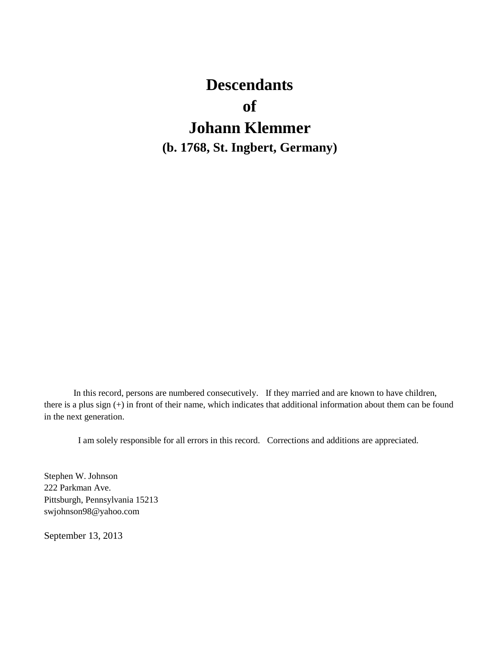# **Descendants of Johann Klemmer (b. 1768, St. Ingbert, Germany)**

In this record, persons are numbered consecutively. If they married and are known to have children, there is a plus sign (+) in front of their name, which indicates that additional information about them can be found in the next generation.

I am solely responsible for all errors in this record. Corrections and additions are appreciated.

Stephen W. Johnson 222 Parkman Ave. Pittsburgh, Pennsylvania 15213 swjohnson98@yahoo.com

September 13, 2013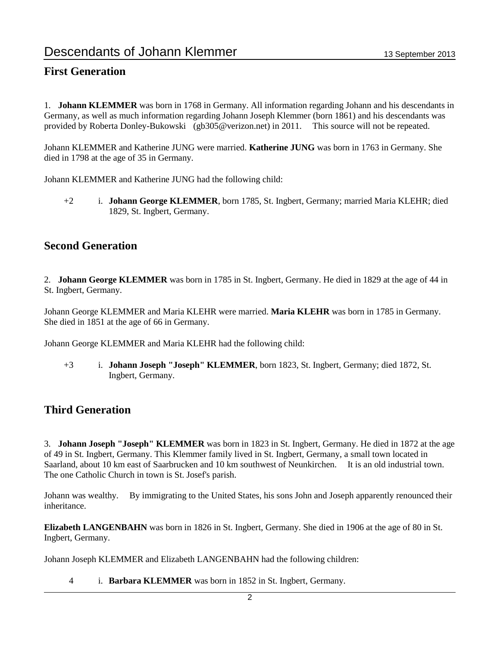### **First Generation**

1. **Johann KLEMMER** was born in 1768 in Germany. All information regarding Johann and his descendants in Germany, as well as much information regarding Johann Joseph Klemmer (born 1861) and his descendants was provided by Roberta Donley-Bukowski (gb305@verizon.net) in 2011. This source will not be repeated.

Johann KLEMMER and Katherine JUNG were married. **Katherine JUNG** was born in 1763 in Germany. She died in 1798 at the age of 35 in Germany.

Johann KLEMMER and Katherine JUNG had the following child:

+2 i. **Johann George KLEMMER**, born 1785, St. Ingbert, Germany; married Maria KLEHR; died 1829, St. Ingbert, Germany.

### **Second Generation**

2. **Johann George KLEMMER** was born in 1785 in St. Ingbert, Germany. He died in 1829 at the age of 44 in St. Ingbert, Germany.

Johann George KLEMMER and Maria KLEHR were married. **Maria KLEHR** was born in 1785 in Germany. She died in 1851 at the age of 66 in Germany.

Johann George KLEMMER and Maria KLEHR had the following child:

+3 i. **Johann Joseph "Joseph" KLEMMER**, born 1823, St. Ingbert, Germany; died 1872, St. Ingbert, Germany.

### **Third Generation**

3. **Johann Joseph "Joseph" KLEMMER** was born in 1823 in St. Ingbert, Germany. He died in 1872 at the age of 49 in St. Ingbert, Germany. This Klemmer family lived in St. Ingbert, Germany, a small town located in Saarland, about 10 km east of Saarbrucken and 10 km southwest of Neunkirchen. It is an old industrial town. The one Catholic Church in town is St. Josef's parish.

Johann was wealthy. By immigrating to the United States, his sons John and Joseph apparently renounced their inheritance.

**Elizabeth LANGENBAHN** was born in 1826 in St. Ingbert, Germany. She died in 1906 at the age of 80 in St. Ingbert, Germany.

Johann Joseph KLEMMER and Elizabeth LANGENBAHN had the following children:

4 i. **Barbara KLEMMER** was born in 1852 in St. Ingbert, Germany.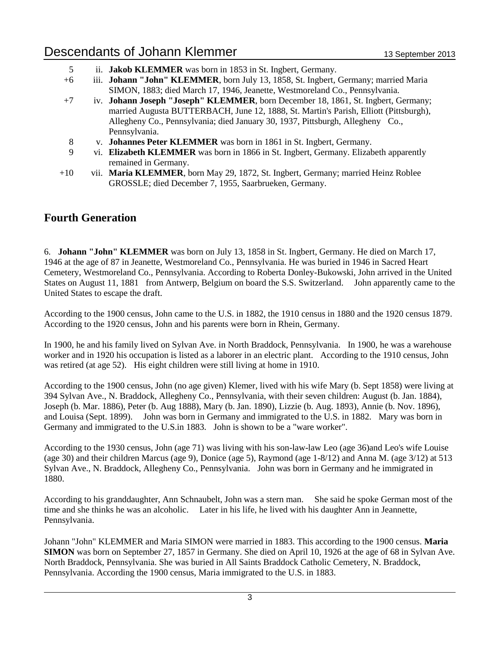- 5 ii. **Jakob KLEMMER** was born in 1853 in St. Ingbert, Germany.
- +6 iii. **Johann "John" KLEMMER**, born July 13, 1858, St. Ingbert, Germany; married Maria SIMON, 1883; died March 17, 1946, Jeanette, Westmoreland Co., Pennsylvania.
- +7 iv. **Johann Joseph "Joseph" KLEMMER**, born December 18, 1861, St. Ingbert, Germany; married Augusta BUTTERBACH, June 12, 1888, St. Martin's Parish, Elliott (Pittsburgh), Allegheny Co., Pennsylvania; died January 30, 1937, Pittsburgh, Allegheny Co., Pennsylvania.
- 8 v. **Johannes Peter KLEMMER** was born in 1861 in St. Ingbert, Germany.
- 9 vi. **Elizabeth KLEMMER** was born in 1866 in St. Ingbert, Germany. Elizabeth apparently remained in Germany.
- +10 vii. **Maria KLEMMER**, born May 29, 1872, St. Ingbert, Germany; married Heinz Roblee GROSSLE; died December 7, 1955, Saarbrueken, Germany.

### **Fourth Generation**

6. **Johann "John" KLEMMER** was born on July 13, 1858 in St. Ingbert, Germany. He died on March 17, 1946 at the age of 87 in Jeanette, Westmoreland Co., Pennsylvania. He was buried in 1946 in Sacred Heart Cemetery, Westmoreland Co., Pennsylvania. According to Roberta Donley-Bukowski, John arrived in the United States on August 11, 1881 from Antwerp, Belgium on board the S.S. Switzerland. John apparently came to the United States to escape the draft.

According to the 1900 census, John came to the U.S. in 1882, the 1910 census in 1880 and the 1920 census 1879. According to the 1920 census, John and his parents were born in Rhein, Germany.

In 1900, he and his family lived on Sylvan Ave. in North Braddock, Pennsylvania. In 1900, he was a warehouse worker and in 1920 his occupation is listed as a laborer in an electric plant. According to the 1910 census, John was retired (at age 52). His eight children were still living at home in 1910.

According to the 1900 census, John (no age given) Klemer, lived with his wife Mary (b. Sept 1858) were living at 394 Sylvan Ave., N. Braddock, Allegheny Co., Pennsylvania, with their seven children: August (b. Jan. 1884), Joseph (b. Mar. 1886), Peter (b. Aug 1888), Mary (b. Jan. 1890), Lizzie (b. Aug. 1893), Annie (b. Nov. 1896), and Louisa (Sept. 1899). John was born in Germany and immigrated to the U.S. in 1882. Mary was born in Germany and immigrated to the U.S.in 1883. John is shown to be a "ware worker".

According to the 1930 census, John (age 71) was living with his son-law-law Leo (age 36)and Leo's wife Louise (age 30) and their children Marcus (age 9), Donice (age 5), Raymond (age 1-8/12) and Anna M. (age 3/12) at 513 Sylvan Ave., N. Braddock, Allegheny Co., Pennsylvania. John was born in Germany and he immigrated in 1880.

According to his granddaughter, Ann Schnaubelt, John was a stern man. She said he spoke German most of the time and she thinks he was an alcoholic. Later in his life, he lived with his daughter Ann in Jeannette, Pennsylvania.

Johann "John" KLEMMER and Maria SIMON were married in 1883. This according to the 1900 census. **Maria SIMON** was born on September 27, 1857 in Germany. She died on April 10, 1926 at the age of 68 in Sylvan Ave. North Braddock, Pennsylvania. She was buried in All Saints Braddock Catholic Cemetery, N. Braddock, Pennsylvania. According the 1900 census, Maria immigrated to the U.S. in 1883.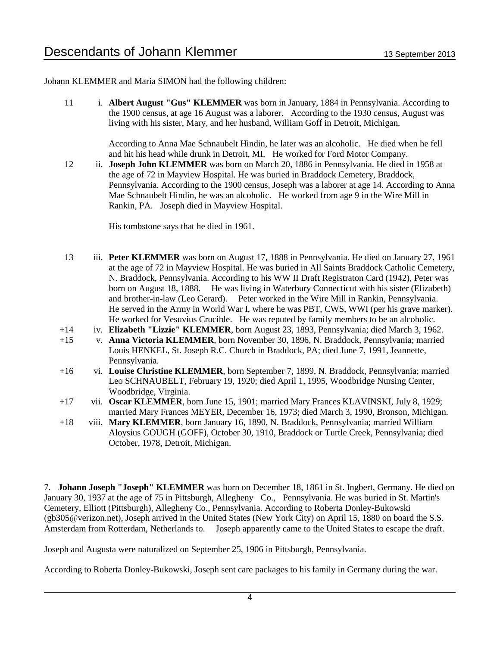Johann KLEMMER and Maria SIMON had the following children:

11 i. **Albert August "Gus" KLEMMER** was born in January, 1884 in Pennsylvania. According to the 1900 census, at age 16 August was a laborer. According to the 1930 census, August was living with his sister, Mary, and her husband, William Goff in Detroit, Michigan.

> According to Anna Mae Schnaubelt Hindin, he later was an alcoholic. He died when he fell and hit his head while drunk in Detroit, MI. He worked for Ford Motor Company.

12 ii. **Joseph John KLEMMER** was born on March 20, 1886 in Pennsylvania. He died in 1958 at the age of 72 in Mayview Hospital. He was buried in Braddock Cemetery, Braddock, Pennsylvania. According to the 1900 census, Joseph was a laborer at age 14. According to Anna Mae Schnaubelt Hindin, he was an alcoholic. He worked from age 9 in the Wire Mill in Rankin, PA. Joseph died in Mayview Hospital.

His tombstone says that he died in 1961.

- 13 iii. **Peter KLEMMER** was born on August 17, 1888 in Pennsylvania. He died on January 27, 1961 at the age of 72 in Mayview Hospital. He was buried in All Saints Braddock Catholic Cemetery, N. Braddock, Pennsylvania. According to his WW II Draft Registraton Card (1942), Peter was born on August 18, 1888. He was living in Waterbury Connecticut with his sister (Elizabeth) and brother-in-law (Leo Gerard). Peter worked in the Wire Mill in Rankin, Pennsylvania. He served in the Army in World War I, where he was PBT, CWS, WWI (per his grave marker). He worked for Vesuvius Crucible. He was reputed by family members to be an alcoholic.
- +14 iv. **Elizabeth "Lizzie" KLEMMER**, born August 23, 1893, Pennsylvania; died March 3, 1962.
- +15 v. **Anna Victoria KLEMMER**, born November 30, 1896, N. Braddock, Pennsylvania; married Louis HENKEL, St. Joseph R.C. Church in Braddock, PA; died June 7, 1991, Jeannette, Pennsylvania.
- +16 vi. **Louise Christine KLEMMER**, born September 7, 1899, N. Braddock, Pennsylvania; married Leo SCHNAUBELT, February 19, 1920; died April 1, 1995, Woodbridge Nursing Center, Woodbridge, Virginia.
- +17 vii. **Oscar KLEMMER**, born June 15, 1901; married Mary Frances KLAVINSKI, July 8, 1929; married Mary Frances MEYER, December 16, 1973; died March 3, 1990, Bronson, Michigan.
- +18 viii. **Mary KLEMMER**, born January 16, 1890, N. Braddock, Pennsylvania; married William Aloysius GOUGH (GOFF), October 30, 1910, Braddock or Turtle Creek, Pennsylvania; died October, 1978, Detroit, Michigan.

7. **Johann Joseph "Joseph" KLEMMER** was born on December 18, 1861 in St. Ingbert, Germany. He died on January 30, 1937 at the age of 75 in Pittsburgh, Allegheny Co., Pennsylvania. He was buried in St. Martin's Cemetery, Elliott (Pittsburgh), Allegheny Co., Pennsylvania. According to Roberta Donley-Bukowski (gb305@verizon.net), Joseph arrived in the United States (New York City) on April 15, 1880 on board the S.S. Amsterdam from Rotterdam, Netherlands to. Joseph apparently came to the United States to escape the draft.

Joseph and Augusta were naturalized on September 25, 1906 in Pittsburgh, Pennsylvania.

According to Roberta Donley-Bukowski, Joseph sent care packages to his family in Germany during the war.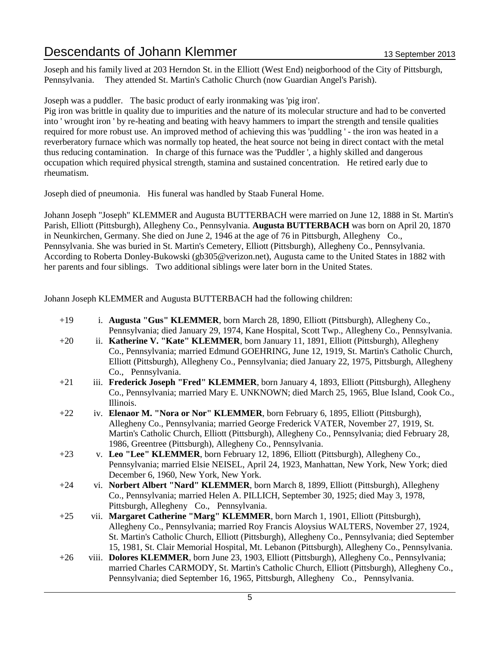Joseph and his family lived at 203 Herndon St. in the Elliott (West End) neigborhood of the City of Pittsburgh, Pennsylvania. They attended St. Martin's Catholic Church (now Guardian Angel's Parish).

Joseph was a puddler. The basic product of early ironmaking was 'pig iron'.

Pig iron was brittle in quality due to impurities and the nature of its molecular structure and had to be converted into ' wrought iron ' by re-heating and beating with heavy hammers to impart the strength and tensile qualities required for more robust use. An improved method of achieving this was 'puddling ' - the iron was heated in a reverberatory furnace which was normally top heated, the heat source not being in direct contact with the metal thus reducing contamination. In charge of this furnace was the 'Puddler ', a highly skilled and dangerous occupation which required physical strength, stamina and sustained concentration. He retired early due to rheumatism.

Joseph died of pneumonia. His funeral was handled by Staab Funeral Home.

Johann Joseph "Joseph" KLEMMER and Augusta BUTTERBACH were married on June 12, 1888 in St. Martin's Parish, Elliott (Pittsburgh), Allegheny Co., Pennsylvania. **Augusta BUTTERBACH** was born on April 20, 1870 in Neunkirchen, Germany. She died on June 2, 1946 at the age of 76 in Pittsburgh, Allegheny Co., Pennsylvania. She was buried in St. Martin's Cemetery, Elliott (Pittsburgh), Allegheny Co., Pennsylvania. According to Roberta Donley-Bukowski (gb305@verizon.net), Augusta came to the United States in 1882 with her parents and four siblings. Two additional siblings were later born in the United States.

Johann Joseph KLEMMER and Augusta BUTTERBACH had the following children:

- +19 i. **Augusta "Gus" KLEMMER**, born March 28, 1890, Elliott (Pittsburgh), Allegheny Co., Pennsylvania; died January 29, 1974, Kane Hospital, Scott Twp., Allegheny Co., Pennsylvania.
- +20 ii. **Katherine V. "Kate" KLEMMER**, born January 11, 1891, Elliott (Pittsburgh), Allegheny Co., Pennsylvania; married Edmund GOEHRING, June 12, 1919, St. Martin's Catholic Church, Elliott (Pittsburgh), Allegheny Co., Pennsylvania; died January 22, 1975, Pittsburgh, Allegheny Co., Pennsylvania.
- +21 iii. **Frederick Joseph "Fred" KLEMMER**, born January 4, 1893, Elliott (Pittsburgh), Allegheny Co., Pennsylvania; married Mary E. UNKNOWN; died March 25, 1965, Blue Island, Cook Co., Illinois.
- +22 iv. **Elenaor M. "Nora or Nor" KLEMMER**, born February 6, 1895, Elliott (Pittsburgh), Allegheny Co., Pennsylvania; married George Frederick VATER, November 27, 1919, St. Martin's Catholic Church, Elliott (Pittsburgh), Allegheny Co., Pennsylvania; died February 28, 1986, Greentree (Pittsburgh), Allegheny Co., Pennsylvania.
- +23 v. **Leo "Lee" KLEMMER**, born February 12, 1896, Elliott (Pittsburgh), Allegheny Co., Pennsylvania; married Elsie NEISEL, April 24, 1923, Manhattan, New York, New York; died December 6, 1960, New York, New York.
- +24 vi. **Norbert Albert "Nard" KLEMMER**, born March 8, 1899, Elliott (Pittsburgh), Allegheny Co., Pennsylvania; married Helen A. PILLICH, September 30, 1925; died May 3, 1978, Pittsburgh, Allegheny Co., Pennsylvania.
- +25 vii. **Margaret Catherine "Marg" KLEMMER**, born March 1, 1901, Elliott (Pittsburgh), Allegheny Co., Pennsylvania; married Roy Francis Aloysius WALTERS, November 27, 1924, St. Martin's Catholic Church, Elliott (Pittsburgh), Allegheny Co., Pennsylvania; died September 15, 1981, St. Clair Memorial Hospital, Mt. Lebanon (Pittsburgh), Allegheny Co., Pennsylvania.
- +26 viii. **Dolores KLEMMER**, born June 23, 1903, Elliott (Pittsburgh), Allegheny Co., Pennsylvania; married Charles CARMODY, St. Martin's Catholic Church, Elliott (Pittsburgh), Allegheny Co., Pennsylvania; died September 16, 1965, Pittsburgh, Allegheny Co., Pennsylvania.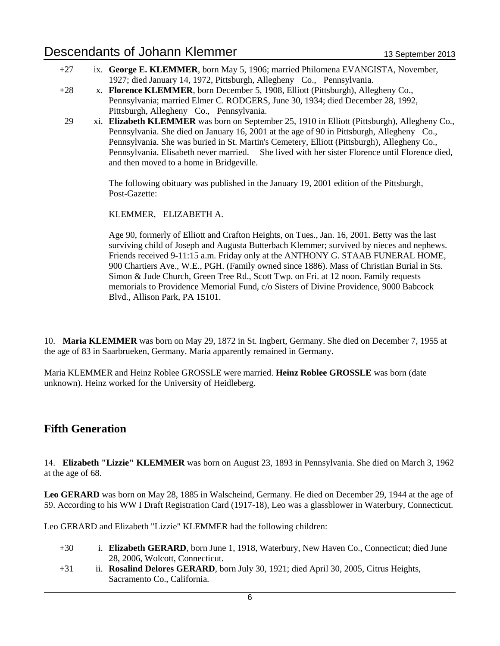- +27 ix. **George E. KLEMMER**, born May 5, 1906; married Philomena EVANGISTA, November, 1927; died January 14, 1972, Pittsburgh, Allegheny Co., Pennsylvania.
- +28 x. **Florence KLEMMER**, born December 5, 1908, Elliott (Pittsburgh), Allegheny Co., Pennsylvania; married Elmer C. RODGERS, June 30, 1934; died December 28, 1992, Pittsburgh, Allegheny Co., Pennsylvania.
- 29 xi. **Elizabeth KLEMMER** was born on September 25, 1910 in Elliott (Pittsburgh), Allegheny Co., Pennsylvania. She died on January 16, 2001 at the age of 90 in Pittsburgh, Allegheny Co., Pennsylvania. She was buried in St. Martin's Cemetery, Elliott (Pittsburgh), Allegheny Co., Pennsylvania. Elisabeth never married. She lived with her sister Florence until Florence died, and then moved to a home in Bridgeville.

The following obituary was published in the January 19, 2001 edition of the Pittsburgh, Post-Gazette:

KLEMMER, ELIZABETH A.

Age 90, formerly of Elliott and Crafton Heights, on Tues., Jan. 16, 2001. Betty was the last surviving child of Joseph and Augusta Butterbach Klemmer; survived by nieces and nephews. Friends received 9-11:15 a.m. Friday only at the ANTHONY G. STAAB FUNERAL HOME, 900 Chartiers Ave., W.E., PGH. (Family owned since 1886). Mass of Christian Burial in Sts. Simon & Jude Church, Green Tree Rd., Scott Twp. on Fri. at 12 noon. Family requests memorials to Providence Memorial Fund, c/o Sisters of Divine Providence, 9000 Babcock Blvd., Allison Park, PA 15101.

10. **Maria KLEMMER** was born on May 29, 1872 in St. Ingbert, Germany. She died on December 7, 1955 at the age of 83 in Saarbrueken, Germany. Maria apparently remained in Germany.

Maria KLEMMER and Heinz Roblee GROSSLE were married. **Heinz Roblee GROSSLE** was born (date unknown). Heinz worked for the University of Heidleberg.

### **Fifth Generation**

14. **Elizabeth "Lizzie" KLEMMER** was born on August 23, 1893 in Pennsylvania. She died on March 3, 1962 at the age of 68.

**Leo GERARD** was born on May 28, 1885 in Walscheind, Germany. He died on December 29, 1944 at the age of 59. According to his WW I Draft Registration Card (1917-18), Leo was a glassblower in Waterbury, Connecticut.

Leo GERARD and Elizabeth "Lizzie" KLEMMER had the following children:

- +30 i. **Elizabeth GERARD**, born June 1, 1918, Waterbury, New Haven Co., Connecticut; died June 28, 2006, Wolcott, Connecticut.
- +31 ii. **Rosalind Delores GERARD**, born July 30, 1921; died April 30, 2005, Citrus Heights, Sacramento Co., California.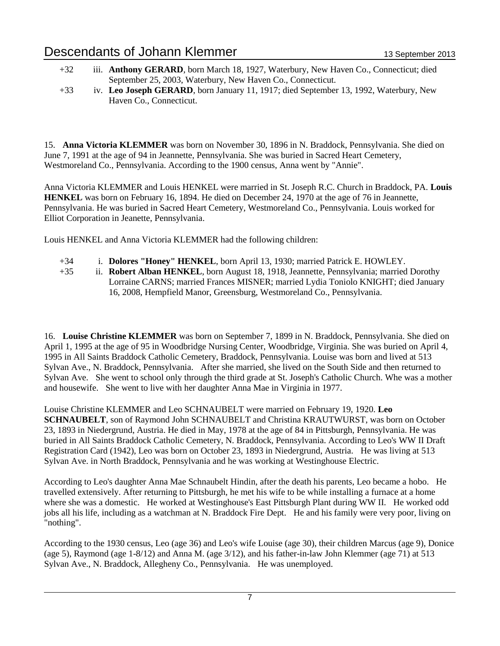- +32 iii. **Anthony GERARD**, born March 18, 1927, Waterbury, New Haven Co., Connecticut; died September 25, 2003, Waterbury, New Haven Co., Connecticut.
- +33 iv. **Leo Joseph GERARD**, born January 11, 1917; died September 13, 1992, Waterbury, New Haven Co., Connecticut.

15. **Anna Victoria KLEMMER** was born on November 30, 1896 in N. Braddock, Pennsylvania. She died on June 7, 1991 at the age of 94 in Jeannette, Pennsylvania. She was buried in Sacred Heart Cemetery, Westmoreland Co., Pennsylvania. According to the 1900 census, Anna went by "Annie".

Anna Victoria KLEMMER and Louis HENKEL were married in St. Joseph R.C. Church in Braddock, PA. **Louis HENKEL** was born on February 16, 1894. He died on December 24, 1970 at the age of 76 in Jeannette, Pennsylvania. He was buried in Sacred Heart Cemetery, Westmoreland Co., Pennsylvania. Louis worked for Elliot Corporation in Jeanette, Pennsylvania.

Louis HENKEL and Anna Victoria KLEMMER had the following children:

- +34 i. **Dolores "Honey" HENKEL**, born April 13, 1930; married Patrick E. HOWLEY.
- +35 ii. **Robert Alban HENKEL**, born August 18, 1918, Jeannette, Pennsylvania; married Dorothy Lorraine CARNS; married Frances MISNER; married Lydia Toniolo KNIGHT; died January 16, 2008, Hempfield Manor, Greensburg, Westmoreland Co., Pennsylvania.

16. **Louise Christine KLEMMER** was born on September 7, 1899 in N. Braddock, Pennsylvania. She died on April 1, 1995 at the age of 95 in Woodbridge Nursing Center, Woodbridge, Virginia. She was buried on April 4, 1995 in All Saints Braddock Catholic Cemetery, Braddock, Pennsylvania. Louise was born and lived at 513 Sylvan Ave., N. Braddock, Pennsylvania. After she married, she lived on the South Side and then returned to Sylvan Ave. She went to school only through the third grade at St. Joseph's Catholic Church. Whe was a mother and housewife. She went to live with her daughter Anna Mae in Virginia in 1977.

Louise Christine KLEMMER and Leo SCHNAUBELT were married on February 19, 1920. **Leo SCHNAUBELT**, son of Raymond John SCHNAUBELT and Christina KRAUTWURST, was born on October 23, 1893 in Niedergrund, Austria. He died in May, 1978 at the age of 84 in Pittsburgh, Pennsylvania. He was buried in All Saints Braddock Catholic Cemetery, N. Braddock, Pennsylvania. According to Leo's WW II Draft Registration Card (1942), Leo was born on October 23, 1893 in Niedergrund, Austria. He was living at 513 Sylvan Ave. in North Braddock, Pennsylvania and he was working at Westinghouse Electric.

According to Leo's daughter Anna Mae Schnaubelt Hindin, after the death his parents, Leo became a hobo. He travelled extensively. After returning to Pittsburgh, he met his wife to be while installing a furnace at a home where she was a domestic. He worked at Westinghouse's East Pittsburgh Plant during WW II. He worked odd jobs all his life, including as a watchman at N. Braddock Fire Dept. He and his family were very poor, living on "nothing".

According to the 1930 census, Leo (age 36) and Leo's wife Louise (age 30), their children Marcus (age 9), Donice (age 5), Raymond (age 1-8/12) and Anna M. (age 3/12), and his father-in-law John Klemmer (age 71) at 513 Sylvan Ave., N. Braddock, Allegheny Co., Pennsylvania. He was unemployed.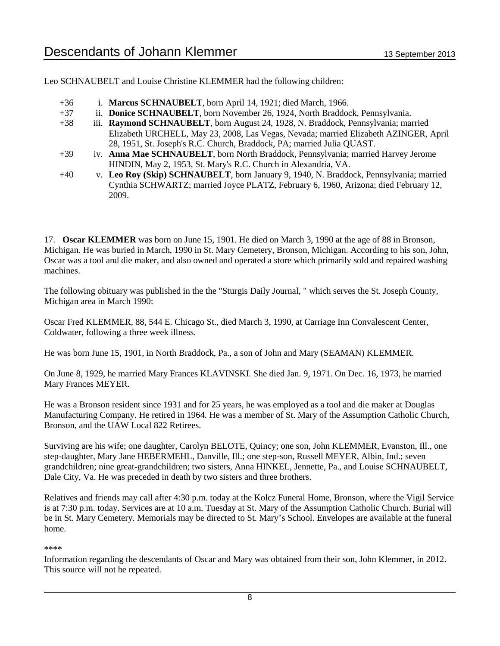Leo SCHNAUBELT and Louise Christine KLEMMER had the following children:

- +36 i. **Marcus SCHNAUBELT**, born April 14, 1921; died March, 1966.
- +37 ii. **Donice SCHNAUBELT**, born November 26, 1924, North Braddock, Pennsylvania.
- +38 iii. **Raymond SCHNAUBELT**, born August 24, 1928, N. Braddock, Pennsylvania; married Elizabeth URCHELL, May 23, 2008, Las Vegas, Nevada; married Elizabeth AZINGER, April 28, 1951, St. Joseph's R.C. Church, Braddock, PA; married Julia QUAST.
- +39 iv. **Anna Mae SCHNAUBELT**, born North Braddock, Pennsylvania; married Harvey Jerome HINDIN, May 2, 1953, St. Mary's R.C. Church in Alexandria, VA.
- +40 v. **Leo Roy (Skip) SCHNAUBELT**, born January 9, 1940, N. Braddock, Pennsylvania; married Cynthia SCHWARTZ; married Joyce PLATZ, February 6, 1960, Arizona; died February 12, 2009.

17. **Oscar KLEMMER** was born on June 15, 1901. He died on March 3, 1990 at the age of 88 in Bronson, Michigan. He was buried in March, 1990 in St. Mary Cemetery, Bronson, Michigan. According to his son, John, Oscar was a tool and die maker, and also owned and operated a store which primarily sold and repaired washing machines.

The following obituary was published in the the "Sturgis Daily Journal, " which serves the St. Joseph County, Michigan area in March 1990:

Oscar Fred KLEMMER, 88, 544 E. Chicago St., died March 3, 1990, at Carriage Inn Convalescent Center, Coldwater, following a three week illness.

He was born June 15, 1901, in North Braddock, Pa., a son of John and Mary (SEAMAN) KLEMMER.

On June 8, 1929, he married Mary Frances KLAVINSKI. She died Jan. 9, 1971. On Dec. 16, 1973, he married Mary Frances MEYER.

He was a Bronson resident since 1931 and for 25 years, he was employed as a tool and die maker at Douglas Manufacturing Company. He retired in 1964. He was a member of St. Mary of the Assumption Catholic Church, Bronson, and the UAW Local 822 Retirees.

Surviving are his wife; one daughter, Carolyn BELOTE, Quincy; one son, John KLEMMER, Evanston, Ill., one step-daughter, Mary Jane HEBERMEHL, Danville, Ill.; one step-son, Russell MEYER, Albin, Ind.; seven grandchildren; nine great-grandchildren; two sisters, Anna HINKEL, Jennette, Pa., and Louise SCHNAUBELT, Dale City, Va. He was preceded in death by two sisters and three brothers.

Relatives and friends may call after 4:30 p.m. today at the Kolcz Funeral Home, Bronson, where the Vigil Service is at 7:30 p.m. today. Services are at 10 a.m. Tuesday at St. Mary of the Assumption Catholic Church. Burial will be in St. Mary Cemetery. Memorials may be directed to St. Mary's School. Envelopes are available at the funeral home.

#### \*\*\*\*

Information regarding the descendants of Oscar and Mary was obtained from their son, John Klemmer, in 2012. This source will not be repeated.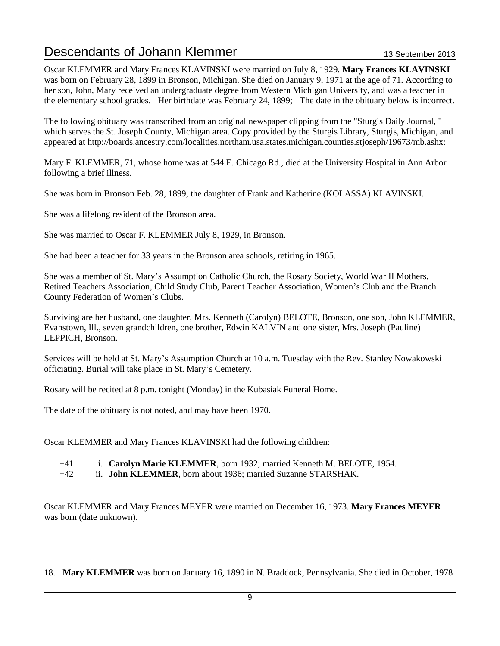Oscar KLEMMER and Mary Frances KLAVINSKI were married on July 8, 1929. **Mary Frances KLAVINSKI** was born on February 28, 1899 in Bronson, Michigan. She died on January 9, 1971 at the age of 71. According to her son, John, Mary received an undergraduate degree from Western Michigan University, and was a teacher in the elementary school grades. Her birthdate was February 24, 1899; The date in the obituary below is incorrect.

The following obituary was transcribed from an original newspaper clipping from the "Sturgis Daily Journal, " which serves the St. Joseph County, Michigan area. Copy provided by the Sturgis Library, Sturgis, Michigan, and appeared at http://boards.ancestry.com/localities.northam.usa.states.michigan.counties.stjoseph/19673/mb.ashx:

Mary F. KLEMMER, 71, whose home was at 544 E. Chicago Rd., died at the University Hospital in Ann Arbor following a brief illness.

She was born in Bronson Feb. 28, 1899, the daughter of Frank and Katherine (KOLASSA) KLAVINSKI.

She was a lifelong resident of the Bronson area.

She was married to Oscar F. KLEMMER July 8, 1929, in Bronson.

She had been a teacher for 33 years in the Bronson area schools, retiring in 1965.

She was a member of St. Mary's Assumption Catholic Church, the Rosary Society, World War II Mothers, Retired Teachers Association, Child Study Club, Parent Teacher Association, Women's Club and the Branch County Federation of Women's Clubs.

Surviving are her husband, one daughter, Mrs. Kenneth (Carolyn) BELOTE, Bronson, one son, John KLEMMER, Evanstown, Ill., seven grandchildren, one brother, Edwin KALVIN and one sister, Mrs. Joseph (Pauline) LEPPICH, Bronson.

Services will be held at St. Mary's Assumption Church at 10 a.m. Tuesday with the Rev. Stanley Nowakowski officiating. Burial will take place in St. Mary's Cemetery.

Rosary will be recited at 8 p.m. tonight (Monday) in the Kubasiak Funeral Home.

The date of the obituary is not noted, and may have been 1970.

Oscar KLEMMER and Mary Frances KLAVINSKI had the following children:

- +41 i. **Carolyn Marie KLEMMER**, born 1932; married Kenneth M. BELOTE, 1954.
- +42 ii. **John KLEMMER**, born about 1936; married Suzanne STARSHAK.

Oscar KLEMMER and Mary Frances MEYER were married on December 16, 1973. **Mary Frances MEYER** was born (date unknown).

18. **Mary KLEMMER** was born on January 16, 1890 in N. Braddock, Pennsylvania. She died in October, 1978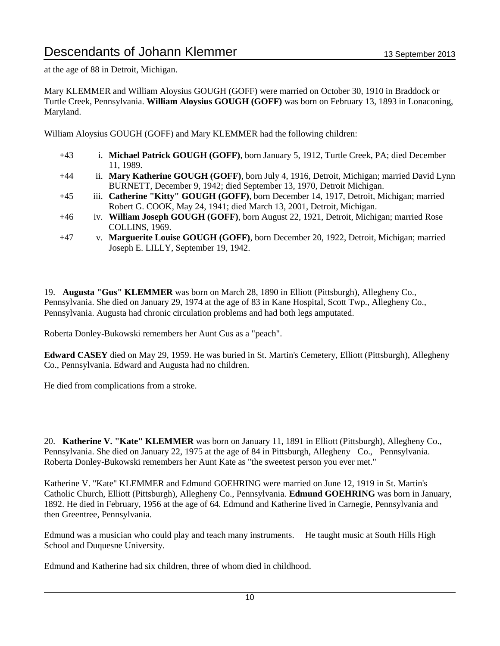at the age of 88 in Detroit, Michigan.

Mary KLEMMER and William Aloysius GOUGH (GOFF) were married on October 30, 1910 in Braddock or Turtle Creek, Pennsylvania. **William Aloysius GOUGH (GOFF)** was born on February 13, 1893 in Lonaconing, Maryland.

William Aloysius GOUGH (GOFF) and Mary KLEMMER had the following children:

- +43 i. **Michael Patrick GOUGH (GOFF)**, born January 5, 1912, Turtle Creek, PA; died December 11, 1989.
- +44 ii. **Mary Katherine GOUGH (GOFF)**, born July 4, 1916, Detroit, Michigan; married David Lynn BURNETT, December 9, 1942; died September 13, 1970, Detroit Michigan.
- +45 iii. **Catherine "Kitty" GOUGH (GOFF)**, born December 14, 1917, Detroit, Michigan; married Robert G. COOK, May 24, 1941; died March 13, 2001, Detroit, Michigan.
- +46 iv. **William Joseph GOUGH (GOFF)**, born August 22, 1921, Detroit, Michigan; married Rose COLLINS, 1969.
- +47 v. **Marguerite Louise GOUGH (GOFF)**, born December 20, 1922, Detroit, Michigan; married Joseph E. LILLY, September 19, 1942.

19. **Augusta "Gus" KLEMMER** was born on March 28, 1890 in Elliott (Pittsburgh), Allegheny Co., Pennsylvania. She died on January 29, 1974 at the age of 83 in Kane Hospital, Scott Twp., Allegheny Co., Pennsylvania. Augusta had chronic circulation problems and had both legs amputated.

Roberta Donley-Bukowski remembers her Aunt Gus as a "peach".

**Edward CASEY** died on May 29, 1959. He was buried in St. Martin's Cemetery, Elliott (Pittsburgh), Allegheny Co., Pennsylvania. Edward and Augusta had no children.

He died from complications from a stroke.

20. **Katherine V. "Kate" KLEMMER** was born on January 11, 1891 in Elliott (Pittsburgh), Allegheny Co., Pennsylvania. She died on January 22, 1975 at the age of 84 in Pittsburgh, Allegheny Co., Pennsylvania. Roberta Donley-Bukowski remembers her Aunt Kate as "the sweetest person you ever met."

Katherine V. "Kate" KLEMMER and Edmund GOEHRING were married on June 12, 1919 in St. Martin's Catholic Church, Elliott (Pittsburgh), Allegheny Co., Pennsylvania. **Edmund GOEHRING** was born in January, 1892. He died in February, 1956 at the age of 64. Edmund and Katherine lived in Carnegie, Pennsylvania and then Greentree, Pennsylvania.

Edmund was a musician who could play and teach many instruments. He taught music at South Hills High School and Duquesne University.

Edmund and Katherine had six children, three of whom died in childhood.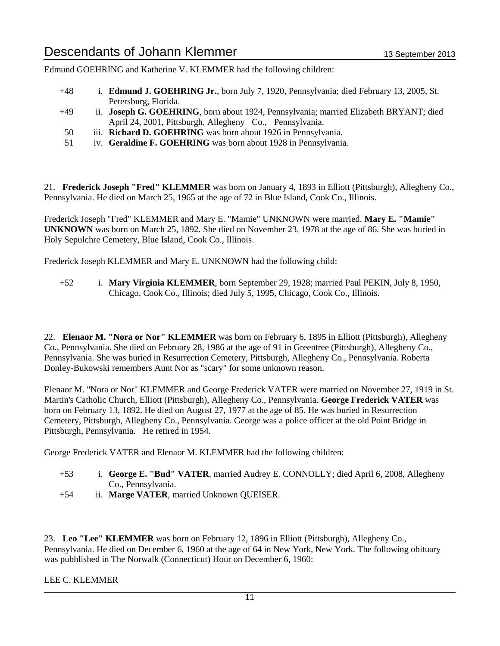Edmund GOEHRING and Katherine V. KLEMMER had the following children:

- +48 i. **Edmund J. GOEHRING Jr.**, born July 7, 1920, Pennsylvania; died February 13, 2005, St. Petersburg, Florida.
- +49 ii. **Joseph G. GOEHRING**, born about 1924, Pennsylvania; married Elizabeth BRYANT; died April 24, 2001, Pittsburgh, Allegheny Co., Pennsylvania.
- 50 iii. **Richard D. GOEHRING** was born about 1926 in Pennsylvania.
- 51 iv. **Geraldine F. GOEHRING** was born about 1928 in Pennsylvania.

21. **Frederick Joseph "Fred" KLEMMER** was born on January 4, 1893 in Elliott (Pittsburgh), Allegheny Co., Pennsylvania. He died on March 25, 1965 at the age of 72 in Blue Island, Cook Co., Illinois.

Frederick Joseph "Fred" KLEMMER and Mary E. "Mamie" UNKNOWN were married. **Mary E. "Mamie" UNKNOWN** was born on March 25, 1892. She died on November 23, 1978 at the age of 86. She was buried in Holy Sepulchre Cemetery, Blue Island, Cook Co., Illinois.

Frederick Joseph KLEMMER and Mary E. UNKNOWN had the following child:

+52 i. **Mary Virginia KLEMMER**, born September 29, 1928; married Paul PEKIN, July 8, 1950, Chicago, Cook Co., Illinois; died July 5, 1995, Chicago, Cook Co., Illinois.

22. **Elenaor M. "Nora or Nor" KLEMMER** was born on February 6, 1895 in Elliott (Pittsburgh), Allegheny Co., Pennsylvania. She died on February 28, 1986 at the age of 91 in Greentree (Pittsburgh), Allegheny Co., Pennsylvania. She was buried in Resurrection Cemetery, Pittsburgh, Allegheny Co., Pennsylvania. Roberta Donley-Bukowski remembers Aunt Nor as "scary" for some unknown reason.

Elenaor M. "Nora or Nor" KLEMMER and George Frederick VATER were married on November 27, 1919 in St. Martin's Catholic Church, Elliott (Pittsburgh), Allegheny Co., Pennsylvania. **George Frederick VATER** was born on February 13, 1892. He died on August 27, 1977 at the age of 85. He was buried in Resurrection Cemetery, Pittsburgh, Allegheny Co., Pennsylvania. George was a police officer at the old Point Bridge in Pittsburgh, Pennsylvania. He retired in 1954.

George Frederick VATER and Elenaor M. KLEMMER had the following children:

- +53 i. **George E. "Bud" VATER**, married Audrey E. CONNOLLY; died April 6, 2008, Allegheny Co., Pennsylvania.
- +54 ii. **Marge VATER**, married Unknown QUEISER.

23. **Leo "Lee" KLEMMER** was born on February 12, 1896 in Elliott (Pittsburgh), Allegheny Co., Pennsylvania. He died on December 6, 1960 at the age of 64 in New York, New York. The following obituary was pubhlished in The Norwalk (Connecticut) Hour on December 6, 1960:

LEE C. KLEMMER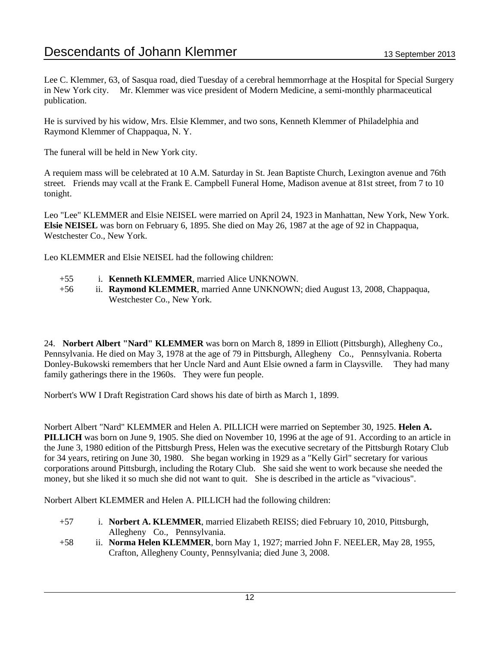Lee C. Klemmer, 63, of Sasqua road, died Tuesday of a cerebral hemmorrhage at the Hospital for Special Surgery in New York city. Mr. Klemmer was vice president of Modern Medicine, a semi-monthly pharmaceutical publication.

He is survived by his widow, Mrs. Elsie Klemmer, and two sons, Kenneth Klemmer of Philadelphia and Raymond Klemmer of Chappaqua, N. Y.

The funeral will be held in New York city.

A requiem mass will be celebrated at 10 A.M. Saturday in St. Jean Baptiste Church, Lexington avenue and 76th street. Friends may vcall at the Frank E. Campbell Funeral Home, Madison avenue at 81st street, from 7 to 10 tonight.

Leo "Lee" KLEMMER and Elsie NEISEL were married on April 24, 1923 in Manhattan, New York, New York. **Elsie NEISEL** was born on February 6, 1895. She died on May 26, 1987 at the age of 92 in Chappaqua, Westchester Co., New York.

Leo KLEMMER and Elsie NEISEL had the following children:

- +55 i. **Kenneth KLEMMER**, married Alice UNKNOWN.
- +56 ii. **Raymond KLEMMER**, married Anne UNKNOWN; died August 13, 2008, Chappaqua, Westchester Co., New York.

24. **Norbert Albert "Nard" KLEMMER** was born on March 8, 1899 in Elliott (Pittsburgh), Allegheny Co., Pennsylvania. He died on May 3, 1978 at the age of 79 in Pittsburgh, Allegheny Co., Pennsylvania. Roberta Donley-Bukowski remembers that her Uncle Nard and Aunt Elsie owned a farm in Claysville. They had many family gatherings there in the 1960s. They were fun people.

Norbert's WW I Draft Registration Card shows his date of birth as March 1, 1899.

Norbert Albert "Nard" KLEMMER and Helen A. PILLICH were married on September 30, 1925. **Helen A. PILLICH** was born on June 9, 1905. She died on November 10, 1996 at the age of 91. According to an article in the June 3, 1980 edition of the Pittsburgh Press, Helen was the executive secretary of the Pittsburgh Rotary Club for 34 years, retiring on June 30, 1980. She began working in 1929 as a "Kelly Girl" secretary for various corporations around Pittsburgh, including the Rotary Club. She said she went to work because she needed the money, but she liked it so much she did not want to quit. She is described in the article as "vivacious".

Norbert Albert KLEMMER and Helen A. PILLICH had the following children:

- +57 i. **Norbert A. KLEMMER**, married Elizabeth REISS; died February 10, 2010, Pittsburgh, Allegheny Co., Pennsylvania.
- +58 ii. **Norma Helen KLEMMER**, born May 1, 1927; married John F. NEELER, May 28, 1955, Crafton, Allegheny County, Pennsylvania; died June 3, 2008.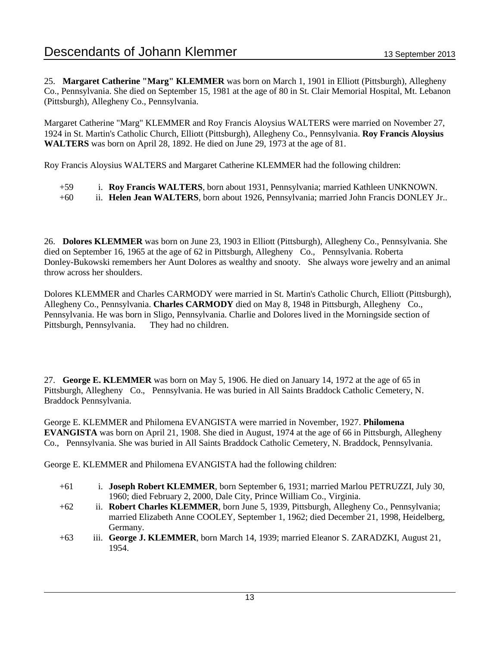25. **Margaret Catherine "Marg" KLEMMER** was born on March 1, 1901 in Elliott (Pittsburgh), Allegheny Co., Pennsylvania. She died on September 15, 1981 at the age of 80 in St. Clair Memorial Hospital, Mt. Lebanon (Pittsburgh), Allegheny Co., Pennsylvania.

Margaret Catherine "Marg" KLEMMER and Roy Francis Aloysius WALTERS were married on November 27, 1924 in St. Martin's Catholic Church, Elliott (Pittsburgh), Allegheny Co., Pennsylvania. **Roy Francis Aloysius WALTERS** was born on April 28, 1892. He died on June 29, 1973 at the age of 81.

Roy Francis Aloysius WALTERS and Margaret Catherine KLEMMER had the following children:

- +59 i. **Roy Francis WALTERS**, born about 1931, Pennsylvania; married Kathleen UNKNOWN.
- +60 ii. **Helen Jean WALTERS**, born about 1926, Pennsylvania; married John Francis DONLEY Jr..

26. **Dolores KLEMMER** was born on June 23, 1903 in Elliott (Pittsburgh), Allegheny Co., Pennsylvania. She died on September 16, 1965 at the age of 62 in Pittsburgh, Allegheny Co., Pennsylvania. Roberta Donley-Bukowski remembers her Aunt Dolores as wealthy and snooty. She always wore jewelry and an animal throw across her shoulders.

Dolores KLEMMER and Charles CARMODY were married in St. Martin's Catholic Church, Elliott (Pittsburgh), Allegheny Co., Pennsylvania. **Charles CARMODY** died on May 8, 1948 in Pittsburgh, Allegheny Co., Pennsylvania. He was born in Sligo, Pennsylvania. Charlie and Dolores lived in the Morningside section of Pittsburgh, Pennsylvania. They had no children.

27. **George E. KLEMMER** was born on May 5, 1906. He died on January 14, 1972 at the age of 65 in Pittsburgh, Allegheny Co., Pennsylvania. He was buried in All Saints Braddock Catholic Cemetery, N. Braddock Pennsylvania.

George E. KLEMMER and Philomena EVANGISTA were married in November, 1927. **Philomena EVANGISTA** was born on April 21, 1908. She died in August, 1974 at the age of 66 in Pittsburgh, Allegheny Co., Pennsylvania. She was buried in All Saints Braddock Catholic Cemetery, N. Braddock, Pennsylvania.

George E. KLEMMER and Philomena EVANGISTA had the following children:

- +61 i. **Joseph Robert KLEMMER**, born September 6, 1931; married Marlou PETRUZZI, July 30, 1960; died February 2, 2000, Dale City, Prince William Co., Virginia.
- +62 ii. **Robert Charles KLEMMER**, born June 5, 1939, Pittsburgh, Allegheny Co., Pennsylvania; married Elizabeth Anne COOLEY, September 1, 1962; died December 21, 1998, Heidelberg, Germany.
- +63 iii. **George J. KLEMMER**, born March 14, 1939; married Eleanor S. ZARADZKI, August 21, 1954.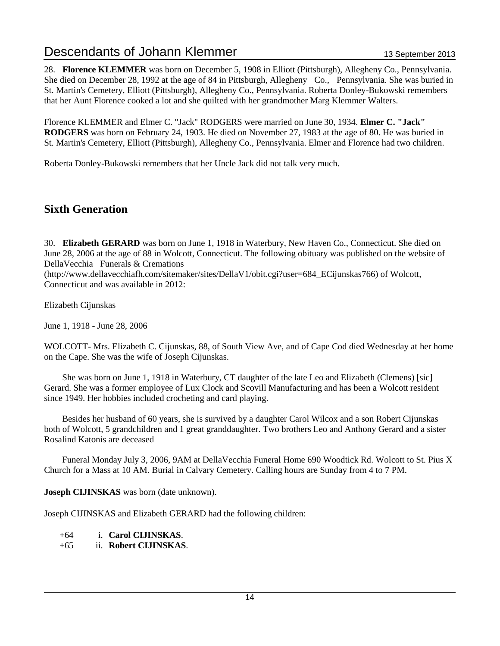28. **Florence KLEMMER** was born on December 5, 1908 in Elliott (Pittsburgh), Allegheny Co., Pennsylvania. She died on December 28, 1992 at the age of 84 in Pittsburgh, Allegheny Co., Pennsylvania. She was buried in St. Martin's Cemetery, Elliott (Pittsburgh), Allegheny Co., Pennsylvania. Roberta Donley-Bukowski remembers that her Aunt Florence cooked a lot and she quilted with her grandmother Marg Klemmer Walters.

Florence KLEMMER and Elmer C. "Jack" RODGERS were married on June 30, 1934. **Elmer C. "Jack" RODGERS** was born on February 24, 1903. He died on November 27, 1983 at the age of 80. He was buried in St. Martin's Cemetery, Elliott (Pittsburgh), Allegheny Co., Pennsylvania. Elmer and Florence had two children.

Roberta Donley-Bukowski remembers that her Uncle Jack did not talk very much.

### **Sixth Generation**

30. **Elizabeth GERARD** was born on June 1, 1918 in Waterbury, New Haven Co., Connecticut. She died on June 28, 2006 at the age of 88 in Wolcott, Connecticut. The following obituary was published on the website of DellaVecchia Funerals & Cremations

(http://www.dellavecchiafh.com/sitemaker/sites/DellaV1/obit.cgi?user=684\_ECijunskas766) of Wolcott, Connecticut and was available in 2012:

Elizabeth Cijunskas

June 1, 1918 - June 28, 2006

WOLCOTT- Mrs. Elizabeth C. Cijunskas, 88, of South View Ave, and of Cape Cod died Wednesday at her home on the Cape. She was the wife of Joseph Cijunskas.

 She was born on June 1, 1918 in Waterbury, CT daughter of the late Leo and Elizabeth (Clemens) [sic] Gerard. She was a former employee of Lux Clock and Scovill Manufacturing and has been a Wolcott resident since 1949. Her hobbies included crocheting and card playing.

 Besides her husband of 60 years, she is survived by a daughter Carol Wilcox and a son Robert Cijunskas both of Wolcott, 5 grandchildren and 1 great granddaughter. Two brothers Leo and Anthony Gerard and a sister Rosalind Katonis are deceased

 Funeral Monday July 3, 2006, 9AM at DellaVecchia Funeral Home 690 Woodtick Rd. Wolcott to St. Pius X Church for a Mass at 10 AM. Burial in Calvary Cemetery. Calling hours are Sunday from 4 to 7 PM.

**Joseph CIJINSKAS** was born (date unknown).

Joseph CIJINSKAS and Elizabeth GERARD had the following children:

+64 i. **Carol CIJINSKAS**.

+65 ii. **Robert CIJINSKAS**.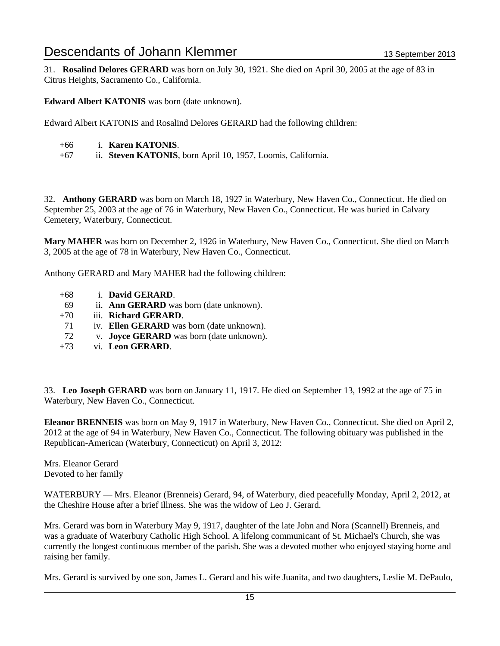31. **Rosalind Delores GERARD** was born on July 30, 1921. She died on April 30, 2005 at the age of 83 in Citrus Heights, Sacramento Co., California.

**Edward Albert KATONIS** was born (date unknown).

Edward Albert KATONIS and Rosalind Delores GERARD had the following children:

- +66 i. **Karen KATONIS**.
- +67 ii. **Steven KATONIS**, born April 10, 1957, Loomis, California.

32. **Anthony GERARD** was born on March 18, 1927 in Waterbury, New Haven Co., Connecticut. He died on September 25, 2003 at the age of 76 in Waterbury, New Haven Co., Connecticut. He was buried in Calvary Cemetery, Waterbury, Connecticut.

**Mary MAHER** was born on December 2, 1926 in Waterbury, New Haven Co., Connecticut. She died on March 3, 2005 at the age of 78 in Waterbury, New Haven Co., Connecticut.

Anthony GERARD and Mary MAHER had the following children:

- +68 i. **David GERARD**.
- 69 ii. **Ann GERARD** was born (date unknown).
- +70 iii. **Richard GERARD**.
- 71 iv. **Ellen GERARD** was born (date unknown).
- 72 v. **Joyce GERARD** was born (date unknown).
- +73 vi. **Leon GERARD**.

33. **Leo Joseph GERARD** was born on January 11, 1917. He died on September 13, 1992 at the age of 75 in Waterbury, New Haven Co., Connecticut.

**Eleanor BRENNEIS** was born on May 9, 1917 in Waterbury, New Haven Co., Connecticut. She died on April 2, 2012 at the age of 94 in Waterbury, New Haven Co., Connecticut. The following obituary was published in the Republican-American (Waterbury, Connecticut) on April 3, 2012:

Mrs. Eleanor Gerard Devoted to her family

WATERBURY — Mrs. Eleanor (Brenneis) Gerard, 94, of Waterbury, died peacefully Monday, April 2, 2012, at the Cheshire House after a brief illness. She was the widow of Leo J. Gerard.

Mrs. Gerard was born in Waterbury May 9, 1917, daughter of the late John and Nora (Scannell) Brenneis, and was a graduate of Waterbury Catholic High School. A lifelong communicant of St. Michael's Church, she was currently the longest continuous member of the parish. She was a devoted mother who enjoyed staying home and raising her family.

Mrs. Gerard is survived by one son, James L. Gerard and his wife Juanita, and two daughters, Leslie M. DePaulo,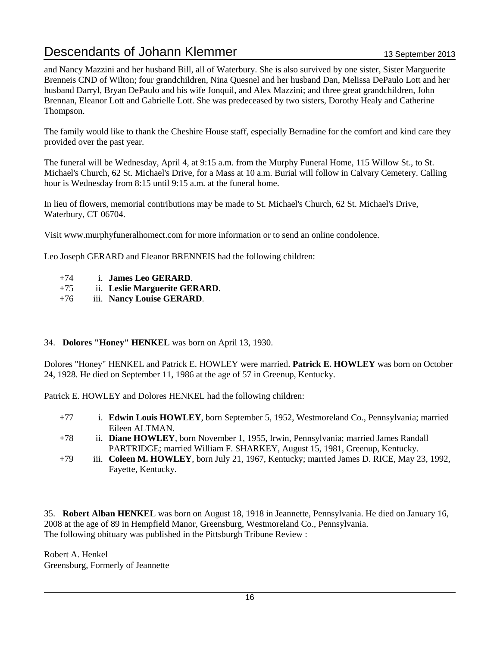and Nancy Mazzini and her husband Bill, all of Waterbury. She is also survived by one sister, Sister Marguerite Brenneis CND of Wilton; four grandchildren, Nina Quesnel and her husband Dan, Melissa DePaulo Lott and her husband Darryl, Bryan DePaulo and his wife Jonquil, and Alex Mazzini; and three great grandchildren, John Brennan, Eleanor Lott and Gabrielle Lott. She was predeceased by two sisters, Dorothy Healy and Catherine Thompson.

The family would like to thank the Cheshire House staff, especially Bernadine for the comfort and kind care they provided over the past year.

The funeral will be Wednesday, April 4, at 9:15 a.m. from the Murphy Funeral Home, 115 Willow St., to St. Michael's Church, 62 St. Michael's Drive, for a Mass at 10 a.m. Burial will follow in Calvary Cemetery. Calling hour is Wednesday from 8:15 until 9:15 a.m. at the funeral home.

In lieu of flowers, memorial contributions may be made to St. Michael's Church, 62 St. Michael's Drive, Waterbury, CT 06704.

Visit www.murphyfuneralhomect.com for more information or to send an online condolence.

Leo Joseph GERARD and Eleanor BRENNEIS had the following children:

- +74 i. **James Leo GERARD**.
- +75 ii. **Leslie Marguerite GERARD**.
- +76 iii. **Nancy Louise GERARD**.

#### 34. **Dolores "Honey" HENKEL** was born on April 13, 1930.

Dolores "Honey" HENKEL and Patrick E. HOWLEY were married. **Patrick E. HOWLEY** was born on October 24, 1928. He died on September 11, 1986 at the age of 57 in Greenup, Kentucky.

Patrick E. HOWLEY and Dolores HENKEL had the following children:

- +77 i. **Edwin Louis HOWLEY**, born September 5, 1952, Westmoreland Co., Pennsylvania; married Eileen ALTMAN.
- +78 ii. **Diane HOWLEY**, born November 1, 1955, Irwin, Pennsylvania; married James Randall PARTRIDGE; married William F. SHARKEY, August 15, 1981, Greenup, Kentucky.
- +79 iii. **Coleen M. HOWLEY**, born July 21, 1967, Kentucky; married James D. RICE, May 23, 1992, Fayette, Kentucky.

35. **Robert Alban HENKEL** was born on August 18, 1918 in Jeannette, Pennsylvania. He died on January 16, 2008 at the age of 89 in Hempfield Manor, Greensburg, Westmoreland Co., Pennsylvania. The following obituary was published in the Pittsburgh Tribune Review :

Robert A. Henkel Greensburg, Formerly of Jeannette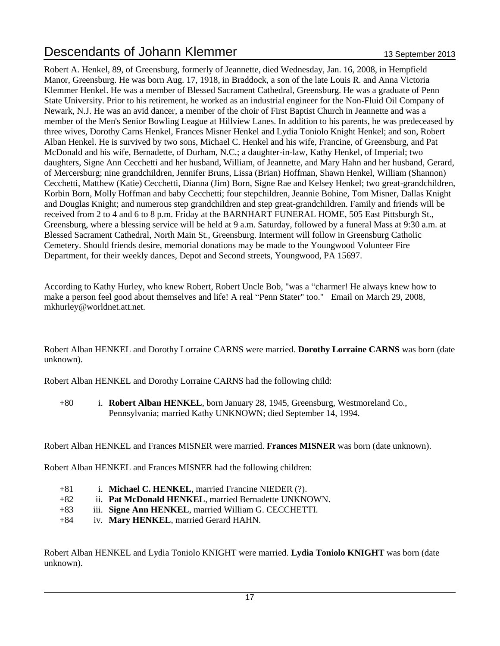Robert A. Henkel, 89, of Greensburg, formerly of Jeannette, died Wednesday, Jan. 16, 2008, in Hempfield Manor, Greensburg. He was born Aug. 17, 1918, in Braddock, a son of the late Louis R. and Anna Victoria Klemmer Henkel. He was a member of Blessed Sacrament Cathedral, Greensburg. He was a graduate of Penn State University. Prior to his retirement, he worked as an industrial engineer for the Non-Fluid Oil Company of Newark, N.J. He was an avid dancer, a member of the choir of First Baptist Church in Jeannette and was a member of the Men's Senior Bowling League at Hillview Lanes. In addition to his parents, he was predeceased by three wives, Dorothy Carns Henkel, Frances Misner Henkel and Lydia Toniolo Knight Henkel; and son, Robert Alban Henkel. He is survived by two sons, Michael C. Henkel and his wife, Francine, of Greensburg, and Pat McDonald and his wife, Bernadette, of Durham, N.C.; a daughter-in-law, Kathy Henkel, of Imperial; two daughters, Signe Ann Cecchetti and her husband, William, of Jeannette, and Mary Hahn and her husband, Gerard, of Mercersburg; nine grandchildren, Jennifer Bruns, Lissa (Brian) Hoffman, Shawn Henkel, William (Shannon) Cecchetti, Matthew (Katie) Cecchetti, Dianna (Jim) Born, Signe Rae and Kelsey Henkel; two great-grandchildren, Korbin Born, Molly Hoffman and baby Cecchetti; four stepchildren, Jeannie Bohine, Tom Misner, Dallas Knight and Douglas Knight; and numerous step grandchildren and step great-grandchildren. Family and friends will be received from 2 to 4 and 6 to 8 p.m. Friday at the BARNHART FUNERAL HOME, 505 East Pittsburgh St., Greensburg, where a blessing service will be held at 9 a.m. Saturday, followed by a funeral Mass at 9:30 a.m. at Blessed Sacrament Cathedral, North Main St., Greensburg. Interment will follow in Greensburg Catholic Cemetery. Should friends desire, memorial donations may be made to the Youngwood Volunteer Fire Department, for their weekly dances, Depot and Second streets, Youngwood, PA 15697.

According to Kathy Hurley, who knew Robert, Robert Uncle Bob, "was a "charmer! He always knew how to make a person feel good about themselves and life! A real "Penn Stater" too." Email on March 29, 2008, mkhurley@worldnet.att.net.

Robert Alban HENKEL and Dorothy Lorraine CARNS were married. **Dorothy Lorraine CARNS** was born (date unknown).

Robert Alban HENKEL and Dorothy Lorraine CARNS had the following child:

+80 i. **Robert Alban HENKEL**, born January 28, 1945, Greensburg, Westmoreland Co., Pennsylvania; married Kathy UNKNOWN; died September 14, 1994.

Robert Alban HENKEL and Frances MISNER were married. **Frances MISNER** was born (date unknown).

Robert Alban HENKEL and Frances MISNER had the following children:

- +81 i. **Michael C. HENKEL**, married Francine NIEDER (?).
- +82 ii. **Pat McDonald HENKEL**, married Bernadette UNKNOWN.
- +83 iii. **Signe Ann HENKEL**, married William G. CECCHETTI.
- +84 iv. **Mary HENKEL**, married Gerard HAHN.

Robert Alban HENKEL and Lydia Toniolo KNIGHT were married. **Lydia Toniolo KNIGHT** was born (date unknown).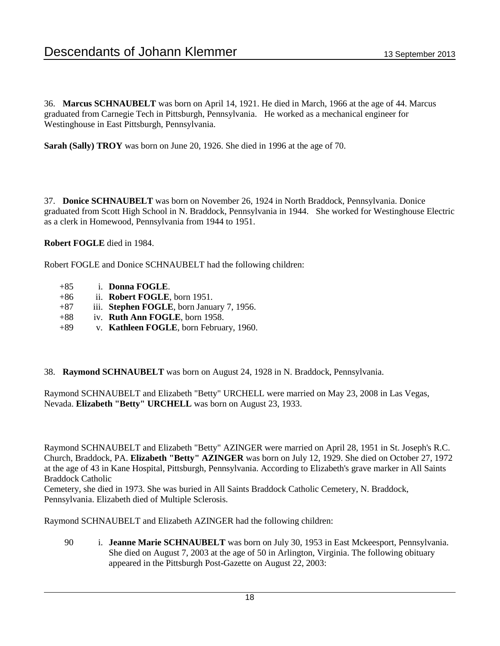36. **Marcus SCHNAUBELT** was born on April 14, 1921. He died in March, 1966 at the age of 44. Marcus graduated from Carnegie Tech in Pittsburgh, Pennsylvania. He worked as a mechanical engineer for Westinghouse in East Pittsburgh, Pennsylvania.

**Sarah (Sally) TROY** was born on June 20, 1926. She died in 1996 at the age of 70.

37. **Donice SCHNAUBELT** was born on November 26, 1924 in North Braddock, Pennsylvania. Donice graduated from Scott High School in N. Braddock, Pennsylvania in 1944. She worked for Westinghouse Electric as a clerk in Homewood, Pennsylvania from 1944 to 1951.

**Robert FOGLE** died in 1984.

Robert FOGLE and Donice SCHNAUBELT had the following children:

- +85 i. **Donna FOGLE**.
- +86 ii. **Robert FOGLE**, born 1951.
- +87 iii. **Stephen FOGLE**, born January 7, 1956.
- +88 iv. **Ruth Ann FOGLE**, born 1958.
- +89 v. **Kathleen FOGLE**, born February, 1960.
- 38. **Raymond SCHNAUBELT** was born on August 24, 1928 in N. Braddock, Pennsylvania.

Raymond SCHNAUBELT and Elizabeth "Betty" URCHELL were married on May 23, 2008 in Las Vegas, Nevada. **Elizabeth "Betty" URCHELL** was born on August 23, 1933.

Raymond SCHNAUBELT and Elizabeth "Betty" AZINGER were married on April 28, 1951 in St. Joseph's R.C. Church, Braddock, PA. **Elizabeth "Betty" AZINGER** was born on July 12, 1929. She died on October 27, 1972 at the age of 43 in Kane Hospital, Pittsburgh, Pennsylvania. According to Elizabeth's grave marker in All Saints Braddock Catholic

Cemetery, she died in 1973. She was buried in All Saints Braddock Catholic Cemetery, N. Braddock, Pennsylvania. Elizabeth died of Multiple Sclerosis.

Raymond SCHNAUBELT and Elizabeth AZINGER had the following children:

90 i. **Jeanne Marie SCHNAUBELT** was born on July 30, 1953 in East Mckeesport, Pennsylvania. She died on August 7, 2003 at the age of 50 in Arlington, Virginia. The following obituary appeared in the Pittsburgh Post-Gazette on August 22, 2003: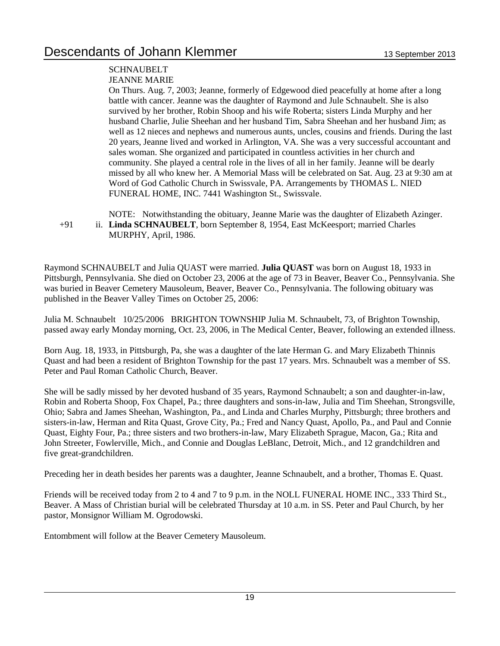#### **SCHNAUBELT**

#### JEANNE MARIE

On Thurs. Aug. 7, 2003; Jeanne, formerly of Edgewood died peacefully at home after a long battle with cancer. Jeanne was the daughter of Raymond and Jule Schnaubelt. She is also survived by her brother, Robin Shoop and his wife Roberta; sisters Linda Murphy and her husband Charlie, Julie Sheehan and her husband Tim, Sabra Sheehan and her husband Jim; as well as 12 nieces and nephews and numerous aunts, uncles, cousins and friends. During the last 20 years, Jeanne lived and worked in Arlington, VA. She was a very successful accountant and sales woman. She organized and participated in countless activities in her church and community. She played a central role in the lives of all in her family. Jeanne will be dearly missed by all who knew her. A Memorial Mass will be celebrated on Sat. Aug. 23 at 9:30 am at Word of God Catholic Church in Swissvale, PA. Arrangements by THOMAS L. NIED FUNERAL HOME, INC. 7441 Washington St., Swissvale.

NOTE: Notwithstanding the obituary, Jeanne Marie was the daughter of Elizabeth Azinger. +91 ii. **Linda SCHNAUBELT**, born September 8, 1954, East McKeesport; married Charles MURPHY, April, 1986.

Raymond SCHNAUBELT and Julia QUAST were married. **Julia QUAST** was born on August 18, 1933 in Pittsburgh, Pennsylvania. She died on October 23, 2006 at the age of 73 in Beaver, Beaver Co., Pennsylvania. She was buried in Beaver Cemetery Mausoleum, Beaver, Beaver Co., Pennsylvania. The following obituary was published in the Beaver Valley Times on October 25, 2006:

Julia M. Schnaubelt 10/25/2006 BRIGHTON TOWNSHIP Julia M. Schnaubelt, 73, of Brighton Township, passed away early Monday morning, Oct. 23, 2006, in The Medical Center, Beaver, following an extended illness.

Born Aug. 18, 1933, in Pittsburgh, Pa, she was a daughter of the late Herman G. and Mary Elizabeth Thinnis Quast and had been a resident of Brighton Township for the past 17 years. Mrs. Schnaubelt was a member of SS. Peter and Paul Roman Catholic Church, Beaver.

She will be sadly missed by her devoted husband of 35 years, Raymond Schnaubelt; a son and daughter-in-law, Robin and Roberta Shoop, Fox Chapel, Pa.; three daughters and sons-in-law, Julia and Tim Sheehan, Strongsville, Ohio; Sabra and James Sheehan, Washington, Pa., and Linda and Charles Murphy, Pittsburgh; three brothers and sisters-in-law, Herman and Rita Quast, Grove City, Pa.; Fred and Nancy Quast, Apollo, Pa., and Paul and Connie Quast, Eighty Four, Pa.; three sisters and two brothers-in-law, Mary Elizabeth Sprague, Macon, Ga.; Rita and John Streeter, Fowlerville, Mich., and Connie and Douglas LeBlanc, Detroit, Mich., and 12 grandchildren and five great-grandchildren.

Preceding her in death besides her parents was a daughter, Jeanne Schnaubelt, and a brother, Thomas E. Quast.

Friends will be received today from 2 to 4 and 7 to 9 p.m. in the NOLL FUNERAL HOME INC., 333 Third St., Beaver. A Mass of Christian burial will be celebrated Thursday at 10 a.m. in SS. Peter and Paul Church, by her pastor, Monsignor William M. Ogrodowski.

Entombment will follow at the Beaver Cemetery Mausoleum.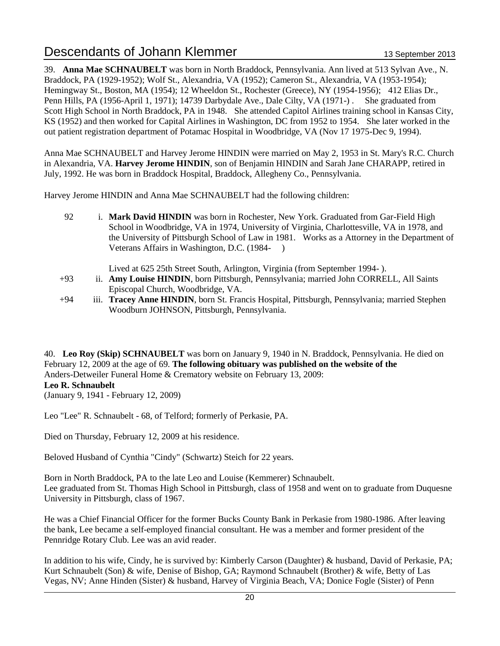39. **Anna Mae SCHNAUBELT** was born in North Braddock, Pennsylvania. Ann lived at 513 Sylvan Ave., N. Braddock, PA (1929-1952); Wolf St., Alexandria, VA (1952); Cameron St., Alexandria, VA (1953-1954); Hemingway St., Boston, MA (1954); 12 Wheeldon St., Rochester (Greece), NY (1954-1956); 412 Elias Dr., Penn Hills, PA (1956-April 1, 1971); 14739 Darbydale Ave., Dale Cilty, VA (1971-) . She graduated from Scott High School in North Braddock, PA in 1948. She attended Capitol Airlines training school in Kansas City, KS (1952) and then worked for Capital Airlines in Washington, DC from 1952 to 1954. She later worked in the out patient registration department of Potamac Hospital in Woodbridge, VA (Nov 17 1975-Dec 9, 1994).

Anna Mae SCHNAUBELT and Harvey Jerome HINDIN were married on May 2, 1953 in St. Mary's R.C. Church in Alexandria, VA. **Harvey Jerome HINDIN**, son of Benjamin HINDIN and Sarah Jane CHARAPP, retired in July, 1992. He was born in Braddock Hospital, Braddock, Allegheny Co., Pennsylvania.

Harvey Jerome HINDIN and Anna Mae SCHNAUBELT had the following children:

92 i. **Mark David HINDIN** was born in Rochester, New York. Graduated from Gar-Field High School in Woodbridge, VA in 1974, University of Virginia, Charlottesville, VA in 1978, and the University of Pittsburgh School of Law in 1981. Works as a Attorney in the Department of Veterans Affairs in Washington, D.C. (1984- )

Lived at 625 25th Street South, Arlington, Virginia (from September 1994- ).

- +93 ii. **Amy Louise HINDIN**, born Pittsburgh, Pennsylvania; married John CORRELL, All Saints Episcopal Church, Woodbridge, VA.
- +94 iii. **Tracey Anne HINDIN**, born St. Francis Hospital, Pittsburgh, Pennsylvania; married Stephen Woodburn JOHNSON, Pittsburgh, Pennsylvania.

40. **Leo Roy (Skip) SCHNAUBELT** was born on January 9, 1940 in N. Braddock, Pennsylvania. He died on February 12, 2009 at the age of 69. **The following obituary was published on the website of the**  Anders-Detweiler Funeral Home & Crematory website on February 13, 2009: **Leo R. Schnaubelt** (January 9, 1941 - February 12, 2009)

Leo "Lee" R. Schnaubelt - 68, of Telford; formerly of Perkasie, PA.

Died on Thursday, February 12, 2009 at his residence.

Beloved Husband of Cynthia "Cindy" (Schwartz) Steich for 22 years.

Born in North Braddock, PA to the late Leo and Louise (Kemmerer) Schnaubelt. Lee graduated from St. Thomas High School in Pittsburgh, class of 1958 and went on to graduate from Duquesne University in Pittsburgh, class of 1967.

He was a Chief Financial Officer for the former Bucks County Bank in Perkasie from 1980-1986. After leaving the bank, Lee became a self-employed financial consultant. He was a member and former president of the Pennridge Rotary Club. Lee was an avid reader.

In addition to his wife, Cindy, he is survived by: Kimberly Carson (Daughter) & husband, David of Perkasie, PA; Kurt Schnaubelt (Son) & wife, Denise of Bishop, GA; Raymond Schnaubelt (Brother) & wife, Betty of Las Vegas, NV; Anne Hinden (Sister) & husband, Harvey of Virginia Beach, VA; Donice Fogle (Sister) of Penn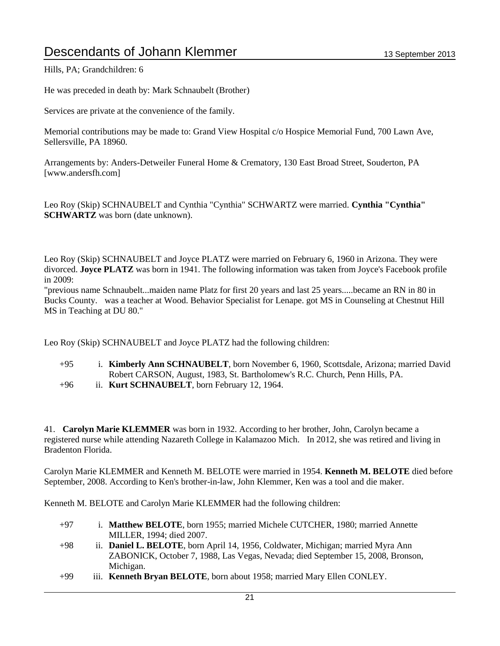Hills, PA; Grandchildren: 6

He was preceded in death by: Mark Schnaubelt (Brother)

Services are private at the convenience of the family.

Memorial contributions may be made to: Grand View Hospital c/o Hospice Memorial Fund, 700 Lawn Ave, Sellersville, PA 18960.

Arrangements by: Anders-Detweiler Funeral Home & Crematory, 130 East Broad Street, Souderton, PA [www.andersfh.com]

Leo Roy (Skip) SCHNAUBELT and Cynthia "Cynthia" SCHWARTZ were married. **Cynthia "Cynthia" SCHWARTZ** was born (date unknown).

Leo Roy (Skip) SCHNAUBELT and Joyce PLATZ were married on February 6, 1960 in Arizona. They were divorced. **Joyce PLATZ** was born in 1941. The following information was taken from Joyce's Facebook profile in 2009:

"previous name Schnaubelt...maiden name Platz for first 20 years and last 25 years.....became an RN in 80 in Bucks County. was a teacher at Wood. Behavior Specialist for Lenape. got MS in Counseling at Chestnut Hill MS in Teaching at DU 80."

Leo Roy (Skip) SCHNAUBELT and Joyce PLATZ had the following children:

- +95 i. **Kimberly Ann SCHNAUBELT**, born November 6, 1960, Scottsdale, Arizona; married David Robert CARSON, August, 1983, St. Bartholomew's R.C. Church, Penn Hills, PA.
- +96 ii. **Kurt SCHNAUBELT**, born February 12, 1964.

41. **Carolyn Marie KLEMMER** was born in 1932. According to her brother, John, Carolyn became a registered nurse while attending Nazareth College in Kalamazoo Mich. In 2012, she was retired and living in Bradenton Florida.

Carolyn Marie KLEMMER and Kenneth M. BELOTE were married in 1954. **Kenneth M. BELOTE** died before September, 2008. According to Ken's brother-in-law, John Klemmer, Ken was a tool and die maker.

Kenneth M. BELOTE and Carolyn Marie KLEMMER had the following children:

- +97 i. **Matthew BELOTE**, born 1955; married Michele CUTCHER, 1980; married Annette MILLER, 1994; died 2007.
- +98 ii. **Daniel L. BELOTE**, born April 14, 1956, Coldwater, Michigan; married Myra Ann ZABONICK, October 7, 1988, Las Vegas, Nevada; died September 15, 2008, Bronson, Michigan.
- +99 iii. **Kenneth Bryan BELOTE**, born about 1958; married Mary Ellen CONLEY.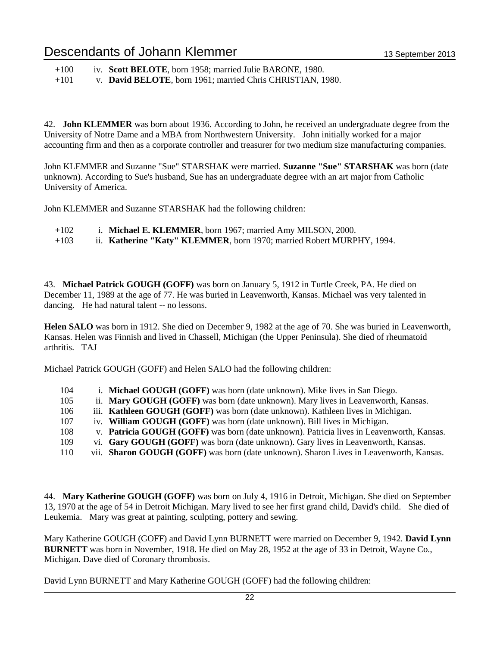| $+100$ |  |  |  | iv. Scott BELOTE, born 1958; married Julie BARONE, 1980. |  |
|--------|--|--|--|----------------------------------------------------------|--|
|--------|--|--|--|----------------------------------------------------------|--|

+101 v. **David BELOTE**, born 1961; married Chris CHRISTIAN, 1980.

42. **John KLEMMER** was born about 1936. According to John, he received an undergraduate degree from the University of Notre Dame and a MBA from Northwestern University. John initially worked for a major accounting firm and then as a corporate controller and treasurer for two medium size manufacturing companies.

John KLEMMER and Suzanne "Sue" STARSHAK were married. **Suzanne "Sue" STARSHAK** was born (date unknown). According to Sue's husband, Sue has an undergraduate degree with an art major from Catholic University of America.

John KLEMMER and Suzanne STARSHAK had the following children:

- +102 i. **Michael E. KLEMMER**, born 1967; married Amy MILSON, 2000.
- +103 ii. **Katherine "Katy" KLEMMER**, born 1970; married Robert MURPHY, 1994.

43. **Michael Patrick GOUGH (GOFF)** was born on January 5, 1912 in Turtle Creek, PA. He died on December 11, 1989 at the age of 77. He was buried in Leavenworth, Kansas. Michael was very talented in dancing. He had natural talent -- no lessons.

**Helen SALO** was born in 1912. She died on December 9, 1982 at the age of 70. She was buried in Leavenworth, Kansas. Helen was Finnish and lived in Chassell, Michigan (the Upper Peninsula). She died of rheumatoid arthritis. TAJ

Michael Patrick GOUGH (GOFF) and Helen SALO had the following children:

| 104 | i. Michael GOUGH (GOFF) was born (date unknown). Mike lives in San Diego.                |
|-----|------------------------------------------------------------------------------------------|
| 105 | ii. Mary GOUGH (GOFF) was born (date unknown). Mary lives in Leavenworth, Kansas.        |
| 106 | iii. Kathleen GOUGH (GOFF) was born (date unknown). Kathleen lives in Michigan.          |
| 107 | iv. William GOUGH (GOFF) was born (date unknown). Bill lives in Michigan.                |
| 108 | v. Patricia GOUGH (GOFF) was born (date unknown). Patricia lives in Leavenworth, Kansas. |
| 109 | vi. Gary GOUGH (GOFF) was born (date unknown). Gary lives in Leavenworth, Kansas.        |
| 110 | vii. Sharon GOUGH (GOFF) was born (date unknown). Sharon Lives in Leavenworth, Kansas.   |

44. **Mary Katherine GOUGH (GOFF)** was born on July 4, 1916 in Detroit, Michigan. She died on September 13, 1970 at the age of 54 in Detroit Michigan. Mary lived to see her first grand child, David's child. She died of Leukemia. Mary was great at painting, sculpting, pottery and sewing.

Mary Katherine GOUGH (GOFF) and David Lynn BURNETT were married on December 9, 1942. **David Lynn BURNETT** was born in November, 1918. He died on May 28, 1952 at the age of 33 in Detroit, Wayne Co., Michigan. Dave died of Coronary thrombosis.

David Lynn BURNETT and Mary Katherine GOUGH (GOFF) had the following children: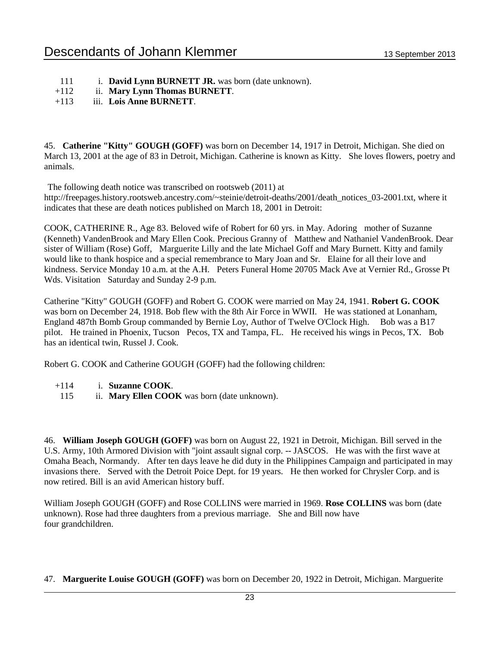- 111 i. **David Lynn BURNETT JR.** was born (date unknown).
- +112 ii. **Mary Lynn Thomas BURNETT**.

### +113 iii. **Lois Anne BURNETT**.

45. **Catherine "Kitty" GOUGH (GOFF)** was born on December 14, 1917 in Detroit, Michigan. She died on March 13, 2001 at the age of 83 in Detroit, Michigan. Catherine is known as Kitty. She loves flowers, poetry and animals.

The following death notice was transcribed on rootsweb (2011) at

http://freepages.history.rootsweb.ancestry.com/~steinie/detroit-deaths/2001/death\_notices\_03-2001.txt, where it indicates that these are death notices published on March 18, 2001 in Detroit:

COOK, CATHERINE R., Age 83. Beloved wife of Robert for 60 yrs. in May. Adoring mother of Suzanne (Kenneth) VandenBrook and Mary Ellen Cook. Precious Granny of Matthew and Nathaniel VandenBrook. Dear sister of William (Rose) Goff, Marguerite Lilly and the late Michael Goff and Mary Burnett. Kitty and family would like to thank hospice and a special remembrance to Mary Joan and Sr. Elaine for all their love and kindness. Service Monday 10 a.m. at the A.H. Peters Funeral Home 20705 Mack Ave at Vernier Rd., Grosse Pt Wds. Visitation Saturday and Sunday 2-9 p.m.

Catherine "Kitty" GOUGH (GOFF) and Robert G. COOK were married on May 24, 1941. **Robert G. COOK** was born on December 24, 1918. Bob flew with the 8th Air Force in WWII. He was stationed at Lonanham, England 487th Bomb Group commanded by Bernie Loy, Author of Twelve O'Clock High. Bob was a B17 pilot. He trained in Phoenix, Tucson Pecos, TX and Tampa, FL. He received his wings in Pecos, TX. Bob has an identical twin, Russel J. Cook.

Robert G. COOK and Catherine GOUGH (GOFF) had the following children:

- +114 i. **Suzanne COOK**.
- 115 ii. **Mary Ellen COOK** was born (date unknown).

46. **William Joseph GOUGH (GOFF)** was born on August 22, 1921 in Detroit, Michigan. Bill served in the U.S. Army, 10th Armored Division with "joint assault signal corp. -- JASCOS. He was with the first wave at Omaha Beach, Normandy. After ten days leave he did duty in the Philippines Campaign and participated in may invasions there. Served with the Detroit Poice Dept. for 19 years. He then worked for Chrysler Corp. and is now retired. Bill is an avid American history buff.

William Joseph GOUGH (GOFF) and Rose COLLINS were married in 1969. **Rose COLLINS** was born (date unknown). Rose had three daughters from a previous marriage. She and Bill now have four grandchildren.

47. **Marguerite Louise GOUGH (GOFF)** was born on December 20, 1922 in Detroit, Michigan. Marguerite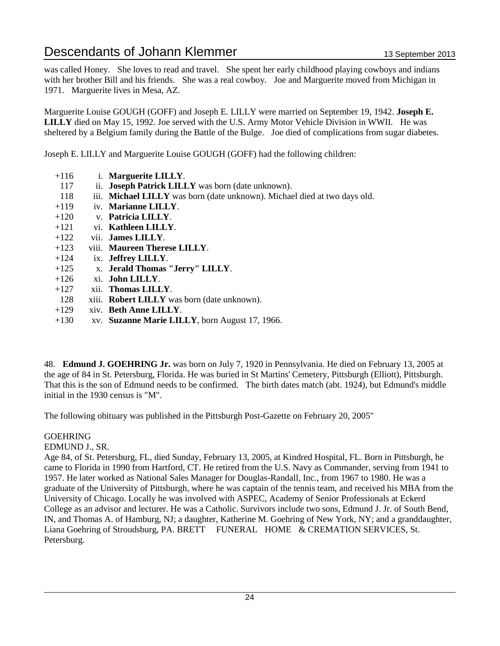was called Honey. She loves to read and travel. She spent her early childhood playing cowboys and indians with her brother Bill and his friends. She was a real cowboy. Joe and Marguerite moved from Michigan in 1971. Marguerite lives in Mesa, AZ.

Marguerite Louise GOUGH (GOFF) and Joseph E. LILLY were married on September 19, 1942. **Joseph E. LILLY** died on May 15, 1992. Joe served with the U.S. Army Motor Vehicle Division in WWII. He was sheltered by a Belgium family during the Battle of the Bulge. Joe died of complications from sugar diabetes.

Joseph E. LILLY and Marguerite Louise GOUGH (GOFF) had the following children:

- +116 i. **Marguerite LILLY**.
- 117 ii. **Joseph Patrick LILLY** was born (date unknown).
- 118 iii. **Michael LILLY** was born (date unknown). Michael died at two days old.
- +119 iv. **Marianne LILLY**.
- +120 v. **Patricia LILLY**.
- +121 vi. **Kathleen LILLY**.
- +122 vii. **James LILLY**.
- +123 viii. **Maureen Therese LILLY**.
- +124 ix. **Jeffrey LILLY**.
- +125 x. **Jerald Thomas "Jerry" LILLY**.
- +126 xi. **John LILLY**.
- +127 xii. **Thomas LILLY**.
- 128 xiii. **Robert LILLY** was born (date unknown).
- +129 xiv. **Beth Anne LILLY**.
- +130 xv. **Suzanne Marie LILLY**, born August 17, 1966.

48. **Edmund J. GOEHRING Jr.** was born on July 7, 1920 in Pennsylvania. He died on February 13, 2005 at the age of 84 in St. Petersburg, Florida. He was buried in St Martins' Cemetery, Pittsburgh (Elliott), Pittsburgh. That this is the son of Edmund needs to be confirmed. The birth dates match (abt. 1924), but Edmund's middle initial in the 1930 census is "M".

The following obituary was published in the Pittsburgh Post-Gazette on February 20, 2005"

#### GOEHRING

EDMUND J., SR.

Age 84, of St. Petersburg, FL, died Sunday, February 13, 2005, at Kindred Hospital, FL. Born in Pittsburgh, he came to Florida in 1990 from Hartford, CT. He retired from the U.S. Navy as Commander, serving from 1941 to 1957. He later worked as National Sales Manager for Douglas-Randall, Inc., from 1967 to 1980. He was a graduate of the University of Pittsburgh, where he was captain of the tennis team, and received his MBA from the University of Chicago. Locally he was involved with ASPEC, Academy of Senior Professionals at Eckerd College as an advisor and lecturer. He was a Catholic. Survivors include two sons, Edmund J. Jr. of South Bend, IN, and Thomas A. of Hamburg, NJ; a daughter, Katherine M. Goehring of New York, NY; and a granddaughter, Liana Goehring of Stroudsburg, PA. BRETT FUNERAL HOME & CREMATION SERVICES, St. Petersburg.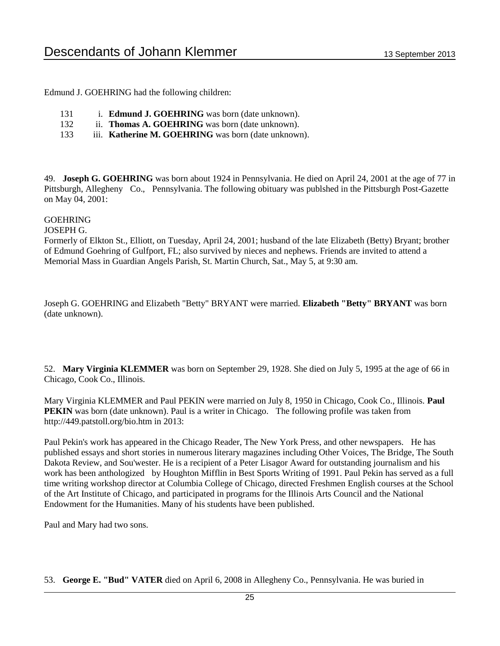Edmund J. GOEHRING had the following children:

- 131 i. **Edmund J. GOEHRING** was born (date unknown).
- 132 ii. **Thomas A. GOEHRING** was born (date unknown).
- 133 iii. **Katherine M. GOEHRING** was born (date unknown).

49. **Joseph G. GOEHRING** was born about 1924 in Pennsylvania. He died on April 24, 2001 at the age of 77 in Pittsburgh, Allegheny Co., Pennsylvania. The following obituary was publshed in the Pittsburgh Post-Gazette on May 04, 2001:

#### GOEHRING

JOSEPH G.

Formerly of Elkton St., Elliott, on Tuesday, April 24, 2001; husband of the late Elizabeth (Betty) Bryant; brother of Edmund Goehring of Gulfport, FL; also survived by nieces and nephews. Friends are invited to attend a Memorial Mass in Guardian Angels Parish, St. Martin Church, Sat., May 5, at 9:30 am.

Joseph G. GOEHRING and Elizabeth "Betty" BRYANT were married. **Elizabeth "Betty" BRYANT** was born (date unknown).

52. **Mary Virginia KLEMMER** was born on September 29, 1928. She died on July 5, 1995 at the age of 66 in Chicago, Cook Co., Illinois.

Mary Virginia KLEMMER and Paul PEKIN were married on July 8, 1950 in Chicago, Cook Co., Illinois. **Paul PEKIN** was born (date unknown). Paul is a writer in Chicago. The following profile was taken from http://449.patstoll.org/bio.htm in 2013:

Paul Pekin's work has appeared in the Chicago Reader, The New York Press, and other newspapers. He has published essays and short stories in numerous literary magazines including Other Voices, The Bridge, The South Dakota Review, and Sou'wester. He is a recipient of a Peter Lisagor Award for outstanding journalism and his work has been anthologized by Houghton Mifflin in Best Sports Writing of 1991. Paul Pekin has served as a full time writing workshop director at Columbia College of Chicago, directed Freshmen English courses at the School of the Art Institute of Chicago, and participated in programs for the Illinois Arts Council and the National Endowment for the Humanities. Many of his students have been published.

Paul and Mary had two sons.

53. **George E. "Bud" VATER** died on April 6, 2008 in Allegheny Co., Pennsylvania. He was buried in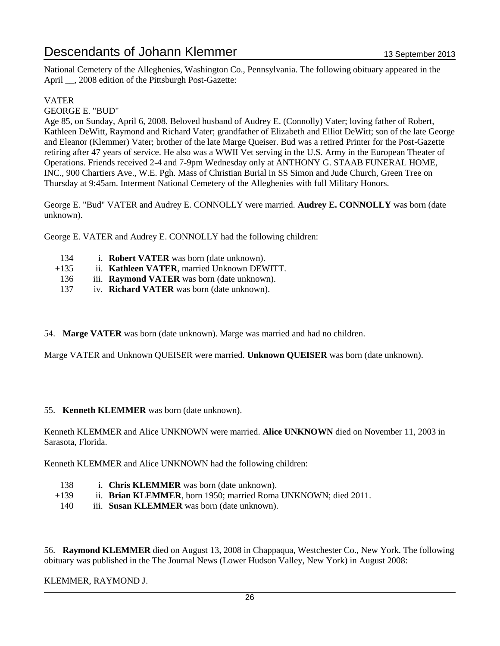National Cemetery of the Alleghenies, Washington Co., Pennsylvania. The following obituary appeared in the April \_\_, 2008 edition of the Pittsburgh Post-Gazette:

#### VATER

GEORGE E. "BUD"

Age 85, on Sunday, April 6, 2008. Beloved husband of Audrey E. (Connolly) Vater; loving father of Robert, Kathleen DeWitt, Raymond and Richard Vater; grandfather of Elizabeth and Elliot DeWitt; son of the late George and Eleanor (Klemmer) Vater; brother of the late Marge Queiser. Bud was a retired Printer for the Post-Gazette retiring after 47 years of service. He also was a WWII Vet serving in the U.S. Army in the European Theater of Operations. Friends received 2-4 and 7-9pm Wednesday only at ANTHONY G. STAAB FUNERAL HOME, INC., 900 Chartiers Ave., W.E. Pgh. Mass of Christian Burial in SS Simon and Jude Church, Green Tree on Thursday at 9:45am. Interment National Cemetery of the Alleghenies with full Military Honors.

George E. "Bud" VATER and Audrey E. CONNOLLY were married. **Audrey E. CONNOLLY** was born (date unknown).

George E. VATER and Audrey E. CONNOLLY had the following children:

- 134 i. **Robert VATER** was born (date unknown).
- +135 ii. **Kathleen VATER**, married Unknown DEWITT.
- 136 iii. **Raymond VATER** was born (date unknown).
- 137 iv. **Richard VATER** was born (date unknown).
- 54. **Marge VATER** was born (date unknown). Marge was married and had no children.

Marge VATER and Unknown QUEISER were married. **Unknown QUEISER** was born (date unknown).

#### 55. **Kenneth KLEMMER** was born (date unknown).

Kenneth KLEMMER and Alice UNKNOWN were married. **Alice UNKNOWN** died on November 11, 2003 in Sarasota, Florida.

Kenneth KLEMMER and Alice UNKNOWN had the following children:

- 138 i. **Chris KLEMMER** was born (date unknown).
- +139 ii. **Brian KLEMMER**, born 1950; married Roma UNKNOWN; died 2011.
- 140 iii. **Susan KLEMMER** was born (date unknown).

56. **Raymond KLEMMER** died on August 13, 2008 in Chappaqua, Westchester Co., New York. The following obituary was published in the The Journal News (Lower Hudson Valley, New York) in August 2008:

#### KLEMMER, RAYMOND J.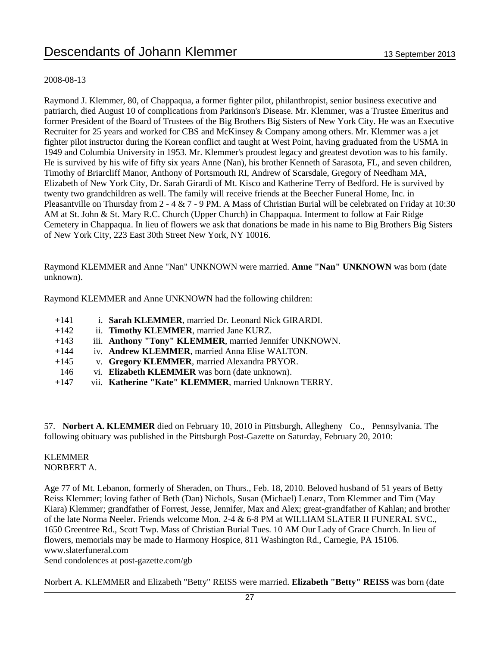#### 2008-08-13

Raymond J. Klemmer, 80, of Chappaqua, a former fighter pilot, philanthropist, senior business executive and patriarch, died August 10 of complications from Parkinson's Disease. Mr. Klemmer, was a Trustee Emeritus and former President of the Board of Trustees of the Big Brothers Big Sisters of New York City. He was an Executive Recruiter for 25 years and worked for CBS and McKinsey & Company among others. Mr. Klemmer was a jet fighter pilot instructor during the Korean conflict and taught at West Point, having graduated from the USMA in 1949 and Columbia University in 1953. Mr. Klemmer's proudest legacy and greatest devotion was to his family. He is survived by his wife of fifty six years Anne (Nan), his brother Kenneth of Sarasota, FL, and seven children, Timothy of Briarcliff Manor, Anthony of Portsmouth RI, Andrew of Scarsdale, Gregory of Needham MA, Elizabeth of New York City, Dr. Sarah Girardi of Mt. Kisco and Katherine Terry of Bedford. He is survived by twenty two grandchildren as well. The family will receive friends at the Beecher Funeral Home, Inc. in Pleasantville on Thursday from  $2 - 4 \& 7 - 9$  PM. A Mass of Christian Burial will be celebrated on Friday at 10:30 AM at St. John & St. Mary R.C. Church (Upper Church) in Chappaqua. Interment to follow at Fair Ridge Cemetery in Chappaqua. In lieu of flowers we ask that donations be made in his name to Big Brothers Big Sisters of New York City, 223 East 30th Street New York, NY 10016.

Raymond KLEMMER and Anne "Nan" UNKNOWN were married. **Anne "Nan" UNKNOWN** was born (date unknown).

Raymond KLEMMER and Anne UNKNOWN had the following children:

- +141 i. **Sarah KLEMMER**, married Dr. Leonard Nick GIRARDI.
- +142 ii. **Timothy KLEMMER**, married Jane KURZ.
- +143 iii. **Anthony "Tony" KLEMMER**, married Jennifer UNKNOWN.
- +144 iv. **Andrew KLEMMER**, married Anna Elise WALTON.
- +145 v. **Gregory KLEMMER**, married Alexandra PRYOR.
- 146 vi. **Elizabeth KLEMMER** was born (date unknown).
- +147 vii. **Katherine "Kate" KLEMMER**, married Unknown TERRY.

57. **Norbert A. KLEMMER** died on February 10, 2010 in Pittsburgh, Allegheny Co., Pennsylvania. The following obituary was published in the Pittsburgh Post-Gazette on Saturday, February 20, 2010:

#### KLEMMER NORBERT A.

Age 77 of Mt. Lebanon, formerly of Sheraden, on Thurs., Feb. 18, 2010. Beloved husband of 51 years of Betty Reiss Klemmer; loving father of Beth (Dan) Nichols, Susan (Michael) Lenarz, Tom Klemmer and Tim (May Kiara) Klemmer; grandfather of Forrest, Jesse, Jennifer, Max and Alex; great-grandfather of Kahlan; and brother of the late Norma Neeler. Friends welcome Mon. 2-4 & 6-8 PM at WILLIAM SLATER II FUNERAL SVC., 1650 Greentree Rd., Scott Twp. Mass of Christian Burial Tues. 10 AM Our Lady of Grace Church. In lieu of flowers, memorials may be made to Harmony Hospice, 811 Washington Rd., Carnegie, PA 15106. www.slaterfuneral.com

Send condolences at post-gazette.com/gb

Norbert A. KLEMMER and Elizabeth "Betty" REISS were married. **Elizabeth "Betty" REISS** was born (date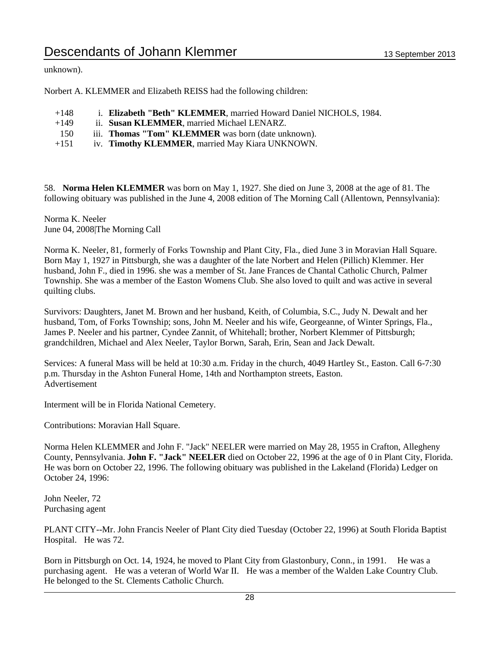unknown).

Norbert A. KLEMMER and Elizabeth REISS had the following children:

- +148 i. **Elizabeth "Beth" KLEMMER**, married Howard Daniel NICHOLS, 1984.
- +149 ii. **Susan KLEMMER**, married Michael LENARZ.
- 150 iii. **Thomas "Tom" KLEMMER** was born (date unknown).
- +151 iv. **Timothy KLEMMER**, married May Kiara UNKNOWN.

58. **Norma Helen KLEMMER** was born on May 1, 1927. She died on June 3, 2008 at the age of 81. The following obituary was published in the June 4, 2008 edition of The Morning Call (Allentown, Pennsylvania):

Norma K. Neeler June 04, 2008|The Morning Call

Norma K. Neeler, 81, formerly of Forks Township and Plant City, Fla., died June 3 in Moravian Hall Square. Born May 1, 1927 in Pittsburgh, she was a daughter of the late Norbert and Helen (Pillich) Klemmer. Her husband, John F., died in 1996. she was a member of St. Jane Frances de Chantal Catholic Church, Palmer Township. She was a member of the Easton Womens Club. She also loved to quilt and was active in several quilting clubs.

Survivors: Daughters, Janet M. Brown and her husband, Keith, of Columbia, S.C., Judy N. Dewalt and her husband, Tom, of Forks Township; sons, John M. Neeler and his wife, Georgeanne, of Winter Springs, Fla., James P. Neeler and his partner, Cyndee Zannit, of Whitehall; brother, Norbert Klemmer of Pittsburgh; grandchildren, Michael and Alex Neeler, Taylor Borwn, Sarah, Erin, Sean and Jack Dewalt.

Services: A funeral Mass will be held at 10:30 a.m. Friday in the church, 4049 Hartley St., Easton. Call 6-7:30 p.m. Thursday in the Ashton Funeral Home, 14th and Northampton streets, Easton. Advertisement

Interment will be in Florida National Cemetery.

Contributions: Moravian Hall Square.

Norma Helen KLEMMER and John F. "Jack" NEELER were married on May 28, 1955 in Crafton, Allegheny County, Pennsylvania. **John F. "Jack" NEELER** died on October 22, 1996 at the age of 0 in Plant City, Florida. He was born on October 22, 1996. The following obituary was published in the Lakeland (Florida) Ledger on October 24, 1996:

John Neeler, 72 Purchasing agent

PLANT CITY--Mr. John Francis Neeler of Plant City died Tuesday (October 22, 1996) at South Florida Baptist Hospital. He was 72.

Born in Pittsburgh on Oct. 14, 1924, he moved to Plant City from Glastonbury, Conn., in 1991. He was a purchasing agent. He was a veteran of World War II. He was a member of the Walden Lake Country Club. He belonged to the St. Clements Catholic Church.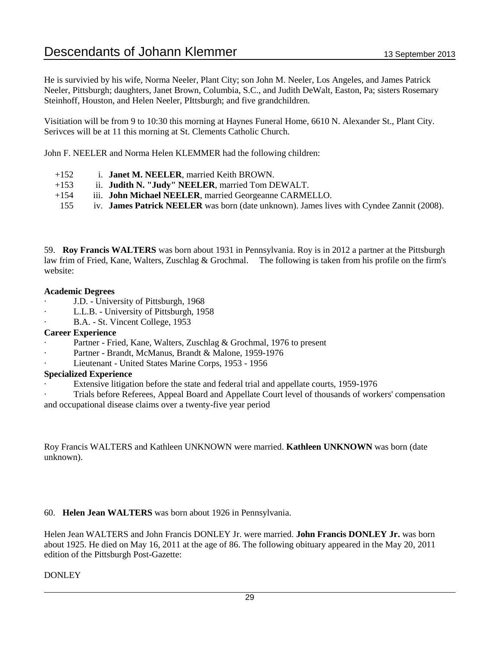He is survivied by his wife, Norma Neeler, Plant City; son John M. Neeler, Los Angeles, and James Patrick Neeler, Pittsburgh; daughters, Janet Brown, Columbia, S.C., and Judith DeWalt, Easton, Pa; sisters Rosemary Steinhoff, Houston, and Helen Neeler, PIttsburgh; and five grandchildren.

Visitiation will be from 9 to 10:30 this morning at Haynes Funeral Home, 6610 N. Alexander St., Plant City. Serivces will be at 11 this morning at St. Clements Catholic Church.

John F. NEELER and Norma Helen KLEMMER had the following children:

- +152 i. **Janet M. NEELER**, married Keith BROWN.
- +153 ii. **Judith N. "Judy" NEELER**, married Tom DEWALT.
- +154 iii. **John Michael NEELER**, married Georgeanne CARMELLO.
- 155 iv. **James Patrick NEELER** was born (date unknown). James lives with Cyndee Zannit (2008).

59. **Roy Francis WALTERS** was born about 1931 in Pennsylvania. Roy is in 2012 a partner at the Pittsburgh law frim of Fried, Kane, Walters, Zuschlag & Grochmal. The following is taken from his profile on the firm's website:

#### **Academic Degrees**

- · J.D. University of Pittsburgh, 1968
- L.L.B. University of Pittsburgh, 1958
- B.A. St. Vincent College, 1953

#### **Career Experience**

- Partner Fried, Kane, Walters, Zuschlag & Grochmal, 1976 to present
- Partner Brandt, McManus, Brandt & Malone, 1959-1976
- Lieutenant United States Marine Corps, 1953 1956

#### **Specialized Experience**

- Extensive litigation before the state and federal trial and appellate courts, 1959-1976
- · Trials before Referees, Appeal Board and Appellate Court level of thousands of workers' compensation and occupational disease claims over a twenty-five year period

Roy Francis WALTERS and Kathleen UNKNOWN were married. **Kathleen UNKNOWN** was born (date unknown).

#### 60. **Helen Jean WALTERS** was born about 1926 in Pennsylvania.

Helen Jean WALTERS and John Francis DONLEY Jr. were married. **John Francis DONLEY Jr.** was born about 1925. He died on May 16, 2011 at the age of 86. The following obituary appeared in the May 20, 2011 edition of the Pittsburgh Post-Gazette:

#### **DONLEY**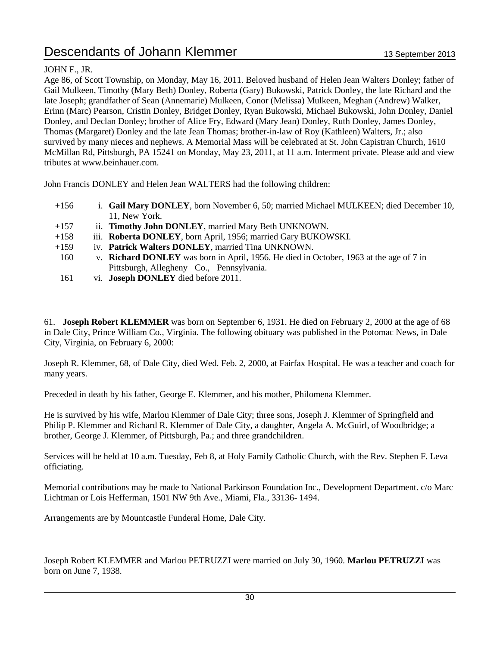### JOHN F., JR.

Age 86, of Scott Township, on Monday, May 16, 2011. Beloved husband of Helen Jean Walters Donley; father of Gail Mulkeen, Timothy (Mary Beth) Donley, Roberta (Gary) Bukowski, Patrick Donley, the late Richard and the late Joseph; grandfather of Sean (Annemarie) Mulkeen, Conor (Melissa) Mulkeen, Meghan (Andrew) Walker, Erinn (Marc) Pearson, Cristin Donley, Bridget Donley, Ryan Bukowski, Michael Bukowski, John Donley, Daniel Donley, and Declan Donley; brother of Alice Fry, Edward (Mary Jean) Donley, Ruth Donley, James Donley, Thomas (Margaret) Donley and the late Jean Thomas; brother-in-law of Roy (Kathleen) Walters, Jr.; also survived by many nieces and nephews. A Memorial Mass will be celebrated at St. John Capistran Church, 1610 McMillan Rd, Pittsburgh, PA 15241 on Monday, May 23, 2011, at 11 a.m. Interment private. Please add and view tributes at www.beinhauer.com.

John Francis DONLEY and Helen Jean WALTERS had the following children:

- +156 i. **Gail Mary DONLEY**, born November 6, 50; married Michael MULKEEN; died December 10, 11, New York.
- +157 ii. **Timothy John DONLEY**, married Mary Beth UNKNOWN.
- +158 iii. **Roberta DONLEY**, born April, 1956; married Gary BUKOWSKI.
- +159 iv. **Patrick Walters DONLEY**, married Tina UNKNOWN.
- 160 v. **Richard DONLEY** was born in April, 1956. He died in October, 1963 at the age of 7 in Pittsburgh, Allegheny Co., Pennsylvania.
- 161 vi. **Joseph DONLEY** died before 2011.

61. **Joseph Robert KLEMMER** was born on September 6, 1931. He died on February 2, 2000 at the age of 68 in Dale City, Prince William Co., Virginia. The following obituary was published in the Potomac News, in Dale City, Virginia, on February 6, 2000:

Joseph R. Klemmer, 68, of Dale City, died Wed. Feb. 2, 2000, at Fairfax Hospital. He was a teacher and coach for many years.

Preceded in death by his father, George E. Klemmer, and his mother, Philomena Klemmer.

He is survived by his wife, Marlou Klemmer of Dale City; three sons, Joseph J. Klemmer of Springfield and Philip P. Klemmer and Richard R. Klemmer of Dale City, a daughter, Angela A. McGuirl, of Woodbridge; a brother, George J. Klemmer, of Pittsburgh, Pa.; and three grandchildren.

Services will be held at 10 a.m. Tuesday, Feb 8, at Holy Family Catholic Church, with the Rev. Stephen F. Leva officiating.

Memorial contributions may be made to National Parkinson Foundation Inc., Development Department. c/o Marc Lichtman or Lois Hefferman, 1501 NW 9th Ave., Miami, Fla., 33136- 1494.

Arrangements are by Mountcastle Funderal Home, Dale City.

Joseph Robert KLEMMER and Marlou PETRUZZI were married on July 30, 1960. **Marlou PETRUZZI** was born on June 7, 1938.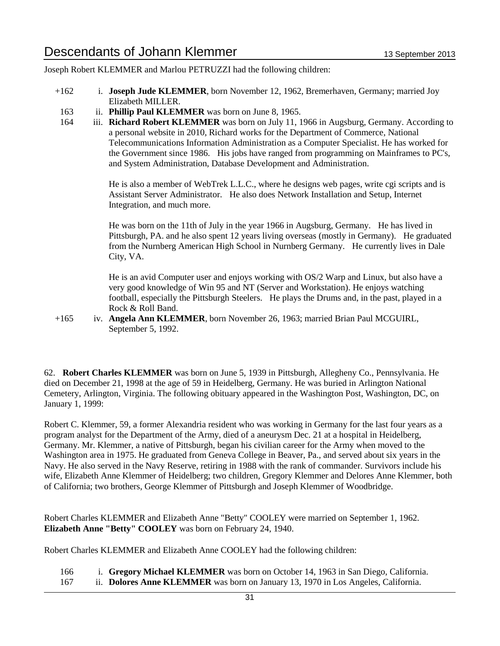Joseph Robert KLEMMER and Marlou PETRUZZI had the following children:

- +162 i. **Joseph Jude KLEMMER**, born November 12, 1962, Bremerhaven, Germany; married Joy Elizabeth MILLER.
- 163 ii. **Phillip Paul KLEMMER** was born on June 8, 1965.
- 164 iii. **Richard Robert KLEMMER** was born on July 11, 1966 in Augsburg, Germany. According to a personal website in 2010, Richard works for the Department of Commerce, National Telecommunications Information Administration as a Computer Specialist. He has worked for the Government since 1986. His jobs have ranged from programming on Mainframes to PC's, and System Administration, Database Development and Administration.

He is also a member of WebTrek L.L.C., where he designs web pages, write cgi scripts and is Assistant Server Administrator. He also does Network Installation and Setup, Internet Integration, and much more.

He was born on the 11th of July in the year 1966 in Augsburg, Germany. He has lived in Pittsburgh, PA. and he also spent 12 years living overseas (mostly in Germany). He graduated from the Nurnberg American High School in Nurnberg Germany. He currently lives in Dale City, VA.

He is an avid Computer user and enjoys working with OS/2 Warp and Linux, but also have a very good knowledge of Win 95 and NT (Server and Workstation). He enjoys watching football, especially the Pittsburgh Steelers. He plays the Drums and, in the past, played in a Rock & Roll Band.

+165 iv. **Angela Ann KLEMMER**, born November 26, 1963; married Brian Paul MCGUIRL, September 5, 1992.

62. **Robert Charles KLEMMER** was born on June 5, 1939 in Pittsburgh, Allegheny Co., Pennsylvania. He died on December 21, 1998 at the age of 59 in Heidelberg, Germany. He was buried in Arlington National Cemetery, Arlington, Virginia. The following obituary appeared in the Washington Post, Washington, DC, on January 1, 1999:

Robert C. Klemmer, 59, a former Alexandria resident who was working in Germany for the last four years as a program analyst for the Department of the Army, died of a aneurysm Dec. 21 at a hospital in Heidelberg, Germany. Mr. Klemmer, a native of Pittsburgh, began his civilian career for the Army when moved to the Washington area in 1975. He graduated from Geneva College in Beaver, Pa., and served about six years in the Navy. He also served in the Navy Reserve, retiring in 1988 with the rank of commander. Survivors include his wife, Elizabeth Anne Klemmer of Heidelberg; two children, Gregory Klemmer and Delores Anne Klemmer, both of California; two brothers, George Klemmer of Pittsburgh and Joseph Klemmer of Woodbridge.

Robert Charles KLEMMER and Elizabeth Anne "Betty" COOLEY were married on September 1, 1962. **Elizabeth Anne "Betty" COOLEY** was born on February 24, 1940.

Robert Charles KLEMMER and Elizabeth Anne COOLEY had the following children:

166 i. **Gregory Michael KLEMMER** was born on October 14, 1963 in San Diego, California. 167 ii. **Dolores Anne KLEMMER** was born on January 13, 1970 in Los Angeles, California.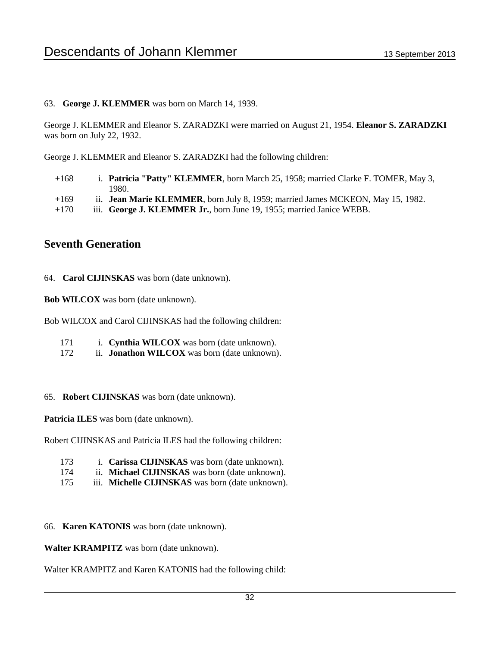#### 63. **George J. KLEMMER** was born on March 14, 1939.

George J. KLEMMER and Eleanor S. ZARADZKI were married on August 21, 1954. **Eleanor S. ZARADZKI** was born on July 22, 1932.

George J. KLEMMER and Eleanor S. ZARADZKI had the following children:

- +168 i. **Patricia "Patty" KLEMMER**, born March 25, 1958; married Clarke F. TOMER, May 3, 1980.
- +169 ii. **Jean Marie KLEMMER**, born July 8, 1959; married James MCKEON, May 15, 1982.
- +170 iii. **George J. KLEMMER Jr.**, born June 19, 1955; married Janice WEBB.

### **Seventh Generation**

64. **Carol CIJINSKAS** was born (date unknown).

**Bob WILCOX** was born (date unknown).

Bob WILCOX and Carol CIJINSKAS had the following children:

- 171 i. **Cynthia WILCOX** was born (date unknown).
- 172 ii. **Jonathon WILCOX** was born (date unknown).
- 65. **Robert CIJINSKAS** was born (date unknown).

**Patricia ILES** was born (date unknown).

Robert CIJINSKAS and Patricia ILES had the following children:

- 173 i. **Carissa CIJINSKAS** was born (date unknown).
- 174 ii. **Michael CIJINSKAS** was born (date unknown).
- 175 iii. **Michelle CIJINSKAS** was born (date unknown).
- 66. **Karen KATONIS** was born (date unknown).

**Walter KRAMPITZ** was born (date unknown).

Walter KRAMPITZ and Karen KATONIS had the following child: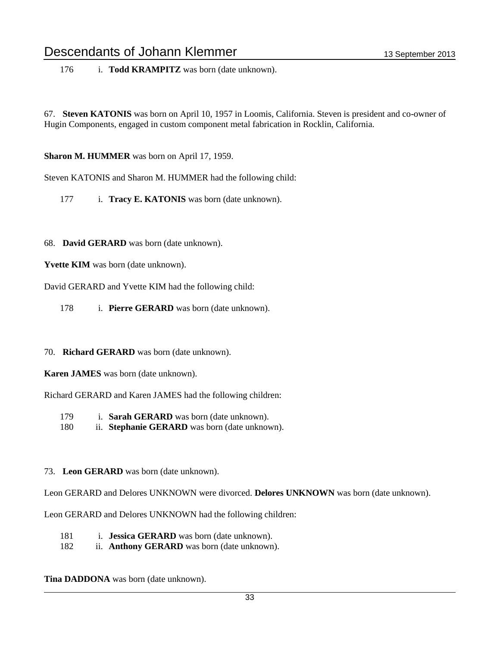176 i. **Todd KRAMPITZ** was born (date unknown).

67. **Steven KATONIS** was born on April 10, 1957 in Loomis, California. Steven is president and co-owner of Hugin Components, engaged in custom component metal fabrication in Rocklin, California.

**Sharon M. HUMMER** was born on April 17, 1959.

Steven KATONIS and Sharon M. HUMMER had the following child:

177 i. **Tracy E. KATONIS** was born (date unknown).

#### 68. **David GERARD** was born (date unknown).

**Yvette KIM** was born (date unknown).

David GERARD and Yvette KIM had the following child:

178 i. **Pierre GERARD** was born (date unknown).

#### 70. **Richard GERARD** was born (date unknown).

**Karen JAMES** was born (date unknown).

Richard GERARD and Karen JAMES had the following children:

- 179 i. **Sarah GERARD** was born (date unknown).
- 180 ii. **Stephanie GERARD** was born (date unknown).
- 73. **Leon GERARD** was born (date unknown).

Leon GERARD and Delores UNKNOWN were divorced. **Delores UNKNOWN** was born (date unknown).

Leon GERARD and Delores UNKNOWN had the following children:

- 181 i. **Jessica GERARD** was born (date unknown).
- 182 ii. **Anthony GERARD** was born (date unknown).

**Tina DADDONA** was born (date unknown).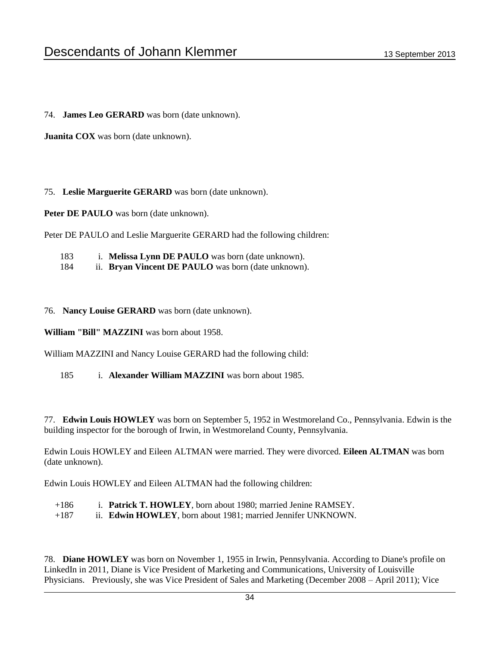74. **James Leo GERARD** was born (date unknown).

**Juanita COX** was born (date unknown).

75. **Leslie Marguerite GERARD** was born (date unknown).

Peter DE PAULO was born (date unknown).

Peter DE PAULO and Leslie Marguerite GERARD had the following children:

- 183 i. **Melissa Lynn DE PAULO** was born (date unknown).
- 184 ii. **Bryan Vincent DE PAULO** was born (date unknown).

76. **Nancy Louise GERARD** was born (date unknown).

**William "Bill" MAZZINI** was born about 1958.

William MAZZINI and Nancy Louise GERARD had the following child:

185 i. **Alexander William MAZZINI** was born about 1985.

77. **Edwin Louis HOWLEY** was born on September 5, 1952 in Westmoreland Co., Pennsylvania. Edwin is the building inspector for the borough of Irwin, in Westmoreland County, Pennsylvania.

Edwin Louis HOWLEY and Eileen ALTMAN were married. They were divorced. **Eileen ALTMAN** was born (date unknown).

Edwin Louis HOWLEY and Eileen ALTMAN had the following children:

- +186 i. **Patrick T. HOWLEY**, born about 1980; married Jenine RAMSEY.
- +187 ii. **Edwin HOWLEY**, born about 1981; married Jennifer UNKNOWN.

78. **Diane HOWLEY** was born on November 1, 1955 in Irwin, Pennsylvania. According to Diane's profile on LinkedIn in 2011, Diane is Vice President of Marketing and Communications, University of Louisville Physicians. Previously, she was Vice President of Sales and Marketing (December 2008 – April 2011); Vice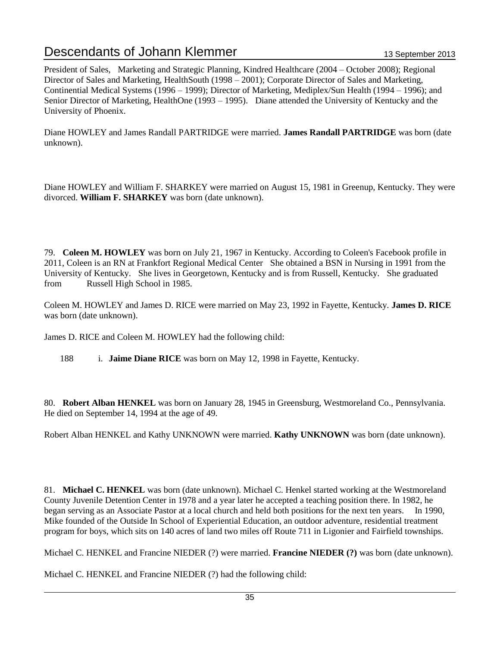President of Sales, Marketing and Strategic Planning, Kindred Healthcare (2004 – October 2008); Regional Director of Sales and Marketing, HealthSouth (1998 – 2001); Corporate Director of Sales and Marketing, Continential Medical Systems (1996 – 1999); Director of Marketing, Mediplex/Sun Health (1994 – 1996); and Senior Director of Marketing, HealthOne (1993 – 1995). Diane attended the University of Kentucky and the University of Phoenix.

Diane HOWLEY and James Randall PARTRIDGE were married. **James Randall PARTRIDGE** was born (date unknown).

Diane HOWLEY and William F. SHARKEY were married on August 15, 1981 in Greenup, Kentucky. They were divorced. **William F. SHARKEY** was born (date unknown).

79. **Coleen M. HOWLEY** was born on July 21, 1967 in Kentucky. According to Coleen's Facebook profile in 2011, Coleen is an RN at Frankfort Regional Medical Center She obtained a BSN in Nursing in 1991 from the University of Kentucky. She lives in Georgetown, Kentucky and is from Russell, Kentucky. She graduated from Russell High School in 1985.

Coleen M. HOWLEY and James D. RICE were married on May 23, 1992 in Fayette, Kentucky. **James D. RICE** was born (date unknown).

James D. RICE and Coleen M. HOWLEY had the following child:

188 i. **Jaime Diane RICE** was born on May 12, 1998 in Fayette, Kentucky.

80. **Robert Alban HENKEL** was born on January 28, 1945 in Greensburg, Westmoreland Co., Pennsylvania. He died on September 14, 1994 at the age of 49.

Robert Alban HENKEL and Kathy UNKNOWN were married. **Kathy UNKNOWN** was born (date unknown).

81. **Michael C. HENKEL** was born (date unknown). Michael C. Henkel started working at the Westmoreland County Juvenile Detention Center in 1978 and a year later he accepted a teaching position there. In 1982, he began serving as an Associate Pastor at a local church and held both positions for the next ten years. In 1990, Mike founded of the Outside In School of Experiential Education, an outdoor adventure, residential treatment program for boys, which sits on 140 acres of land two miles off Route 711 in Ligonier and Fairfield townships.

Michael C. HENKEL and Francine NIEDER (?) were married. **Francine NIEDER (?)** was born (date unknown).

Michael C. HENKEL and Francine NIEDER (?) had the following child: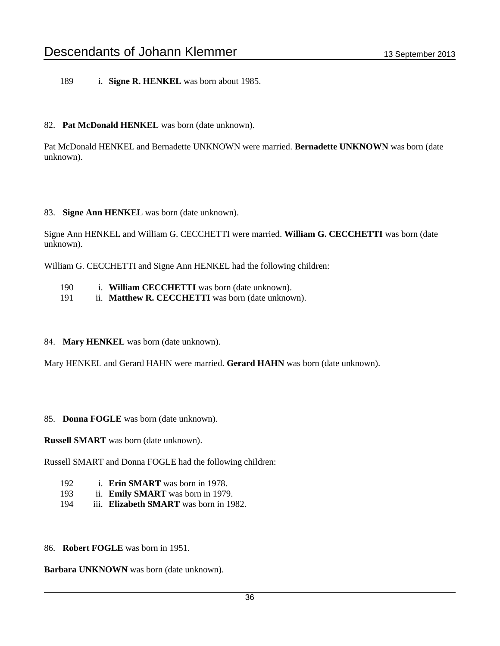189 i. **Signe R. HENKEL** was born about 1985.

#### 82. **Pat McDonald HENKEL** was born (date unknown).

Pat McDonald HENKEL and Bernadette UNKNOWN were married. **Bernadette UNKNOWN** was born (date unknown).

#### 83. **Signe Ann HENKEL** was born (date unknown).

Signe Ann HENKEL and William G. CECCHETTI were married. **William G. CECCHETTI** was born (date unknown).

William G. CECCHETTI and Signe Ann HENKEL had the following children:

- 190 i. **William CECCHETTI** was born (date unknown).
- 191 ii. **Matthew R. CECCHETTI** was born (date unknown).
- 84. **Mary HENKEL** was born (date unknown).

Mary HENKEL and Gerard HAHN were married. **Gerard HAHN** was born (date unknown).

85. **Donna FOGLE** was born (date unknown).

**Russell SMART** was born (date unknown).

Russell SMART and Donna FOGLE had the following children:

- 192 i. **Erin SMART** was born in 1978.
- 193 ii. **Emily SMART** was born in 1979.
- 194 iii. **Elizabeth SMART** was born in 1982.

86. **Robert FOGLE** was born in 1951.

**Barbara UNKNOWN** was born (date unknown).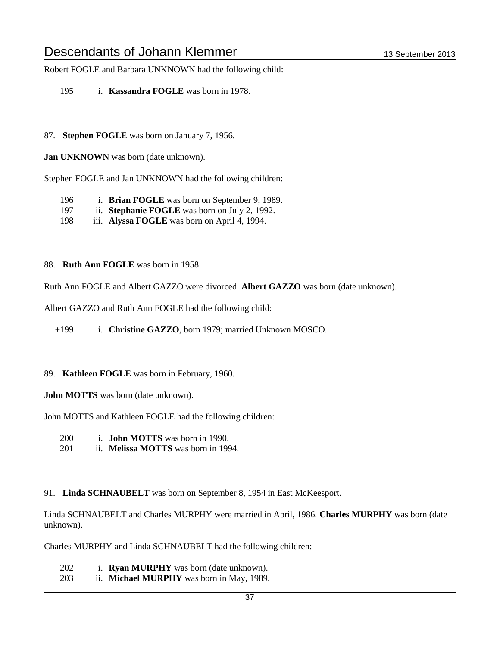Robert FOGLE and Barbara UNKNOWN had the following child:

- 195 i. **Kassandra FOGLE** was born in 1978.
- 87. **Stephen FOGLE** was born on January 7, 1956.

**Jan UNKNOWN** was born (date unknown).

Stephen FOGLE and Jan UNKNOWN had the following children:

- 196 i. **Brian FOGLE** was born on September 9, 1989.
- 197 ii. **Stephanie FOGLE** was born on July 2, 1992.
- 198 iii. **Alyssa FOGLE** was born on April 4, 1994.
- 88. **Ruth Ann FOGLE** was born in 1958.

Ruth Ann FOGLE and Albert GAZZO were divorced. **Albert GAZZO** was born (date unknown).

Albert GAZZO and Ruth Ann FOGLE had the following child:

+199 i. **Christine GAZZO**, born 1979; married Unknown MOSCO.

#### 89. **Kathleen FOGLE** was born in February, 1960.

**John MOTTS** was born (date unknown).

John MOTTS and Kathleen FOGLE had the following children:

- 200 i. **John MOTTS** was born in 1990.
- 201 ii. **Melissa MOTTS** was born in 1994.
- 91. **Linda SCHNAUBELT** was born on September 8, 1954 in East McKeesport.

Linda SCHNAUBELT and Charles MURPHY were married in April, 1986. **Charles MURPHY** was born (date unknown).

Charles MURPHY and Linda SCHNAUBELT had the following children:

- 202 i. **Ryan MURPHY** was born (date unknown).
- 203 ii. **Michael MURPHY** was born in May, 1989.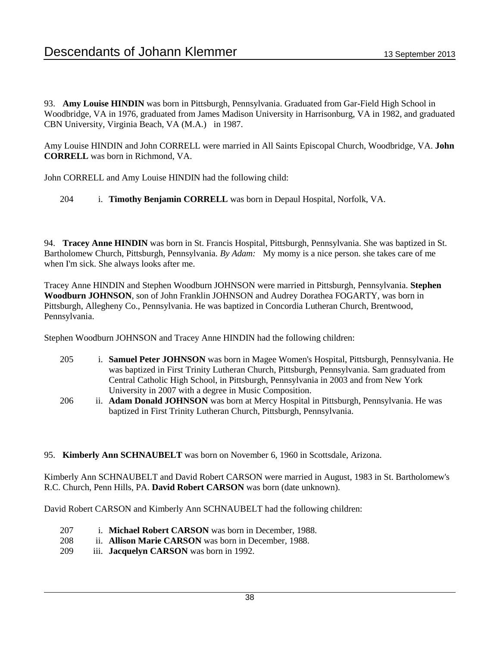93. **Amy Louise HINDIN** was born in Pittsburgh, Pennsylvania. Graduated from Gar-Field High School in Woodbridge, VA in 1976, graduated from James Madison University in Harrisonburg, VA in 1982, and graduated CBN University, Virginia Beach, VA (M.A.) in 1987.

Amy Louise HINDIN and John CORRELL were married in All Saints Episcopal Church, Woodbridge, VA. **John CORRELL** was born in Richmond, VA.

John CORRELL and Amy Louise HINDIN had the following child:

204 i. **Timothy Benjamin CORRELL** was born in Depaul Hospital, Norfolk, VA.

94. **Tracey Anne HINDIN** was born in St. Francis Hospital, Pittsburgh, Pennsylvania. She was baptized in St. Bartholomew Church, Pittsburgh, Pennsylvania. *By Adam:* My momy is a nice person. she takes care of me when I'm sick. She always looks after me.

Tracey Anne HINDIN and Stephen Woodburn JOHNSON were married in Pittsburgh, Pennsylvania. **Stephen Woodburn JOHNSON**, son of John Franklin JOHNSON and Audrey Dorathea FOGARTY, was born in Pittsburgh, Allegheny Co., Pennsylvania. He was baptized in Concordia Lutheran Church, Brentwood, Pennsylvania.

Stephen Woodburn JOHNSON and Tracey Anne HINDIN had the following children:

- 205 i. **Samuel Peter JOHNSON** was born in Magee Women's Hospital, Pittsburgh, Pennsylvania. He was baptized in First Trinity Lutheran Church, Pittsburgh, Pennsylvania. Sam graduated from Central Catholic High School, in Pittsburgh, Pennsylvania in 2003 and from New York University in 2007 with a degree in Music Composition.
- 206 ii. **Adam Donald JOHNSON** was born at Mercy Hospital in Pittsburgh, Pennsylvania. He was baptized in First Trinity Lutheran Church, Pittsburgh, Pennsylvania.
- 95. **Kimberly Ann SCHNAUBELT** was born on November 6, 1960 in Scottsdale, Arizona.

Kimberly Ann SCHNAUBELT and David Robert CARSON were married in August, 1983 in St. Bartholomew's R.C. Church, Penn Hills, PA. **David Robert CARSON** was born (date unknown).

David Robert CARSON and Kimberly Ann SCHNAUBELT had the following children:

- 207 i. **Michael Robert CARSON** was born in December, 1988.
- 208 ii. **Allison Marie CARSON** was born in December, 1988.
- 209 iii. **Jacquelyn CARSON** was born in 1992.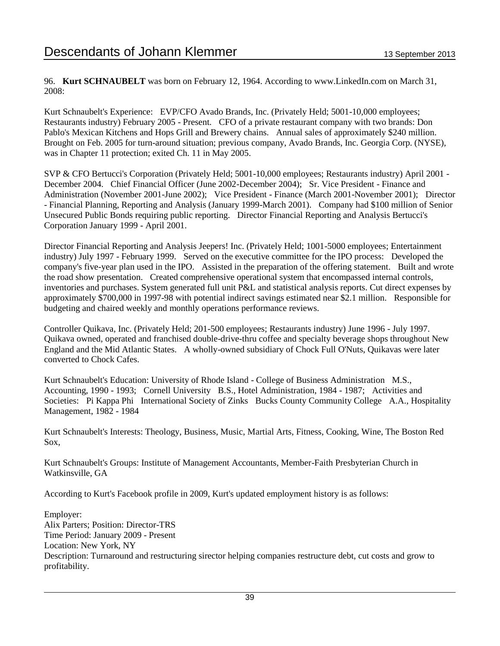96. **Kurt SCHNAUBELT** was born on February 12, 1964. According to www.LinkedIn.com on March 31, 2008:

Kurt Schnaubelt's Experience: EVP/CFO Avado Brands, Inc. (Privately Held; 5001-10,000 employees; Restaurants industry) February 2005 - Present. CFO of a private restaurant company with two brands: Don Pablo's Mexican Kitchens and Hops Grill and Brewery chains. Annual sales of approximately \$240 million. Brought on Feb. 2005 for turn-around situation; previous company, Avado Brands, Inc. Georgia Corp. (NYSE), was in Chapter 11 protection; exited Ch. 11 in May 2005.

SVP & CFO Bertucci's Corporation (Privately Held; 5001-10,000 employees; Restaurants industry) April 2001 - December 2004. Chief Financial Officer (June 2002-December 2004); Sr. Vice President - Finance and Administration (November 2001-June 2002); Vice President - Finance (March 2001-November 2001); Director - Financial Planning, Reporting and Analysis (January 1999-March 2001). Company had \$100 million of Senior Unsecured Public Bonds requiring public reporting. Director Financial Reporting and Analysis Bertucci's Corporation January 1999 - April 2001.

Director Financial Reporting and Analysis Jeepers! Inc. (Privately Held; 1001-5000 employees; Entertainment industry) July 1997 - February 1999. Served on the executive committee for the IPO process: Developed the company's five-year plan used in the IPO. Assisted in the preparation of the offering statement. Built and wrote the road show presentation. Created comprehensive operational system that encompassed internal controls, inventories and purchases. System generated full unit P&L and statistical analysis reports. Cut direct expenses by approximately \$700,000 in 1997-98 with potential indirect savings estimated near \$2.1 million. Responsible for budgeting and chaired weekly and monthly operations performance reviews.

Controller Quikava, Inc. (Privately Held; 201-500 employees; Restaurants industry) June 1996 - July 1997. Quikava owned, operated and franchised double-drive-thru coffee and specialty beverage shops throughout New England and the Mid Atlantic States. A wholly-owned subsidiary of Chock Full O'Nuts, Quikavas were later converted to Chock Cafes.

Kurt Schnaubelt's Education: University of Rhode Island - College of Business Administration M.S., Accounting, 1990 - 1993; Cornell University B.S., Hotel Administration, 1984 - 1987; Activities and Societies: Pi Kappa Phi International Society of Zinks Bucks County Community College A.A., Hospitality Management, 1982 - 1984

Kurt Schnaubelt's Interests: Theology, Business, Music, Martial Arts, Fitness, Cooking, Wine, The Boston Red Sox,

Kurt Schnaubelt's Groups: Institute of Management Accountants, Member-Faith Presbyterian Church in Watkinsville, GA

According to Kurt's Facebook profile in 2009, Kurt's updated employment history is as follows:

Employer: Alix Parters; Position: Director-TRS Time Period: January 2009 - Present Location: New York, NY Description: Turnaround and restructuring sirector helping companies restructure debt, cut costs and grow to profitability.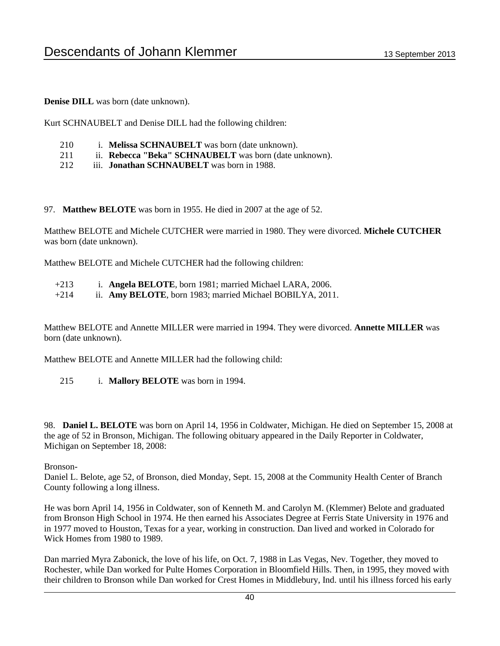**Denise DILL** was born (date unknown).

Kurt SCHNAUBELT and Denise DILL had the following children:

- 210 i. **Melissa SCHNAUBELT** was born (date unknown).
- 211 ii. **Rebecca "Beka" SCHNAUBELT** was born (date unknown).
- 212 iii. **Jonathan SCHNAUBELT** was born in 1988.

97. **Matthew BELOTE** was born in 1955. He died in 2007 at the age of 52.

Matthew BELOTE and Michele CUTCHER were married in 1980. They were divorced. **Michele CUTCHER** was born (date unknown).

Matthew BELOTE and Michele CUTCHER had the following children:

- +213 i. **Angela BELOTE**, born 1981; married Michael LARA, 2006.
- +214 ii. **Amy BELOTE**, born 1983; married Michael BOBILYA, 2011.

Matthew BELOTE and Annette MILLER were married in 1994. They were divorced. **Annette MILLER** was born (date unknown).

Matthew BELOTE and Annette MILLER had the following child:

215 i. **Mallory BELOTE** was born in 1994.

98. **Daniel L. BELOTE** was born on April 14, 1956 in Coldwater, Michigan. He died on September 15, 2008 at the age of 52 in Bronson, Michigan. The following obituary appeared in the Daily Reporter in Coldwater, Michigan on September 18, 2008:

#### Bronson-

Daniel L. Belote, age 52, of Bronson, died Monday, Sept. 15, 2008 at the Community Health Center of Branch County following a long illness.

He was born April 14, 1956 in Coldwater, son of Kenneth M. and Carolyn M. (Klemmer) Belote and graduated from Bronson High School in 1974. He then earned his Associates Degree at Ferris State University in 1976 and in 1977 moved to Houston, Texas for a year, working in construction. Dan lived and worked in Colorado for Wick Homes from 1980 to 1989.

Dan married Myra Zabonick, the love of his life, on Oct. 7, 1988 in Las Vegas, Nev. Together, they moved to Rochester, while Dan worked for Pulte Homes Corporation in Bloomfield Hills. Then, in 1995, they moved with their children to Bronson while Dan worked for Crest Homes in Middlebury, Ind. until his illness forced his early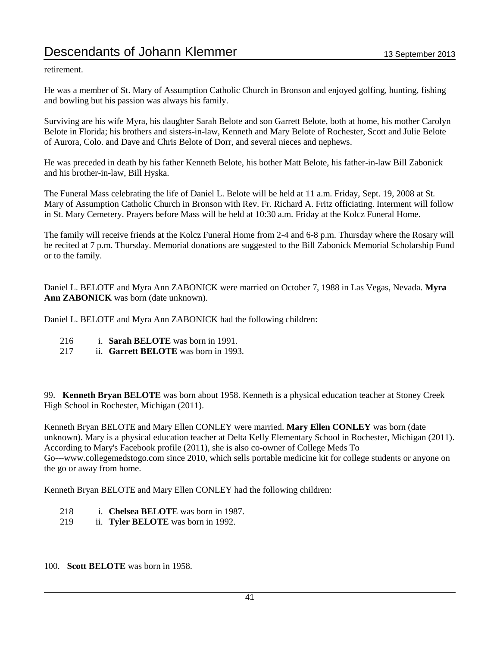retirement.

He was a member of St. Mary of Assumption Catholic Church in Bronson and enjoyed golfing, hunting, fishing and bowling but his passion was always his family.

Surviving are his wife Myra, his daughter Sarah Belote and son Garrett Belote, both at home, his mother Carolyn Belote in Florida; his brothers and sisters-in-law, Kenneth and Mary Belote of Rochester, Scott and Julie Belote of Aurora, Colo. and Dave and Chris Belote of Dorr, and several nieces and nephews.

He was preceded in death by his father Kenneth Belote, his bother Matt Belote, his father-in-law Bill Zabonick and his brother-in-law, Bill Hyska.

The Funeral Mass celebrating the life of Daniel L. Belote will be held at 11 a.m. Friday, Sept. 19, 2008 at St. Mary of Assumption Catholic Church in Bronson with Rev. Fr. Richard A. Fritz officiating. Interment will follow in St. Mary Cemetery. Prayers before Mass will be held at 10:30 a.m. Friday at the Kolcz Funeral Home.

The family will receive friends at the Kolcz Funeral Home from 2-4 and 6-8 p.m. Thursday where the Rosary will be recited at 7 p.m. Thursday. Memorial donations are suggested to the Bill Zabonick Memorial Scholarship Fund or to the family.

Daniel L. BELOTE and Myra Ann ZABONICK were married on October 7, 1988 in Las Vegas, Nevada. **Myra Ann ZABONICK** was born (date unknown).

Daniel L. BELOTE and Myra Ann ZABONICK had the following children:

- 216 i. **Sarah BELOTE** was born in 1991.
- 217 ii. **Garrett BELOTE** was born in 1993.

99. **Kenneth Bryan BELOTE** was born about 1958. Kenneth is a physical education teacher at Stoney Creek High School in Rochester, Michigan (2011).

Kenneth Bryan BELOTE and Mary Ellen CONLEY were married. **Mary Ellen CONLEY** was born (date unknown). Mary is a physical education teacher at Delta Kelly Elementary School in Rochester, Michigan (2011). According to Mary's Facebook profile (2011), she is also co-owner of College Meds To Go---www.collegemedstogo.com since 2010, which sells portable medicine kit for college students or anyone on the go or away from home.

Kenneth Bryan BELOTE and Mary Ellen CONLEY had the following children:

- 218 i. **Chelsea BELOTE** was born in 1987.
- 219 ii. **Tyler BELOTE** was born in 1992.
- 100. **Scott BELOTE** was born in 1958.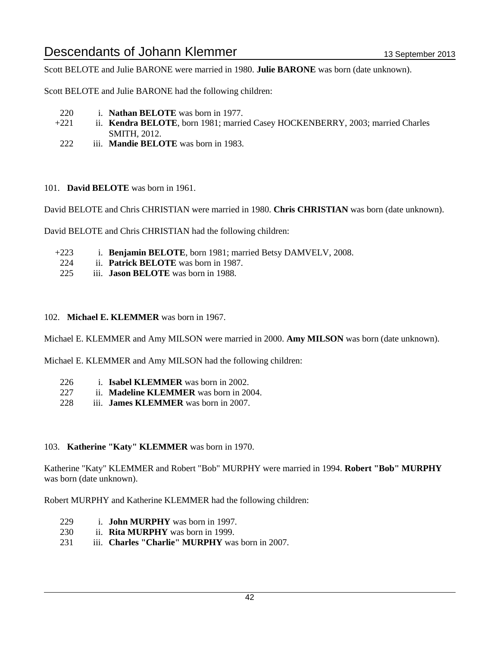Scott BELOTE and Julie BARONE were married in 1980. **Julie BARONE** was born (date unknown).

Scott BELOTE and Julie BARONE had the following children:

- 220 i. **Nathan BELOTE** was born in 1977.
- +221 ii. **Kendra BELOTE**, born 1981; married Casey HOCKENBERRY, 2003; married Charles SMITH, 2012.
- 222 iii. **Mandie BELOTE** was born in 1983.

#### 101. **David BELOTE** was born in 1961.

David BELOTE and Chris CHRISTIAN were married in 1980. **Chris CHRISTIAN** was born (date unknown).

David BELOTE and Chris CHRISTIAN had the following children:

- +223 i. **Benjamin BELOTE**, born 1981; married Betsy DAMVELV, 2008.
- 224 ii. **Patrick BELOTE** was born in 1987.
- 225 iii. **Jason BELOTE** was born in 1988.

#### 102. **Michael E. KLEMMER** was born in 1967.

Michael E. KLEMMER and Amy MILSON were married in 2000. **Amy MILSON** was born (date unknown).

Michael E. KLEMMER and Amy MILSON had the following children:

- 226 i. **Isabel KLEMMER** was born in 2002.
- 227 ii. **Madeline KLEMMER** was born in 2004.
- 228 iii. **James KLEMMER** was born in 2007.

#### 103. **Katherine "Katy" KLEMMER** was born in 1970.

Katherine "Katy" KLEMMER and Robert "Bob" MURPHY were married in 1994. **Robert "Bob" MURPHY** was born (date unknown).

Robert MURPHY and Katherine KLEMMER had the following children:

- 229 i. **John MURPHY** was born in 1997.
- 230 ii. **Rita MURPHY** was born in 1999.
- 231 iii. **Charles "Charlie" MURPHY** was born in 2007.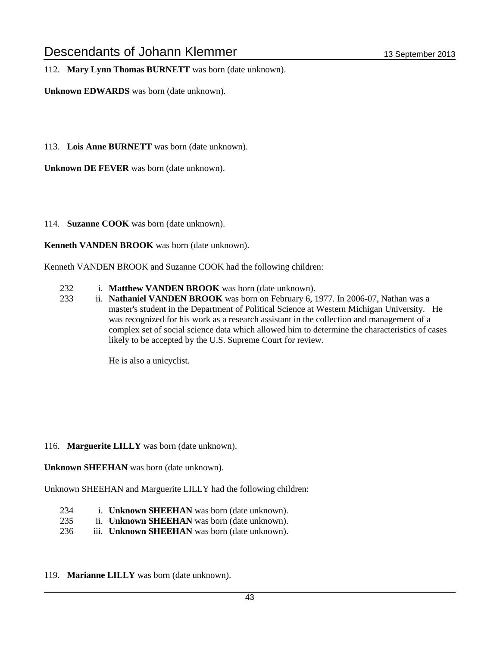112. **Mary Lynn Thomas BURNETT** was born (date unknown).

**Unknown EDWARDS** was born (date unknown).

113. **Lois Anne BURNETT** was born (date unknown).

**Unknown DE FEVER** was born (date unknown).

114. **Suzanne COOK** was born (date unknown).

**Kenneth VANDEN BROOK** was born (date unknown).

Kenneth VANDEN BROOK and Suzanne COOK had the following children:

- 232 i. **Matthew VANDEN BROOK** was born (date unknown).
- 233 ii. **Nathaniel VANDEN BROOK** was born on February 6, 1977. In 2006-07, Nathan was a master's student in the Department of Political Science at Western Michigan University. He was recognized for his work as a research assistant in the collection and management of a complex set of social science data which allowed him to determine the characteristics of cases likely to be accepted by the U.S. Supreme Court for review.

He is also a unicyclist.

#### 116. **Marguerite LILLY** was born (date unknown).

**Unknown SHEEHAN** was born (date unknown).

Unknown SHEEHAN and Marguerite LILLY had the following children:

- 234 i. **Unknown SHEEHAN** was born (date unknown).
- 235 ii. **Unknown SHEEHAN** was born (date unknown).
- 236 iii. **Unknown SHEEHAN** was born (date unknown).
- 119. **Marianne LILLY** was born (date unknown).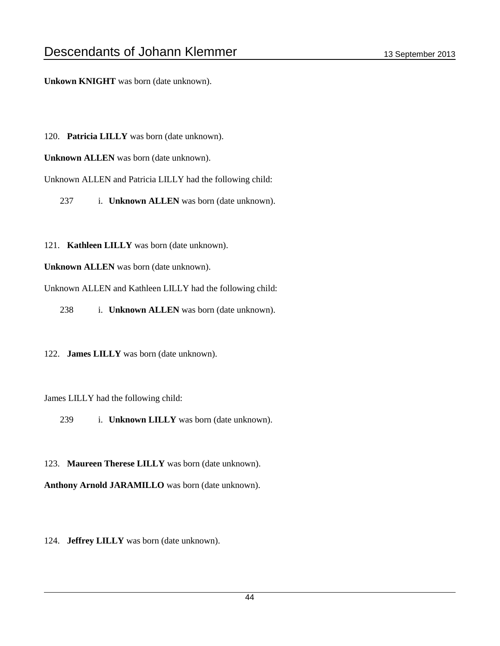**Unkown KNIGHT** was born (date unknown).

- 120. **Patricia LILLY** was born (date unknown).
- **Unknown ALLEN** was born (date unknown).

Unknown ALLEN and Patricia LILLY had the following child:

237 i. **Unknown ALLEN** was born (date unknown).

121. **Kathleen LILLY** was born (date unknown).

**Unknown ALLEN** was born (date unknown).

Unknown ALLEN and Kathleen LILLY had the following child:

238 i. **Unknown ALLEN** was born (date unknown).

122. **James LILLY** was born (date unknown).

James LILLY had the following child:

239 i. **Unknown LILLY** was born (date unknown).

123. **Maureen Therese LILLY** was born (date unknown). **Anthony Arnold JARAMILLO** was born (date unknown).

124. **Jeffrey LILLY** was born (date unknown).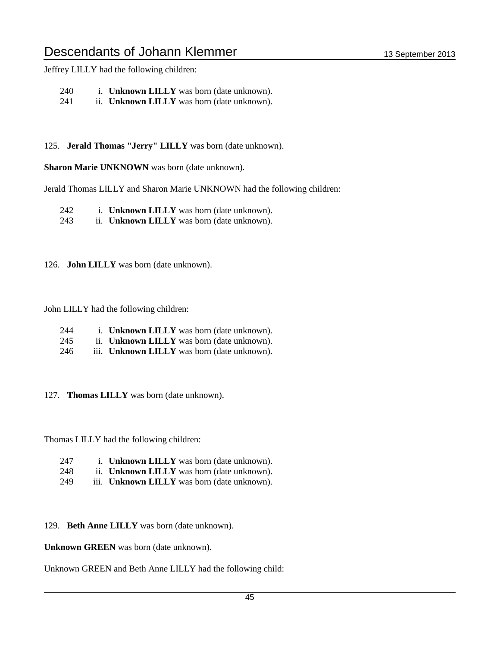Jeffrey LILLY had the following children:

240 i. **Unknown LILLY** was born (date unknown).

241 ii. **Unknown LILLY** was born (date unknown).

125. **Jerald Thomas "Jerry" LILLY** was born (date unknown).

**Sharon Marie UNKNOWN** was born (date unknown).

Jerald Thomas LILLY and Sharon Marie UNKNOWN had the following children:

242 i. **Unknown LILLY** was born (date unknown).

243 ii. **Unknown LILLY** was born (date unknown).

126. **John LILLY** was born (date unknown).

John LILLY had the following children:

- 244 i. **Unknown LILLY** was born (date unknown).
- 245 ii. **Unknown LILLY** was born (date unknown).
- 246 iii. **Unknown LILLY** was born (date unknown).

127. **Thomas LILLY** was born (date unknown).

Thomas LILLY had the following children:

- 247 i. **Unknown LILLY** was born (date unknown). 248 ii. **Unknown LILLY** was born (date unknown).
- 249 iii. **Unknown LILLY** was born (date unknown).

129. **Beth Anne LILLY** was born (date unknown).

**Unknown GREEN** was born (date unknown).

Unknown GREEN and Beth Anne LILLY had the following child: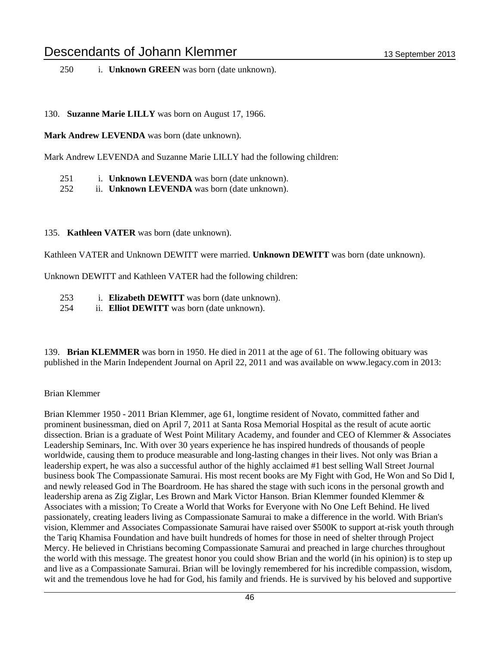130. **Suzanne Marie LILLY** was born on August 17, 1966.

**Mark Andrew LEVENDA** was born (date unknown).

Mark Andrew LEVENDA and Suzanne Marie LILLY had the following children:

- 251 i. **Unknown LEVENDA** was born (date unknown).
- 252 ii. **Unknown LEVENDA** was born (date unknown).

#### 135. **Kathleen VATER** was born (date unknown).

Kathleen VATER and Unknown DEWITT were married. **Unknown DEWITT** was born (date unknown).

Unknown DEWITT and Kathleen VATER had the following children:

- 253 i. **Elizabeth DEWITT** was born (date unknown).
- 254 ii. **Elliot DEWITT** was born (date unknown).

139. **Brian KLEMMER** was born in 1950. He died in 2011 at the age of 61. The following obituary was published in the Marin Independent Journal on April 22, 2011 and was available on www.legacy.com in 2013:

#### Brian Klemmer

Brian Klemmer 1950 - 2011 Brian Klemmer, age 61, longtime resident of Novato, committed father and prominent businessman, died on April 7, 2011 at Santa Rosa Memorial Hospital as the result of acute aortic dissection. Brian is a graduate of West Point Military Academy, and founder and CEO of Klemmer & Associates Leadership Seminars, Inc. With over 30 years experience he has inspired hundreds of thousands of people worldwide, causing them to produce measurable and long-lasting changes in their lives. Not only was Brian a leadership expert, he was also a successful author of the highly acclaimed #1 best selling Wall Street Journal business book The Compassionate Samurai. His most recent books are My Fight with God, He Won and So Did I, and newly released God in The Boardroom. He has shared the stage with such icons in the personal growth and leadership arena as Zig Ziglar, Les Brown and Mark Victor Hanson. Brian Klemmer founded Klemmer & Associates with a mission; To Create a World that Works for Everyone with No One Left Behind. He lived passionately, creating leaders living as Compassionate Samurai to make a difference in the world. With Brian's vision, Klemmer and Associates Compassionate Samurai have raised over \$500K to support at-risk youth through the Tariq Khamisa Foundation and have built hundreds of homes for those in need of shelter through Project Mercy. He believed in Christians becoming Compassionate Samurai and preached in large churches throughout the world with this message. The greatest honor you could show Brian and the world (in his opinion) is to step up and live as a Compassionate Samurai. Brian will be lovingly remembered for his incredible compassion, wisdom, wit and the tremendous love he had for God, his family and friends. He is survived by his beloved and supportive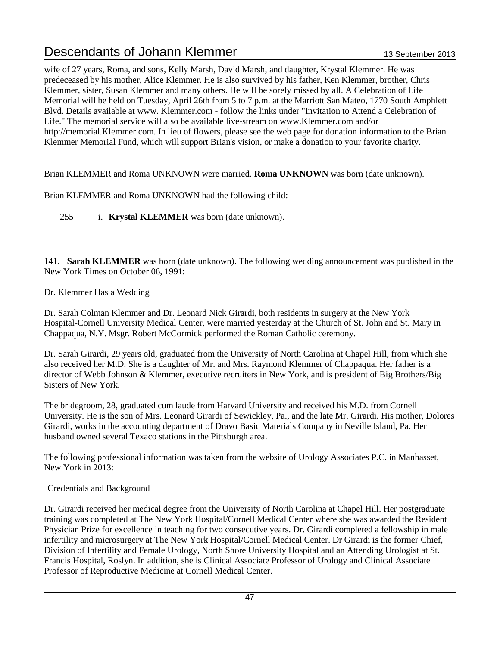wife of 27 years, Roma, and sons, Kelly Marsh, David Marsh, and daughter, Krystal Klemmer. He was predeceased by his mother, Alice Klemmer. He is also survived by his father, Ken Klemmer, brother, Chris Klemmer, sister, Susan Klemmer and many others. He will be sorely missed by all. A Celebration of Life Memorial will be held on Tuesday, April 26th from 5 to 7 p.m. at the Marriott San Mateo, 1770 South Amphlett Blvd. Details available at www. Klemmer.com - follow the links under "Invitation to Attend a Celebration of Life." The memorial service will also be available live-stream on www.Klemmer.com and/or http://memorial.Klemmer.com. In lieu of flowers, please see the web page for donation information to the Brian Klemmer Memorial Fund, which will support Brian's vision, or make a donation to your favorite charity.

Brian KLEMMER and Roma UNKNOWN were married. **Roma UNKNOWN** was born (date unknown).

Brian KLEMMER and Roma UNKNOWN had the following child:

255 i. **Krystal KLEMMER** was born (date unknown).

141. **Sarah KLEMMER** was born (date unknown). The following wedding announcement was published in the New York Times on October 06, 1991:

Dr. Klemmer Has a Wedding

Dr. Sarah Colman Klemmer and Dr. Leonard Nick Girardi, both residents in surgery at the New York Hospital-Cornell University Medical Center, were married yesterday at the Church of St. John and St. Mary in Chappaqua, N.Y. Msgr. Robert McCormick performed the Roman Catholic ceremony.

Dr. Sarah Girardi, 29 years old, graduated from the University of North Carolina at Chapel Hill, from which she also received her M.D. She is a daughter of Mr. and Mrs. Raymond Klemmer of Chappaqua. Her father is a director of Webb Johnson & Klemmer, executive recruiters in New York, and is president of Big Brothers/Big Sisters of New York.

The bridegroom, 28, graduated cum laude from Harvard University and received his M.D. from Cornell University. He is the son of Mrs. Leonard Girardi of Sewickley, Pa., and the late Mr. Girardi. His mother, Dolores Girardi, works in the accounting department of Dravo Basic Materials Company in Neville Island, Pa. Her husband owned several Texaco stations in the Pittsburgh area.

The following professional information was taken from the website of Urology Associates P.C. in Manhasset, New York in 2013:

### Credentials and Background

Dr. Girardi received her medical degree from the University of North Carolina at Chapel Hill. Her postgraduate training was completed at The New York Hospital/Cornell Medical Center where she was awarded the Resident Physician Prize for excellence in teaching for two consecutive years. Dr. Girardi completed a fellowship in male infertility and microsurgery at The New York Hospital/Cornell Medical Center. Dr Girardi is the former Chief, Division of Infertility and Female Urology, North Shore University Hospital and an Attending Urologist at St. Francis Hospital, Roslyn. In addition, she is Clinical Associate Professor of Urology and Clinical Associate Professor of Reproductive Medicine at Cornell Medical Center.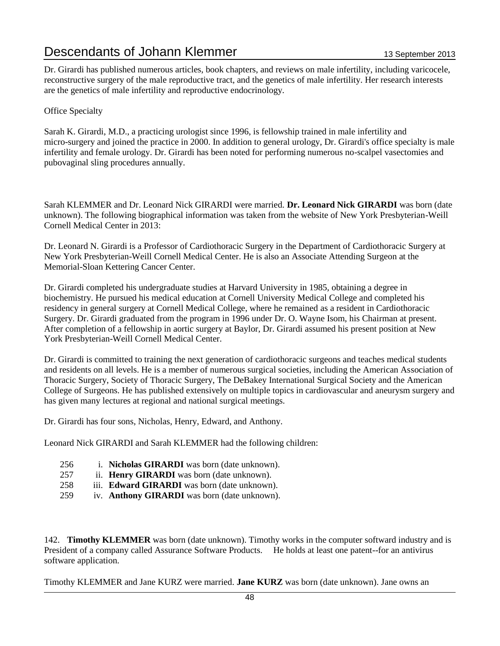Dr. Girardi has published numerous articles, book chapters, and reviews on male infertility, including varicocele, reconstructive surgery of the male reproductive tract, and the genetics of male infertility. Her research interests are the genetics of male infertility and reproductive endocrinology.

Office Specialty

Sarah K. Girardi, M.D., a practicing urologist since 1996, is fellowship trained in male infertility and micro-surgery and joined the practice in 2000. In addition to general urology, Dr. Girardi's office specialty is male infertility and female urology. Dr. Girardi has been noted for performing numerous no-scalpel vasectomies and pubovaginal sling procedures annually.

Sarah KLEMMER and Dr. Leonard Nick GIRARDI were married. **Dr. Leonard Nick GIRARDI** was born (date unknown). The following biographical information was taken from the website of New York Presbyterian-Weill Cornell Medical Center in 2013:

Dr. Leonard N. Girardi is a Professor of Cardiothoracic Surgery in the Department of Cardiothoracic Surgery at New York Presbyterian-Weill Cornell Medical Center. He is also an Associate Attending Surgeon at the Memorial-Sloan Kettering Cancer Center.

Dr. Girardi completed his undergraduate studies at Harvard University in 1985, obtaining a degree in biochemistry. He pursued his medical education at Cornell University Medical College and completed his residency in general surgery at Cornell Medical College, where he remained as a resident in Cardiothoracic Surgery. Dr. Girardi graduated from the program in 1996 under Dr. O. Wayne Isom, his Chairman at present. After completion of a fellowship in aortic surgery at Baylor, Dr. Girardi assumed his present position at New York Presbyterian-Weill Cornell Medical Center.

Dr. Girardi is committed to training the next generation of cardiothoracic surgeons and teaches medical students and residents on all levels. He is a member of numerous surgical societies, including the American Association of Thoracic Surgery, Society of Thoracic Surgery, The DeBakey International Surgical Society and the American College of Surgeons. He has published extensively on multiple topics in cardiovascular and aneurysm surgery and has given many lectures at regional and national surgical meetings.

Dr. Girardi has four sons, Nicholas, Henry, Edward, and Anthony.

Leonard Nick GIRARDI and Sarah KLEMMER had the following children:

- 256 i. **Nicholas GIRARDI** was born (date unknown).
- 257 ii. **Henry GIRARDI** was born (date unknown).
- 258 iii. **Edward GIRARDI** was born (date unknown).
- 259 iv. **Anthony GIRARDI** was born (date unknown).

142. **Timothy KLEMMER** was born (date unknown). Timothy works in the computer softward industry and is President of a company called Assurance Software Products. He holds at least one patent--for an antivirus software application.

Timothy KLEMMER and Jane KURZ were married. **Jane KURZ** was born (date unknown). Jane owns an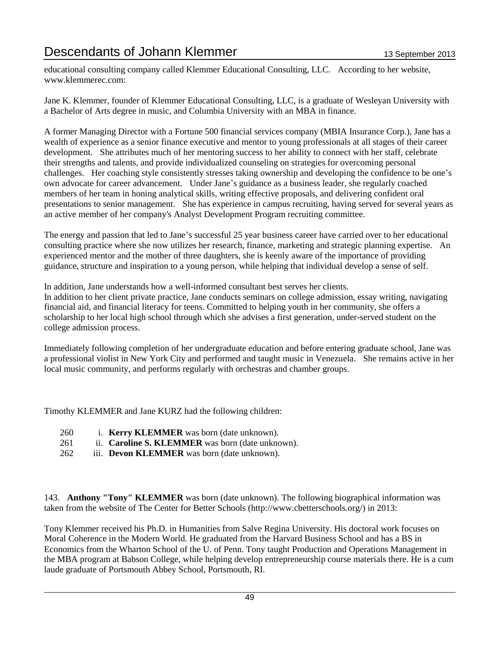educational consulting company called Klemmer Educational Consulting, LLC. According to her website, www.klemmerec.com:

Jane K. Klemmer, founder of Klemmer Educational Consulting, LLC, is a graduate of Wesleyan University with a Bachelor of Arts degree in music, and Columbia University with an MBA in finance.

A former Managing Director with a Fortune 500 financial services company (MBIA Insurance Corp.), Jane has a wealth of experience as a senior finance executive and mentor to young professionals at all stages of their career development. She attributes much of her mentoring success to her ability to connect with her staff, celebrate their strengths and talents, and provide individualized counseling on strategies for overcoming personal challenges. Her coaching style consistently stresses taking ownership and developing the confidence to be one's own advocate for career advancement. Under Jane's guidance as a business leader, she regularly coached members of her team in honing analytical skills, writing effective proposals, and delivering confident oral presentations to senior management. She has experience in campus recruiting, having served for several years as an active member of her company's Analyst Development Program recruiting committee.

The energy and passion that led to Jane's successful 25 year business career have carried over to her educational consulting practice where she now utilizes her research, finance, marketing and strategic planning expertise. An experienced mentor and the mother of three daughters, she is keenly aware of the importance of providing guidance, structure and inspiration to a young person, while helping that individual develop a sense of self.

In addition, Jane understands how a well-informed consultant best serves her clients.

In addition to her client private practice, Jane conducts seminars on college admission, essay writing, navigating financial aid, and financial literacy for teens. Committed to helping youth in her community, she offers a scholarship to her local high school through which she advises a first generation, under-served student on the college admission process.

Immediately following completion of her undergraduate education and before entering graduate school, Jane was a professional violist in New York City and performed and taught music in Venezuela. She remains active in her local music community, and performs regularly with orchestras and chamber groups.

Timothy KLEMMER and Jane KURZ had the following children:

- 260 i. **Kerry KLEMMER** was born (date unknown).
- 261 ii. **Caroline S. KLEMMER** was born (date unknown).
- 262 iii. **Devon KLEMMER** was born (date unknown).

143. **Anthony "Tony" KLEMMER** was born (date unknown). The following biographical information was taken from the website of The Center for Better Schools (http://www.cbetterschools.org/) in 2013:

Tony Klemmer received his Ph.D. in Humanities from Salve Regina University. His doctoral work focuses on Moral Coherence in the Modern World. He graduated from the Harvard Business School and has a BS in Economics from the Wharton School of the U. of Penn. Tony taught Production and Operations Management in the MBA program at Babson College, while helping develop entrepreneurship course materials there. He is a cum laude graduate of Portsmouth Abbey School, Portsmouth, RI.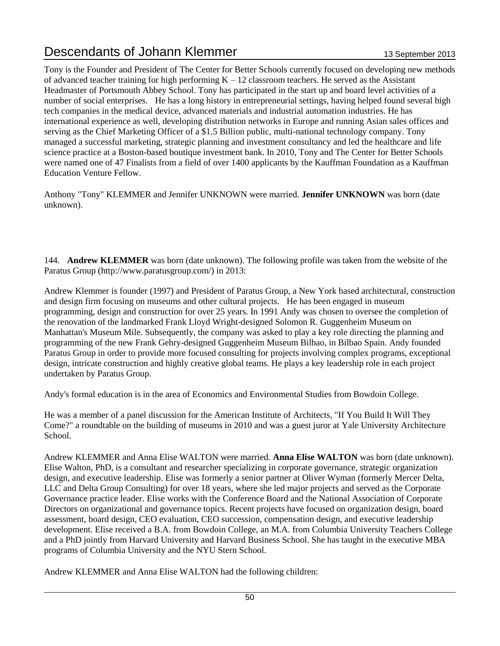Tony is the Founder and President of The Center for Better Schools currently focused on developing new methods of advanced teacher training for high performing  $K - 12$  classroom teachers. He served as the Assistant Headmaster of Portsmouth Abbey School. Tony has participated in the start up and board level activities of a number of social enterprises. He has a long history in entrepreneurial settings, having helped found several high tech companies in the medical device, advanced materials and industrial automation industries. He has international experience as well, developing distribution networks in Europe and running Asian sales offices and serving as the Chief Marketing Officer of a \$1.5 Billion public, multi-national technology company. Tony managed a successful marketing, strategic planning and investment consultancy and led the healthcare and life science practice at a Boston-based boutique investment bank. In 2010, Tony and The Center for Better Schools were named one of 47 Finalists from a field of over 1400 applicants by the Kauffman Foundation as a Kauffman Education Venture Fellow.

Anthony "Tony" KLEMMER and Jennifer UNKNOWN were married. **Jennifer UNKNOWN** was born (date unknown).

144. **Andrew KLEMMER** was born (date unknown). The following profile was taken from the website of the Paratus Group (http://www.paratusgroup.com/) in 2013:

Andrew Klemmer is founder (1997) and President of Paratus Group, a New York based architectural, construction and design firm focusing on museums and other cultural projects. He has been engaged in museum programming, design and construction for over 25 years. In 1991 Andy was chosen to oversee the completion of the renovation of the landmarked Frank Lloyd Wright-designed Solomon R. Guggenheim Museum on Manhattan's Museum Mile. Subsequently, the company was asked to play a key role directing the planning and programming of the new Frank Gehry-designed Guggenheim Museum Bilbao, in Bilbao Spain. Andy founded Paratus Group in order to provide more focused consulting for projects involving complex programs, exceptional design, intricate construction and highly creative global teams. He plays a key leadership role in each project undertaken by Paratus Group.

Andy's formal education is in the area of Economics and Environmental Studies from Bowdoin College.

He was a member of a panel discussion for the American Institute of Architects, "If You Build It Will They Come?" a roundtable on the building of museums in 2010 and was a guest juror at Yale University Architecture School.

Andrew KLEMMER and Anna Elise WALTON were married. **Anna Elise WALTON** was born (date unknown). Elise Walton, PhD, is a consultant and researcher specializing in corporate governance, strategic organization design, and executive leadership. Elise was formerly a senior partner at Oliver Wyman (formerly Mercer Delta, LLC and Delta Group Consulting) for over 18 years, where she led major projects and served as the Corporate Governance practice leader. Elise works with the Conference Board and the National Association of Corporate Directors on organizational and governance topics. Recent projects have focused on organization design, board assessment, board design, CEO evaluation, CEO succession, compensation design, and executive leadership development. Elise received a B.A. from Bowdoin College, an M.A. from Columbia University Teachers College and a PhD jointly from Harvard University and Harvard Business School. She has taught in the executive MBA programs of Columbia University and the NYU Stern School.

Andrew KLEMMER and Anna Elise WALTON had the following children: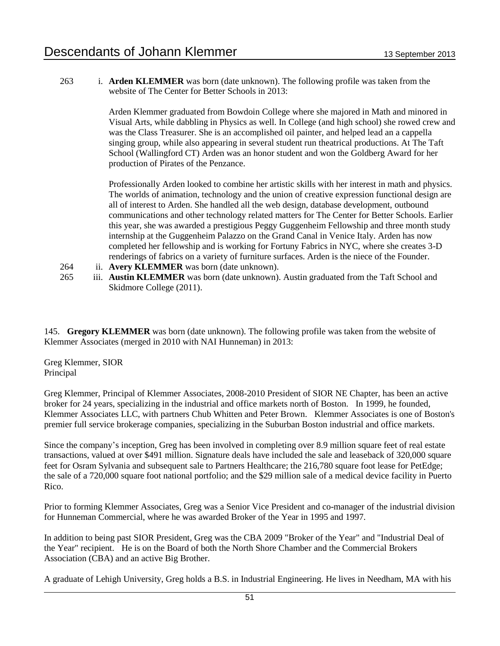263 i. **Arden KLEMMER** was born (date unknown). The following profile was taken from the website of The Center for Better Schools in 2013:

> Arden Klemmer graduated from Bowdoin College where she majored in Math and minored in Visual Arts, while dabbling in Physics as well. In College (and high school) she rowed crew and was the Class Treasurer. She is an accomplished oil painter, and helped lead an a cappella singing group, while also appearing in several student run theatrical productions. At The Taft School (Wallingford CT) Arden was an honor student and won the Goldberg Award for her production of Pirates of the Penzance.

> Professionally Arden looked to combine her artistic skills with her interest in math and physics. The worlds of animation, technology and the union of creative expression functional design are all of interest to Arden. She handled all the web design, database development, outbound communications and other technology related matters for The Center for Better Schools. Earlier this year, she was awarded a prestigious Peggy Guggenheim Fellowship and three month study internship at the Guggenheim Palazzo on the Grand Canal in Venice Italy. Arden has now completed her fellowship and is working for Fortuny Fabrics in NYC, where she creates 3-D renderings of fabrics on a variety of furniture surfaces. Arden is the niece of the Founder.

- 264 ii. **Avery KLEMMER** was born (date unknown).
- 265 iii. **Austin KLEMMER** was born (date unknown). Austin graduated from the Taft School and Skidmore College (2011).

145. **Gregory KLEMMER** was born (date unknown). The following profile was taken from the website of Klemmer Associates (merged in 2010 with NAI Hunneman) in 2013:

Greg Klemmer, SIOR Principal

Greg Klemmer, Principal of Klemmer Associates, 2008-2010 President of SIOR NE Chapter, has been an active broker for 24 years, specializing in the industrial and office markets north of Boston. In 1999, he founded, Klemmer Associates LLC, with partners Chub Whitten and Peter Brown. Klemmer Associates is one of Boston's premier full service brokerage companies, specializing in the Suburban Boston industrial and office markets.

Since the company's inception, Greg has been involved in completing over 8.9 million square feet of real estate transactions, valued at over \$491 million. Signature deals have included the sale and leaseback of 320,000 square feet for Osram Sylvania and subsequent sale to Partners Healthcare; the 216,780 square foot lease for PetEdge; the sale of a 720,000 square foot national portfolio; and the \$29 million sale of a medical device facility in Puerto Rico.

Prior to forming Klemmer Associates, Greg was a Senior Vice President and co-manager of the industrial division for Hunneman Commercial, where he was awarded Broker of the Year in 1995 and 1997.

In addition to being past SIOR President, Greg was the CBA 2009 "Broker of the Year" and "Industrial Deal of the Year" recipient. He is on the Board of both the North Shore Chamber and the Commercial Brokers Association (CBA) and an active Big Brother.

A graduate of Lehigh University, Greg holds a B.S. in Industrial Engineering. He lives in Needham, MA with his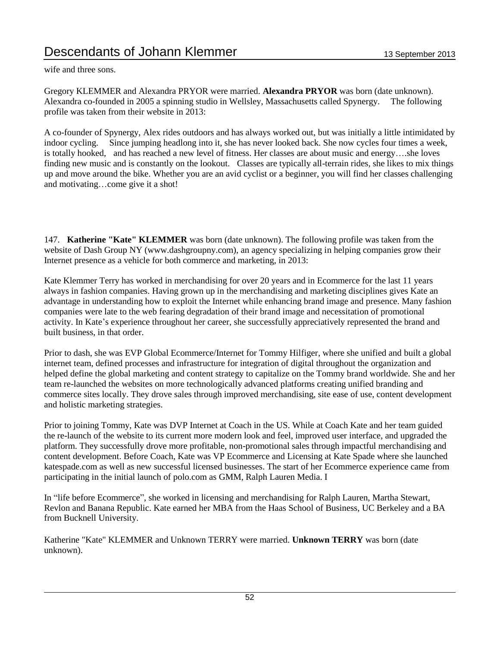wife and three sons.

Gregory KLEMMER and Alexandra PRYOR were married. **Alexandra PRYOR** was born (date unknown). Alexandra co-founded in 2005 a spinning studio in Wellsley, Massachusetts called Spynergy. The following profile was taken from their website in 2013:

A co-founder of Spynergy, Alex rides outdoors and has always worked out, but was initially a little intimidated by indoor cycling. Since jumping headlong into it, she has never looked back. She now cycles four times a week, is totally hooked, and has reached a new level of fitness. Her classes are about music and energy….she loves finding new music and is constantly on the lookout. Classes are typically all-terrain rides, she likes to mix things up and move around the bike. Whether you are an avid cyclist or a beginner, you will find her classes challenging and motivating…come give it a shot!

147. **Katherine "Kate" KLEMMER** was born (date unknown). The following profile was taken from the website of Dash Group NY (www.dashgroupny.com), an agency specializing in helping companies grow their Internet presence as a vehicle for both commerce and marketing, in 2013:

Kate Klemmer Terry has worked in merchandising for over 20 years and in Ecommerce for the last 11 years always in fashion companies. Having grown up in the merchandising and marketing disciplines gives Kate an advantage in understanding how to exploit the Internet while enhancing brand image and presence. Many fashion companies were late to the web fearing degradation of their brand image and necessitation of promotional activity. In Kate's experience throughout her career, she successfully appreciatively represented the brand and built business, in that order.

Prior to dash, she was EVP Global Ecommerce/Internet for Tommy Hilfiger, where she unified and built a global internet team, defined processes and infrastructure for integration of digital throughout the organization and helped define the global marketing and content strategy to capitalize on the Tommy brand worldwide. She and her team re-launched the websites on more technologically advanced platforms creating unified branding and commerce sites locally. They drove sales through improved merchandising, site ease of use, content development and holistic marketing strategies.

Prior to joining Tommy, Kate was DVP Internet at Coach in the US. While at Coach Kate and her team guided the re-launch of the website to its current more modern look and feel, improved user interface, and upgraded the platform. They successfully drove more profitable, non-promotional sales through impactful merchandising and content development. Before Coach, Kate was VP Ecommerce and Licensing at Kate Spade where she launched katespade.com as well as new successful licensed businesses. The start of her Ecommerce experience came from participating in the initial launch of polo.com as GMM, Ralph Lauren Media. I

In "life before Ecommerce", she worked in licensing and merchandising for Ralph Lauren, Martha Stewart, Revlon and Banana Republic. Kate earned her MBA from the Haas School of Business, UC Berkeley and a BA from Bucknell University.

Katherine "Kate" KLEMMER and Unknown TERRY were married. **Unknown TERRY** was born (date unknown).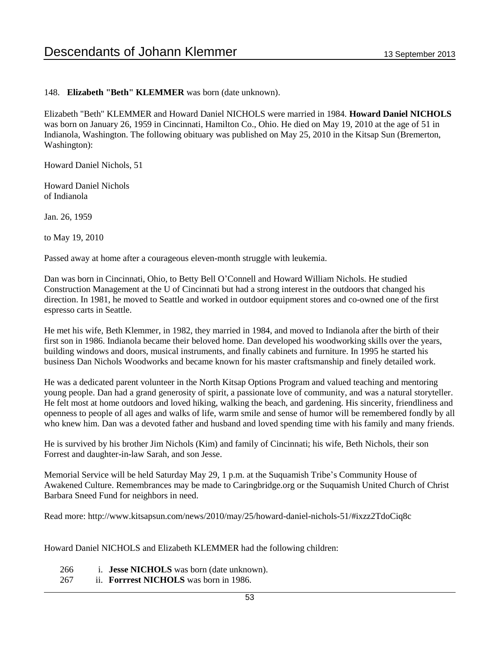#### 148. **Elizabeth "Beth" KLEMMER** was born (date unknown).

Elizabeth "Beth" KLEMMER and Howard Daniel NICHOLS were married in 1984. **Howard Daniel NICHOLS** was born on January 26, 1959 in Cincinnati, Hamilton Co., Ohio. He died on May 19, 2010 at the age of 51 in Indianola, Washington. The following obituary was published on May 25, 2010 in the Kitsap Sun (Bremerton, Washington):

Howard Daniel Nichols, 51

Howard Daniel Nichols of Indianola

Jan. 26, 1959

to May 19, 2010

Passed away at home after a courageous eleven-month struggle with leukemia.

Dan was born in Cincinnati, Ohio, to Betty Bell O'Connell and Howard William Nichols. He studied Construction Management at the U of Cincinnati but had a strong interest in the outdoors that changed his direction. In 1981, he moved to Seattle and worked in outdoor equipment stores and co-owned one of the first espresso carts in Seattle.

He met his wife, Beth Klemmer, in 1982, they married in 1984, and moved to Indianola after the birth of their first son in 1986. Indianola became their beloved home. Dan developed his woodworking skills over the years, building windows and doors, musical instruments, and finally cabinets and furniture. In 1995 he started his business Dan Nichols Woodworks and became known for his master craftsmanship and finely detailed work.

He was a dedicated parent volunteer in the North Kitsap Options Program and valued teaching and mentoring young people. Dan had a grand generosity of spirit, a passionate love of community, and was a natural storyteller. He felt most at home outdoors and loved hiking, walking the beach, and gardening. His sincerity, friendliness and openness to people of all ages and walks of life, warm smile and sense of humor will be remembered fondly by all who knew him. Dan was a devoted father and husband and loved spending time with his family and many friends.

He is survived by his brother Jim Nichols (Kim) and family of Cincinnati; his wife, Beth Nichols, their son Forrest and daughter-in-law Sarah, and son Jesse.

Memorial Service will be held Saturday May 29, 1 p.m. at the Suquamish Tribe's Community House of Awakened Culture. Remembrances may be made to Caringbridge.org or the Suquamish United Church of Christ Barbara Sneed Fund for neighbors in need.

Read more: http://www.kitsapsun.com/news/2010/may/25/howard-daniel-nichols-51/#ixzz2TdoCiq8c

Howard Daniel NICHOLS and Elizabeth KLEMMER had the following children:

- 266 i. **Jesse NICHOLS** was born (date unknown).
- 267 ii. **Forrrest NICHOLS** was born in 1986.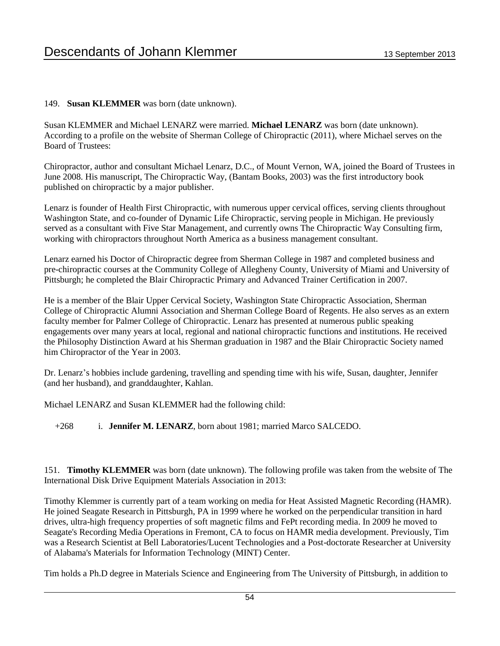#### 149. **Susan KLEMMER** was born (date unknown).

Susan KLEMMER and Michael LENARZ were married. **Michael LENARZ** was born (date unknown). According to a profile on the website of Sherman College of Chiropractic (2011), where Michael serves on the Board of Trustees:

Chiropractor, author and consultant Michael Lenarz, D.C., of Mount Vernon, WA, joined the Board of Trustees in June 2008. His manuscript, The Chiropractic Way, (Bantam Books, 2003) was the first introductory book published on chiropractic by a major publisher.

Lenarz is founder of Health First Chiropractic, with numerous upper cervical offices, serving clients throughout Washington State, and co-founder of Dynamic Life Chiropractic, serving people in Michigan. He previously served as a consultant with Five Star Management, and currently owns The Chiropractic Way Consulting firm, working with chiropractors throughout North America as a business management consultant.

Lenarz earned his Doctor of Chiropractic degree from Sherman College in 1987 and completed business and pre-chiropractic courses at the Community College of Allegheny County, University of Miami and University of Pittsburgh; he completed the Blair Chiropractic Primary and Advanced Trainer Certification in 2007.

He is a member of the Blair Upper Cervical Society, Washington State Chiropractic Association, Sherman College of Chiropractic Alumni Association and Sherman College Board of Regents. He also serves as an extern faculty member for Palmer College of Chiropractic. Lenarz has presented at numerous public speaking engagements over many years at local, regional and national chiropractic functions and institutions. He received the Philosophy Distinction Award at his Sherman graduation in 1987 and the Blair Chiropractic Society named him Chiropractor of the Year in 2003.

Dr. Lenarz's hobbies include gardening, travelling and spending time with his wife, Susan, daughter, Jennifer (and her husband), and granddaughter, Kahlan.

Michael LENARZ and Susan KLEMMER had the following child:

+268 i. **Jennifer M. LENARZ**, born about 1981; married Marco SALCEDO.

151. **Timothy KLEMMER** was born (date unknown). The following profile was taken from the website of The International Disk Drive Equipment Materials Association in 2013:

Timothy Klemmer is currently part of a team working on media for Heat Assisted Magnetic Recording (HAMR). He joined Seagate Research in Pittsburgh, PA in 1999 where he worked on the perpendicular transition in hard drives, ultra-high frequency properties of soft magnetic films and FePt recording media. In 2009 he moved to Seagate's Recording Media Operations in Fremont, CA to focus on HAMR media development. Previously, Tim was a Research Scientist at Bell Laboratories/Lucent Technologies and a Post-doctorate Researcher at University of Alabama's Materials for Information Technology (MINT) Center.

Tim holds a Ph.D degree in Materials Science and Engineering from The University of Pittsburgh, in addition to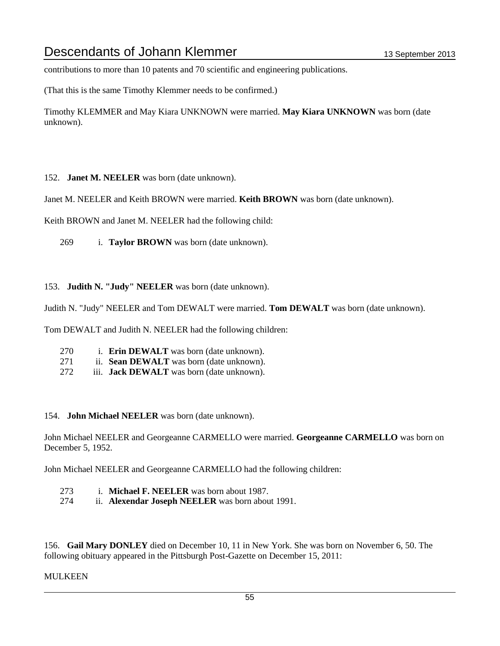contributions to more than 10 patents and 70 scientific and engineering publications.

(That this is the same Timothy Klemmer needs to be confirmed.)

Timothy KLEMMER and May Kiara UNKNOWN were married. **May Kiara UNKNOWN** was born (date unknown).

152. **Janet M. NEELER** was born (date unknown).

Janet M. NEELER and Keith BROWN were married. **Keith BROWN** was born (date unknown).

Keith BROWN and Janet M. NEELER had the following child:

269 i. **Taylor BROWN** was born (date unknown).

153. **Judith N. "Judy" NEELER** was born (date unknown).

Judith N. "Judy" NEELER and Tom DEWALT were married. **Tom DEWALT** was born (date unknown).

Tom DEWALT and Judith N. NEELER had the following children:

- 270 i. **Erin DEWALT** was born (date unknown).
- 271 ii. **Sean DEWALT** was born (date unknown).
- 272 iii. **Jack DEWALT** was born (date unknown).

#### 154. **John Michael NEELER** was born (date unknown).

John Michael NEELER and Georgeanne CARMELLO were married. **Georgeanne CARMELLO** was born on December 5, 1952.

John Michael NEELER and Georgeanne CARMELLO had the following children:

- 273 i. **Michael F. NEELER** was born about 1987.
- 274 ii. **Alexendar Joseph NEELER** was born about 1991.

156. **Gail Mary DONLEY** died on December 10, 11 in New York. She was born on November 6, 50. The following obituary appeared in the Pittsburgh Post-Gazette on December 15, 2011:

#### MULKEEN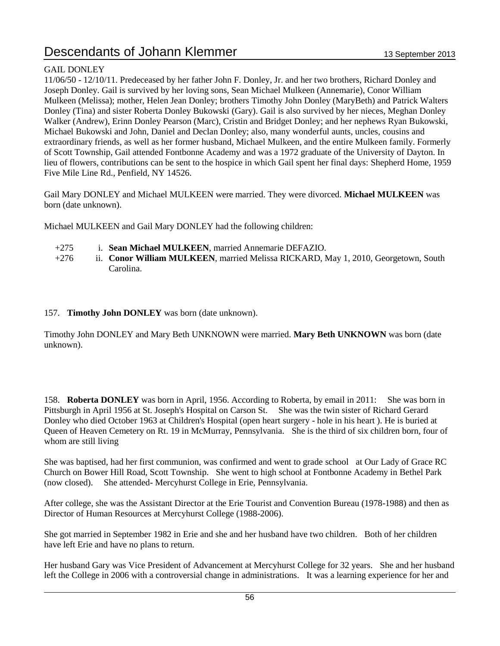#### GAIL DONLEY

11/06/50 - 12/10/11. Predeceased by her father John F. Donley, Jr. and her two brothers, Richard Donley and Joseph Donley. Gail is survived by her loving sons, Sean Michael Mulkeen (Annemarie), Conor William Mulkeen (Melissa); mother, Helen Jean Donley; brothers Timothy John Donley (MaryBeth) and Patrick Walters Donley (Tina) and sister Roberta Donley Bukowski (Gary). Gail is also survived by her nieces, Meghan Donley Walker (Andrew), Erinn Donley Pearson (Marc), Cristin and Bridget Donley; and her nephews Ryan Bukowski, Michael Bukowski and John, Daniel and Declan Donley; also, many wonderful aunts, uncles, cousins and extraordinary friends, as well as her former husband, Michael Mulkeen, and the entire Mulkeen family. Formerly of Scott Township, Gail attended Fontbonne Academy and was a 1972 graduate of the University of Dayton. In lieu of flowers, contributions can be sent to the hospice in which Gail spent her final days: Shepherd Home, 1959 Five Mile Line Rd., Penfield, NY 14526.

Gail Mary DONLEY and Michael MULKEEN were married. They were divorced. **Michael MULKEEN** was born (date unknown).

Michael MULKEEN and Gail Mary DONLEY had the following children:

- +275 i. **Sean Michael MULKEEN**, married Annemarie DEFAZIO.
- +276 ii. **Conor William MULKEEN**, married Melissa RICKARD, May 1, 2010, Georgetown, South Carolina.

#### 157. **Timothy John DONLEY** was born (date unknown).

Timothy John DONLEY and Mary Beth UNKNOWN were married. **Mary Beth UNKNOWN** was born (date unknown).

158. **Roberta DONLEY** was born in April, 1956. According to Roberta, by email in 2011: She was born in Pittsburgh in April 1956 at St. Joseph's Hospital on Carson St. She was the twin sister of Richard Gerard Donley who died October 1963 at Children's Hospital (open heart surgery - hole in his heart ). He is buried at Queen of Heaven Cemetery on Rt. 19 in McMurray, Pennsylvania. She is the third of six children born, four of whom are still living

She was baptised, had her first communion, was confirmed and went to grade school at Our Lady of Grace RC Church on Bower Hill Road, Scott Township. She went to high school at Fontbonne Academy in Bethel Park (now closed). She attended- Mercyhurst College in Erie, Pennsylvania.

After college, she was the Assistant Director at the Erie Tourist and Convention Bureau (1978-1988) and then as Director of Human Resources at Mercyhurst College (1988-2006).

She got married in September 1982 in Erie and she and her husband have two children. Both of her children have left Erie and have no plans to return.

Her husband Gary was Vice President of Advancement at Mercyhurst College for 32 years. She and her husband left the College in 2006 with a controversial change in administrations. It was a learning experience for her and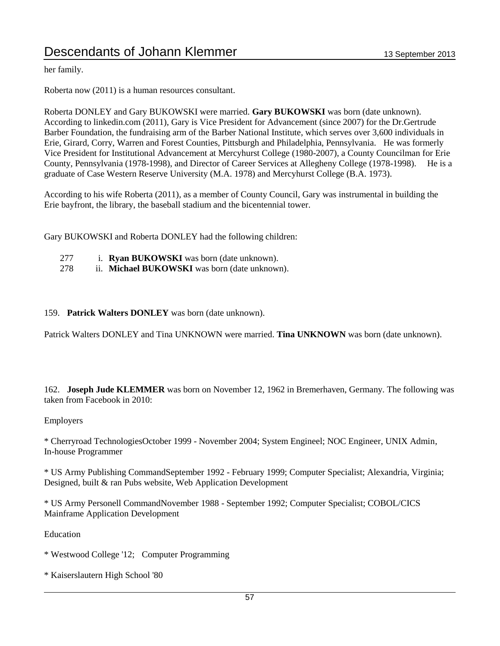#### her family.

Roberta now (2011) is a human resources consultant.

Roberta DONLEY and Gary BUKOWSKI were married. **Gary BUKOWSKI** was born (date unknown). According to linkedin.com (2011), Gary is Vice President for Advancement (since 2007) for the Dr.Gertrude Barber Foundation, the fundraising arm of the Barber National Institute, which serves over 3,600 individuals in Erie, Girard, Corry, Warren and Forest Counties, Pittsburgh and Philadelphia, Pennsylvania. He was formerly Vice President for Institutional Advancement at Mercyhurst College (1980-2007), a County Councilman for Erie County, Pennsylvania (1978-1998), and Director of Career Services at Allegheny College (1978-1998). He is a graduate of Case Western Reserve University (M.A. 1978) and Mercyhurst College (B.A. 1973).

According to his wife Roberta (2011), as a member of County Council, Gary was instrumental in building the Erie bayfront, the library, the baseball stadium and the bicentennial tower.

Gary BUKOWSKI and Roberta DONLEY had the following children:

- 277 i. **Ryan BUKOWSKI** was born (date unknown).
- 278 ii. **Michael BUKOWSKI** was born (date unknown).

#### 159. **Patrick Walters DONLEY** was born (date unknown).

Patrick Walters DONLEY and Tina UNKNOWN were married. **Tina UNKNOWN** was born (date unknown).

162. **Joseph Jude KLEMMER** was born on November 12, 1962 in Bremerhaven, Germany. The following was taken from Facebook in 2010:

#### Employers

\* Cherryroad TechnologiesOctober 1999 - November 2004; System Engineel; NOC Engineer, UNIX Admin, In-house Programmer

\* US Army Publishing CommandSeptember 1992 - February 1999; Computer Specialist; Alexandria, Virginia; Designed, built & ran Pubs website, Web Application Development

\* US Army Personell CommandNovember 1988 - September 1992; Computer Specialist; COBOL/CICS Mainframe Application Development

Education

- \* Westwood College '12; Computer Programming
- \* Kaiserslautern High School '80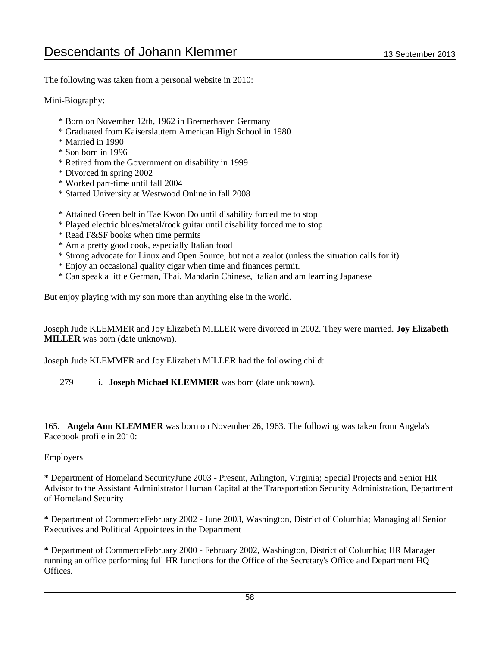The following was taken from a personal website in 2010:

Mini-Biography:

- \* Born on November 12th, 1962 in Bremerhaven Germany
- \* Graduated from Kaiserslautern American High School in 1980
- \* Married in 1990
- \* Son born in 1996
- \* Retired from the Government on disability in 1999
- \* Divorced in spring 2002
- \* Worked part-time until fall 2004
- \* Started University at Westwood Online in fall 2008
- \* Attained Green belt in Tae Kwon Do until disability forced me to stop
- \* Played electric blues/metal/rock guitar until disability forced me to stop
- \* Read F&SF books when time permits
- \* Am a pretty good cook, especially Italian food
- \* Strong advocate for Linux and Open Source, but not a zealot (unless the situation calls for it)
- \* Enjoy an occasional quality cigar when time and finances permit.
- \* Can speak a little German, Thai, Mandarin Chinese, Italian and am learning Japanese

But enjoy playing with my son more than anything else in the world.

Joseph Jude KLEMMER and Joy Elizabeth MILLER were divorced in 2002. They were married. **Joy Elizabeth MILLER** was born (date unknown).

Joseph Jude KLEMMER and Joy Elizabeth MILLER had the following child:

279 i. **Joseph Michael KLEMMER** was born (date unknown).

165. **Angela Ann KLEMMER** was born on November 26, 1963. The following was taken from Angela's Facebook profile in 2010:

#### Employers

\* Department of Homeland SecurityJune 2003 - Present, Arlington, Virginia; Special Projects and Senior HR Advisor to the Assistant Administrator Human Capital at the Transportation Security Administration, Department of Homeland Security

\* Department of CommerceFebruary 2002 - June 2003, Washington, District of Columbia; Managing all Senior Executives and Political Appointees in the Department

\* Department of CommerceFebruary 2000 - February 2002, Washington, District of Columbia; HR Manager running an office performing full HR functions for the Office of the Secretary's Office and Department HQ Offices.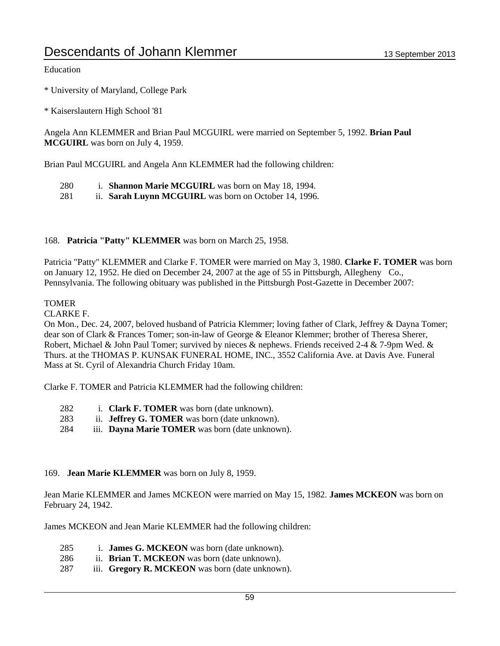#### Education

\* University of Maryland, College Park

\* Kaiserslautern High School '81

Angela Ann KLEMMER and Brian Paul MCGUIRL were married on September 5, 1992. **Brian Paul MCGUIRL** was born on July 4, 1959.

Brian Paul MCGUIRL and Angela Ann KLEMMER had the following children:

- 280 i. **Shannon Marie MCGUIRL** was born on May 18, 1994.
- 281 ii. **Sarah Luynn MCGUIRL** was born on October 14, 1996.

#### 168. **Patricia "Patty" KLEMMER** was born on March 25, 1958.

Patricia "Patty" KLEMMER and Clarke F. TOMER were married on May 3, 1980. **Clarke F. TOMER** was born on January 12, 1952. He died on December 24, 2007 at the age of 55 in Pittsburgh, Allegheny Co., Pennsylvania. The following obituary was published in the Pittsburgh Post-Gazette in December 2007:

#### **TOMER**

CLARKE F.

On Mon., Dec. 24, 2007, beloved husband of Patricia Klemmer; loving father of Clark, Jeffrey & Dayna Tomer; dear son of Clark & Frances Tomer; son-in-law of George & Eleanor Klemmer; brother of Theresa Sherer, Robert, Michael & John Paul Tomer; survived by nieces & nephews. Friends received 2-4 & 7-9pm Wed. & Thurs. at the THOMAS P. KUNSAK FUNERAL HOME, INC., 3552 California Ave. at Davis Ave. Funeral Mass at St. Cyril of Alexandria Church Friday 10am.

Clarke F. TOMER and Patricia KLEMMER had the following children:

- 282 i. **Clark F. TOMER** was born (date unknown).
- 283 ii. **Jeffrey G. TOMER** was born (date unknown).
- 284 iii. **Dayna Marie TOMER** was born (date unknown).

#### 169. **Jean Marie KLEMMER** was born on July 8, 1959.

Jean Marie KLEMMER and James MCKEON were married on May 15, 1982. **James MCKEON** was born on February 24, 1942.

James MCKEON and Jean Marie KLEMMER had the following children:

- 285 i. **James G. MCKEON** was born (date unknown).
- 286 ii. **Brian T. MCKEON** was born (date unknown).
- 287 iii. **Gregory R. MCKEON** was born (date unknown).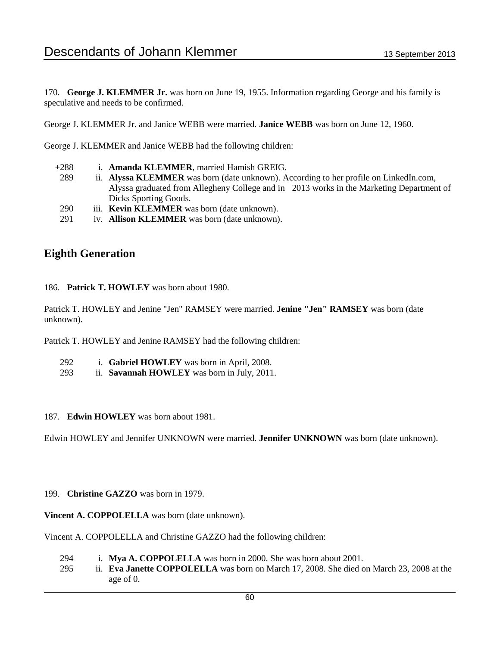170. **George J. KLEMMER Jr.** was born on June 19, 1955. Information regarding George and his family is speculative and needs to be confirmed.

George J. KLEMMER Jr. and Janice WEBB were married. **Janice WEBB** was born on June 12, 1960.

George J. KLEMMER and Janice WEBB had the following children:

- +288 i. **Amanda KLEMMER**, married Hamish GREIG.
	- 289 ii. **Alyssa KLEMMER** was born (date unknown). According to her profile on LinkedIn.com, Alyssa graduated from Allegheny College and in 2013 works in the Marketing Department of Dicks Sporting Goods.
- 290 iii. **Kevin KLEMMER** was born (date unknown).
- 291 iv. **Allison KLEMMER** was born (date unknown).

### **Eighth Generation**

186. **Patrick T. HOWLEY** was born about 1980.

Patrick T. HOWLEY and Jenine "Jen" RAMSEY were married. **Jenine "Jen" RAMSEY** was born (date unknown).

Patrick T. HOWLEY and Jenine RAMSEY had the following children:

- 292 i. **Gabriel HOWLEY** was born in April, 2008.
- 293 ii. **Savannah HOWLEY** was born in July, 2011.
- 187. **Edwin HOWLEY** was born about 1981.

Edwin HOWLEY and Jennifer UNKNOWN were married. **Jennifer UNKNOWN** was born (date unknown).

#### 199. **Christine GAZZO** was born in 1979.

**Vincent A. COPPOLELLA** was born (date unknown).

Vincent A. COPPOLELLA and Christine GAZZO had the following children:

- 294 i. **Mya A. COPPOLELLA** was born in 2000. She was born about 2001.
- 295 ii. **Eva Janette COPPOLELLA** was born on March 17, 2008. She died on March 23, 2008 at the age of 0.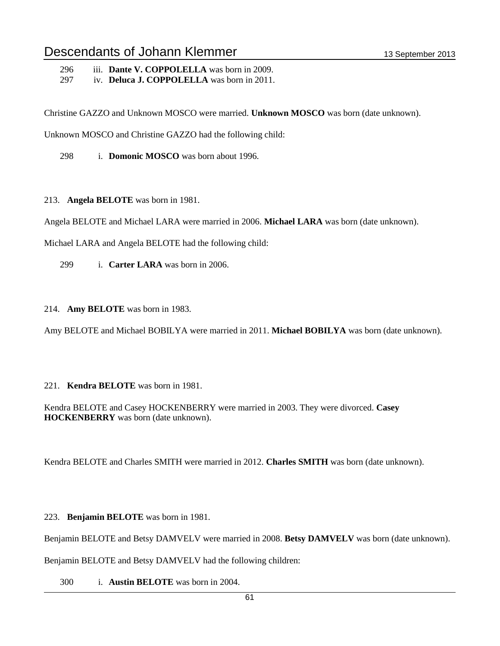296 iii. **Dante V. COPPOLELLA** was born in 2009.

297 iv. **Deluca J. COPPOLELLA** was born in 2011.

Christine GAZZO and Unknown MOSCO were married. **Unknown MOSCO** was born (date unknown).

Unknown MOSCO and Christine GAZZO had the following child:

298 i. **Domonic MOSCO** was born about 1996.

213. **Angela BELOTE** was born in 1981.

Angela BELOTE and Michael LARA were married in 2006. **Michael LARA** was born (date unknown).

Michael LARA and Angela BELOTE had the following child:

299 i. **Carter LARA** was born in 2006.

214. **Amy BELOTE** was born in 1983.

Amy BELOTE and Michael BOBILYA were married in 2011. **Michael BOBILYA** was born (date unknown).

221. **Kendra BELOTE** was born in 1981.

Kendra BELOTE and Casey HOCKENBERRY were married in 2003. They were divorced. **Casey HOCKENBERRY** was born (date unknown).

Kendra BELOTE and Charles SMITH were married in 2012. **Charles SMITH** was born (date unknown).

223. **Benjamin BELOTE** was born in 1981.

Benjamin BELOTE and Betsy DAMVELV were married in 2008. **Betsy DAMVELV** was born (date unknown).

Benjamin BELOTE and Betsy DAMVELV had the following children:

300 i. **Austin BELOTE** was born in 2004.